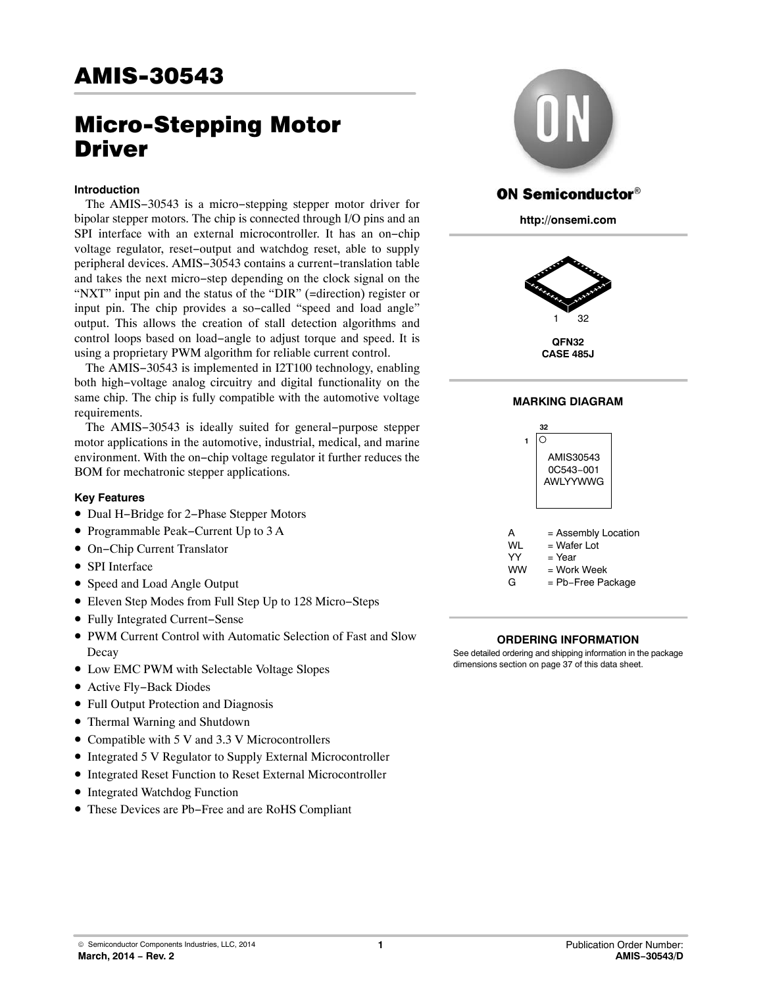# Micro-Stepping Motor Driver

### **Introduction**

The AMIS−30543 is a micro−stepping stepper motor driver for bipolar stepper motors. The chip is connected through I/O pins and an SPI interface with an external microcontroller. It has an on−chip voltage regulator, reset−output and watchdog reset, able to supply peripheral devices. AMIS−30543 contains a current−translation table and takes the next micro−step depending on the clock signal on the "NXT" input pin and the status of the "DIR" (=direction) register or input pin. The chip provides a so−called "speed and load angle" output. This allows the creation of stall detection algorithms and control loops based on load−angle to adjust torque and speed. It is using a proprietary PWM algorithm for reliable current control.

The AMIS−30543 is implemented in I2T100 technology, enabling both high−voltage analog circuitry and digital functionality on the same chip. The chip is fully compatible with the automotive voltage requirements.

The AMIS−30543 is ideally suited for general−purpose stepper motor applications in the automotive, industrial, medical, and marine environment. With the on−chip voltage regulator it further reduces the BOM for mechatronic stepper applications.

### **Key Features**

- Dual H−Bridge for 2−Phase Stepper Motors
- Programmable Peak−Current Up to 3 A
- On−Chip Current Translator
- SPI Interface
- Speed and Load Angle Output
- Eleven Step Modes from Full Step Up to 128 Micro−Steps
- Fully Integrated Current−Sense
- PWM Current Control with Automatic Selection of Fast and Slow Decay
- Low EMC PWM with Selectable Voltage Slopes
- Active Fly−Back Diodes
- Full Output Protection and Diagnosis
- Thermal Warning and Shutdown
- Compatible with 5 V and 3.3 V Microcontrollers
- Integrated 5 V Regulator to Supply External Microcontroller
- Integrated Reset Function to Reset External Microcontroller
- Integrated Watchdog Function
- These Devices are Pb−Free and are RoHS Compliant



# **ON Semiconductor®**

**http://onsemi.com**



**QFN32 CASE 485J**

# **MARKING DIAGRAM**



#### **ORDERING INFORMATION**

See detailed ordering and shipping information in the package dimensions section on page [37](#page-36-0) of this data sheet.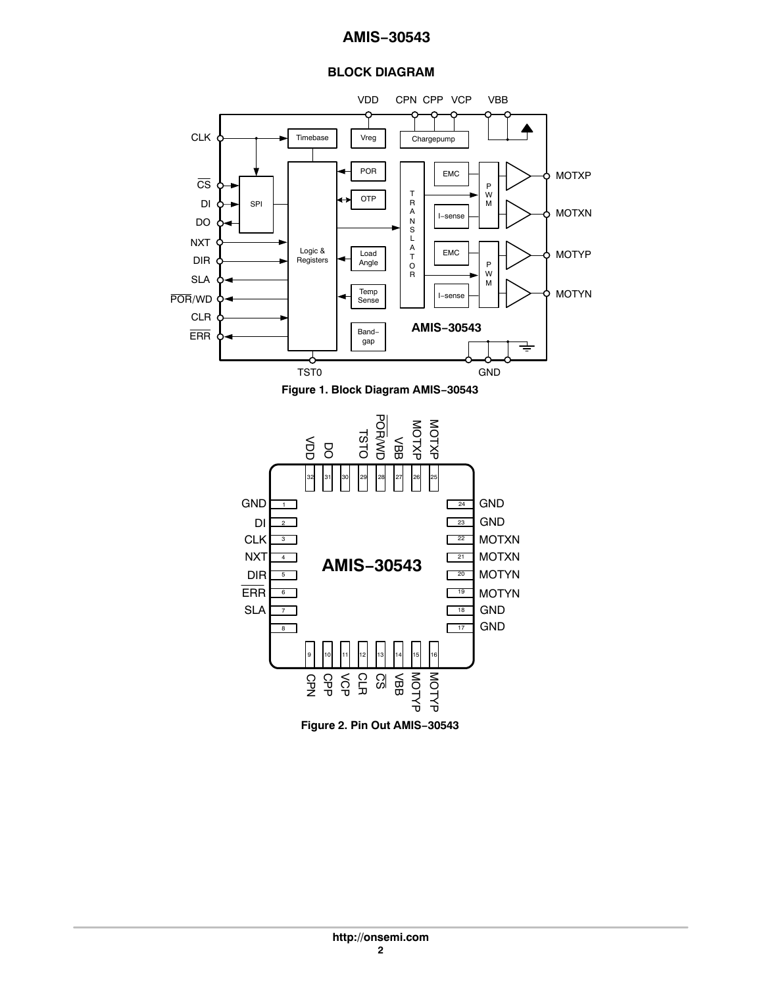# **BLOCK DIAGRAM**



**Figure 2. Pin Out AMIS−30543**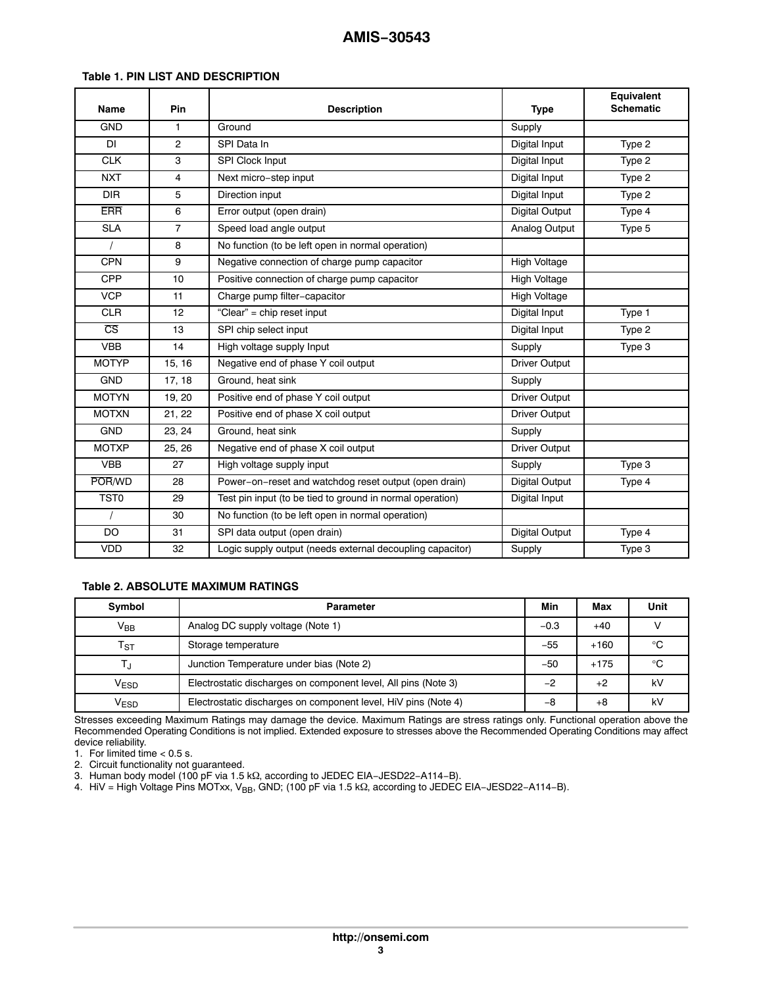#### **Table 1. PIN LIST AND DESCRIPTION**

| <b>Name</b>            | Pin            | <b>Description</b>                                        | <b>Type</b>           | Equivalent<br><b>Schematic</b> |
|------------------------|----------------|-----------------------------------------------------------|-----------------------|--------------------------------|
| <b>GND</b>             | 1              | Ground                                                    | Supply                |                                |
| <b>DI</b>              | $\overline{2}$ | SPI Data In                                               | Digital Input         | Type 2                         |
| <b>CLK</b>             | 3              | SPI Clock Input                                           | Digital Input         | Type 2                         |
| <b>NXT</b>             | $\overline{4}$ | Next micro-step input                                     | Digital Input         | Type 2                         |
| <b>DIR</b>             | 5              | Direction input                                           | Digital Input         | Type 2                         |
| <b>ERR</b>             | 6              | Error output (open drain)                                 | Digital Output        | Type 4                         |
| <b>SLA</b>             | $\overline{7}$ | Speed load angle output                                   | Analog Output         | Type 5                         |
| $\prime$               | 8              | No function (to be left open in normal operation)         |                       |                                |
| <b>CPN</b>             | 9              | Negative connection of charge pump capacitor              | <b>High Voltage</b>   |                                |
| <b>CPP</b>             | 10             | Positive connection of charge pump capacitor              | <b>High Voltage</b>   |                                |
| <b>VCP</b>             | 11             | Charge pump filter-capacitor                              | <b>High Voltage</b>   |                                |
| <b>CLR</b>             | 12             | "Clear" = chip reset input                                | Digital Input         | Type 1                         |
| $\overline{\text{CS}}$ | 13             | SPI chip select input                                     | Digital Input         | Type 2                         |
| <b>VBB</b>             | 14             | High voltage supply Input                                 | Supply                | Type 3                         |
| <b>MOTYP</b>           | 15, 16         | Negative end of phase Y coil output                       | <b>Driver Output</b>  |                                |
| <b>GND</b>             | 17, 18         | Ground, heat sink                                         | Supply                |                                |
| <b>MOTYN</b>           | 19, 20         | Positive end of phase Y coil output                       | <b>Driver Output</b>  |                                |
| <b>MOTXN</b>           | 21, 22         | Positive end of phase X coil output                       | <b>Driver Output</b>  |                                |
| <b>GND</b>             | 23, 24         | Ground, heat sink                                         | Supply                |                                |
| <b>MOTXP</b>           | 25, 26         | Negative end of phase X coil output                       | <b>Driver Output</b>  |                                |
| <b>VBB</b>             | 27             | High voltage supply input                                 | Supply                | Type 3                         |
| POR/WD                 | 28             | Power-on-reset and watchdog reset output (open drain)     | <b>Digital Output</b> | Type 4                         |
| <b>TST0</b>            | 29             | Test pin input (to be tied to ground in normal operation) | Digital Input         |                                |
| $\prime$               | 30             | No function (to be left open in normal operation)         |                       |                                |
| DO                     | 31             | SPI data output (open drain)                              | <b>Digital Output</b> | Type 4                         |
| <b>VDD</b>             | 32             | Logic supply output (needs external decoupling capacitor) | Supply                | Type 3                         |

#### **Table 2. ABSOLUTE MAXIMUM RATINGS**

| Symbol                      | <b>Parameter</b>                                               |       | Max    | Unit         |
|-----------------------------|----------------------------------------------------------------|-------|--------|--------------|
| $V_{BB}$                    | Analog DC supply voltage (Note 1)                              |       | $+40$  |              |
| $\mathsf{T}_{\text{ST}}$    | Storage temperature                                            | $-55$ | $+160$ | $^{\circ}$ C |
|                             | Junction Temperature under bias (Note 2)                       | $-50$ | $+175$ | °C           |
| $\mathsf{V}_{\mathsf{ESD}}$ | Electrostatic discharges on component level, All pins (Note 3) | $-2$  | $+2$   | kV           |
| V <sub>ESD</sub>            | Electrostatic discharges on component level, HiV pins (Note 4) | $-8$  | +8     | kV           |

Stresses exceeding Maximum Ratings may damage the device. Maximum Ratings are stress ratings only. Functional operation above the Recommended Operating Conditions is not implied. Extended exposure to stresses above the Recommended Operating Conditions may affect device reliability.

1. For limited time < 0.5 s.

2. Circuit functionality not guaranteed.

3. Human body model (100 pF via 1.5 kΩ, according to JEDEC EIA−JESD22−A114−B).

4. HiV = High Voltage Pins MOTxx, V<sub>BB</sub>, GND; (100 pF via 1.5 kΩ, according to JEDEC EIA−JESD22−A114−B).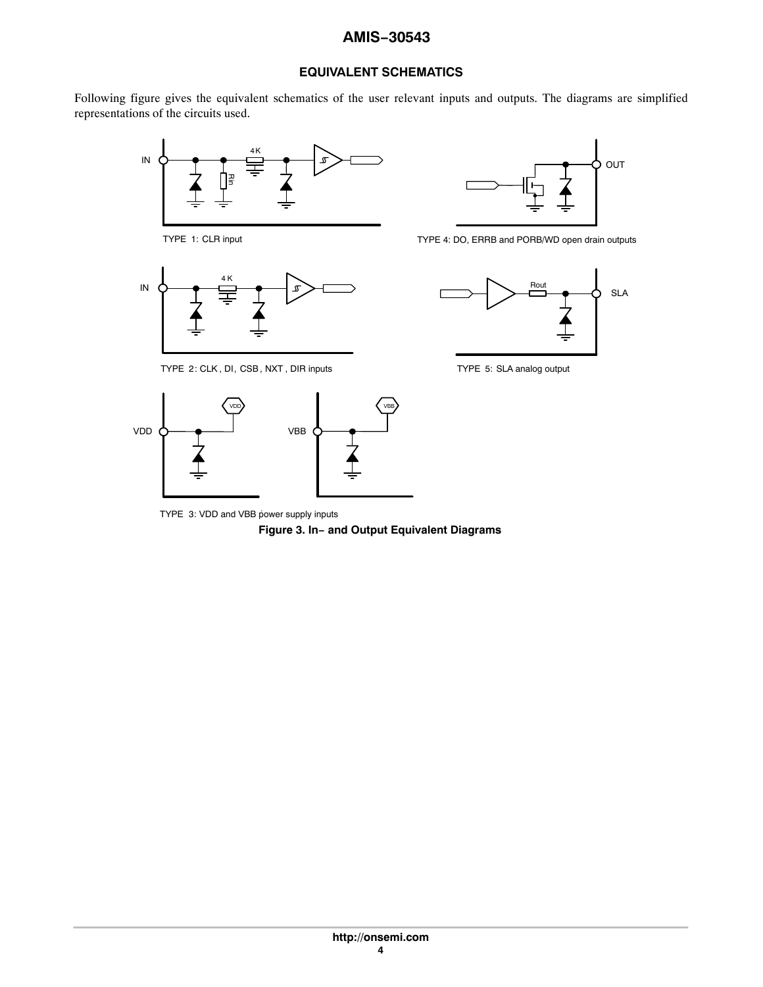# **EQUIVALENT SCHEMATICS**

Following figure gives the equivalent schematics of the user relevant inputs and outputs. The diagrams are simplified representations of the circuits used.



TYPE 1: CLR input



TYPE 2: CLK , DI, CSB , NXT , DIR inputs



TYPE 4: DO, ERRB and PORB/WD open drain outputs



TYPE 5: SLA analog output



TYPE 3: VDD and VBB power supply inputs

**Figure 3. In− and Output Equivalent Diagrams**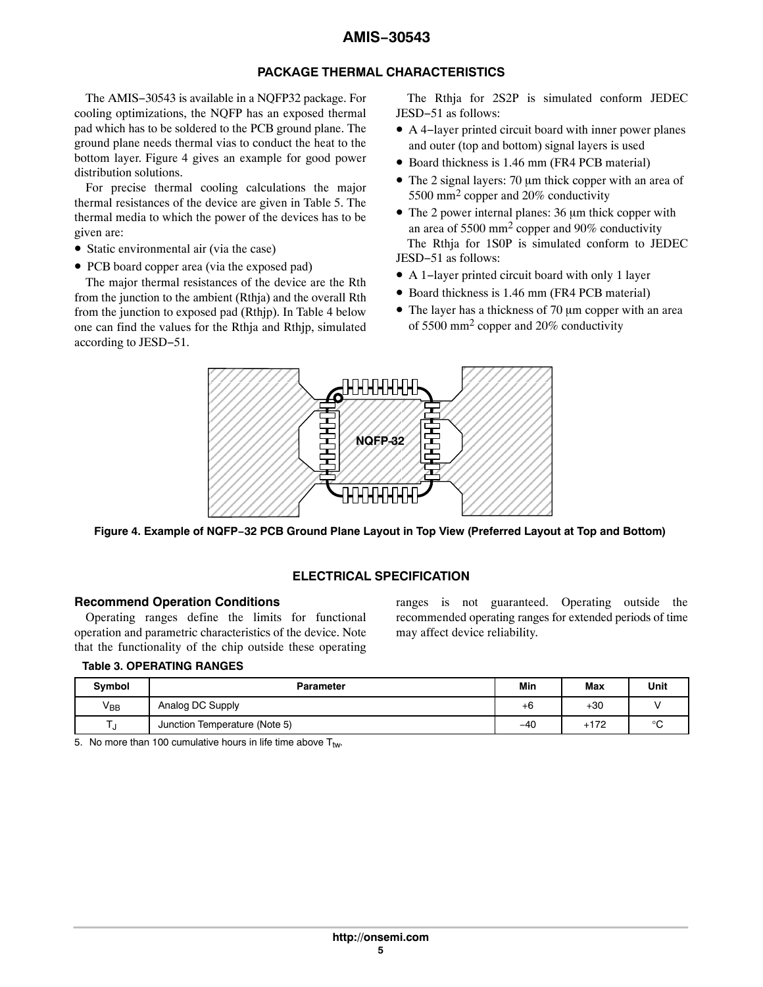# **PACKAGE THERMAL CHARACTERISTICS**

The AMIS−30543 is available in a NQFP32 package. For cooling optimizations, the NQFP has an exposed thermal pad which has to be soldered to the PCB ground plane. The ground plane needs thermal vias to conduct the heat to the bottom layer. Figure 4 gives an example for good power distribution solutions.

For precise thermal cooling calculations the major thermal resistances of the device are given in Table [5](#page-7-0). The thermal media to which the power of the devices has to be given are:

- Static environmental air (via the case)
- PCB board copper area (via the exposed pad)

The major thermal resistances of the device are the Rth from the junction to the ambient (Rthja) and the overall Rth from the junction to exposed pad (Rthjp). In Table [4](#page-5-0) below one can find the values for the Rthja and Rthjp, simulated according to JESD−51.

The Rthja for 2S2P is simulated conform JEDEC JESD−51 as follows:

- A 4−layer printed circuit board with inner power planes and outer (top and bottom) signal layers is used
- Board thickness is 1.46 mm (FR4 PCB material)
- $\bullet$  The 2 signal layers: 70 µm thick copper with an area of 5500 mm<sup>2</sup> copper and 20% conductivity
- The 2 power internal planes: 36 µm thick copper with an area of 5500 mm2 copper and 90% conductivity The Rthja for 1S0P is simulated conform to JEDEC JESD−51 as follows:
- A 1−layer printed circuit board with only 1 layer
- Board thickness is 1.46 mm (FR4 PCB material)
- $\bullet$  The layer has a thickness of 70  $\mu$ m copper with an area of 5500 mm2 copper and 20% conductivity



Figure 4. Example of NQFP−32 PCB Ground Plane Layout in Top View (Preferred Layout at Top and Bottom)

# **ELECTRICAL SPECIFICATION**

### **Recommend Operation Conditions**

Operating ranges define the limits for functional operation and parametric characteristics of the device. Note that the functionality of the chip outside these operating

ranges is not guaranteed. Operating outside the recommended operating ranges for extended periods of time may affect device reliability.

### **Table 3. OPERATING RANGES**

| <b>Symbol</b> | <b>Parameter</b>              | Min   | <b>Max</b> | Unit    |
|---------------|-------------------------------|-------|------------|---------|
| $V_{BB}$      | Analog DC Supply              | +6    | $+30$      |         |
|               | Junction Temperature (Note 5) | $-40$ | $+172$     | $\circ$ |

5. No more than 100 cumulative hours in life time above  $T_{tw}$ .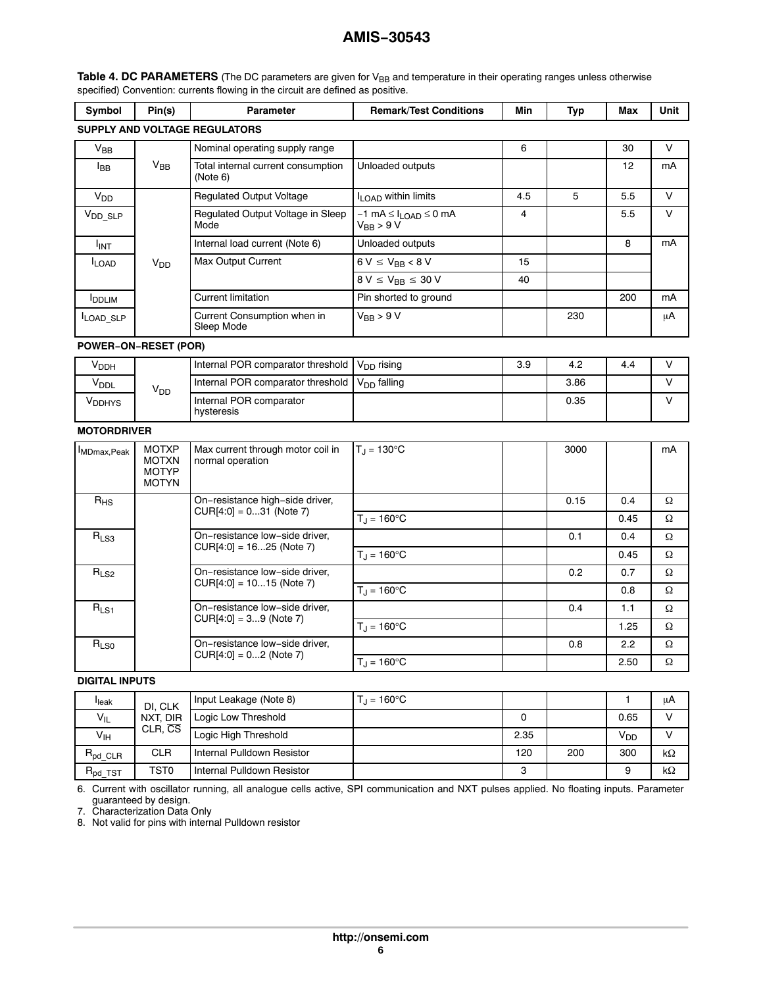| Symbol                      | Pin(s)                                                       | Parameter                                                  | <b>Remark/Test Conditions</b>                                    | Min | <b>Typ</b> | Max  | Unit   |
|-----------------------------|--------------------------------------------------------------|------------------------------------------------------------|------------------------------------------------------------------|-----|------------|------|--------|
|                             |                                                              | SUPPLY AND VOLTAGE REGULATORS                              |                                                                  |     |            |      |        |
| $\rm V_{BB}$                |                                                              | Nominal operating supply range                             |                                                                  | 6   |            | 30   | V      |
| <b>I</b> BB                 | $V_{BB}$                                                     | Total internal current consumption<br>(Note 6)             | Unloaded outputs                                                 |     |            | 12   | mA     |
| <b>V<sub>DD</sub></b>       |                                                              | <b>Regulated Output Voltage</b>                            | I <sub>LOAD</sub> within limits                                  | 4.5 | 5          | 5.5  | $\vee$ |
| $V_{DD\_SLP}$               |                                                              | Regulated Output Voltage in Sleep<br>Mode                  | $-1$ mA $\leq$ $I_{\text{LOAD}}$ $\leq$ 0 mA<br>$V_{BB}$ > 9 $V$ | 4   |            | 5.5  | $\vee$ |
| I <sub>INT</sub>            |                                                              | Internal load current (Note 6)                             | Unloaded outputs                                                 |     |            | 8    | mA     |
| <b>ILOAD</b>                | <b>V<sub>DD</sub></b>                                        | <b>Max Output Current</b>                                  | $6 V \leq V_{BB} < 8 V$                                          | 15  |            |      |        |
|                             |                                                              |                                                            | $8 V \le V_{BB} \le 30 V$                                        | 40  |            |      |        |
| <b>I</b> DDLIM              |                                                              | <b>Current limitation</b>                                  | Pin shorted to ground                                            |     |            | 200  | mA     |
| LOAD SLP                    |                                                              | Current Consumption when in<br>Sleep Mode                  | $V_{BB}$ > 9 V                                                   |     | 230        |      | μA     |
| <b>POWER-ON-RESET (POR)</b> |                                                              |                                                            |                                                                  |     |            |      |        |
| V <sub>DDH</sub>            |                                                              | Internal POR comparator threshold                          | V <sub>DD</sub> rising                                           | 3.9 | 4.2        | 4.4  | V      |
| <b>V<sub>DDL</sub></b>      | V <sub>DD</sub>                                              | Internal POR comparator threshold                          | $V_{DD}$ falling                                                 |     | 3.86       |      | V      |
| <b>V</b> <sub>DDHYS</sub>   |                                                              | Internal POR comparator<br>hysteresis                      |                                                                  |     | 0.35       |      | V      |
| <b>MOTORDRIVER</b>          |                                                              |                                                            |                                                                  |     |            |      |        |
| MDmax, Peak                 | <b>MOTXP</b><br><b>MOTXN</b><br><b>MOTYP</b><br><b>MOTYN</b> | Max current through motor coil in<br>normal operation      | $T_J = 130^{\circ}C$                                             |     | 3000       |      | mA     |
| $R_{HS}$                    |                                                              | On-resistance high-side driver,                            |                                                                  |     | 0.15       | 0.4  | Ω      |
|                             |                                                              | $CUR[4:0] = 031$ (Note 7)                                  | $T_{\rm J} = 160^{\circ}$ C                                      |     |            | 0.45 | Ω      |
| $R_{LS3}$                   |                                                              | On-resistance low-side driver,                             |                                                                  |     | 0.1        | 0.4  | Ω      |
|                             |                                                              | $CUR[4:0] = 1625$ (Note 7)                                 | $T_J = 160$ °C                                                   |     |            | 0.45 | Ω      |
| R <sub>LS2</sub>            |                                                              | On-resistance low-side driver,                             |                                                                  |     | 0.2        | 0.7  | Ω      |
|                             |                                                              | CUR[4:0] = 1015 (Note 7)                                   | $T_{\rm J} = 160^{\circ}$ C                                      |     |            | 0.8  | Ω      |
| R <sub>LS1</sub>            |                                                              | On-resistance low-side driver,                             |                                                                  |     | 0.4        | 1.1  | Ω      |
|                             |                                                              | $CUR[4:0] = 39$ (Note 7)                                   | $T_{\rm J} = 160^{\circ}$ C                                      |     |            | 1.25 | Ω      |
| R <sub>LS0</sub>            |                                                              | On-resistance low-side driver,<br>$CUR[4:0] = 02$ (Note 7) |                                                                  |     | 0.8        | 2.2  | Ω      |
|                             |                                                              |                                                            | $T_J = 160^{\circ}C$                                             |     |            | 2.50 | Ω      |
| <b>DIGITAL INPUTS</b>       |                                                              |                                                            |                                                                  |     |            |      |        |
|                             |                                                              |                                                            |                                                                  |     |            |      |        |

<span id="page-5-0"></span>Table 4. DC PARAMETERS (The DC parameters are given for V<sub>BB</sub> and temperature in their operating ranges unless otherwise specified) Convention: currents flowing in the circuit are defined as positive.

#### $\begin{array}{c|c}\n\text{I<sub>leak</sub>}\n\hline\n\text{V<sub>IL</sub>}\n\end{array}$  DI, CLK NXT, DIR CLR, CS Input Leakage (Note 8)  $T_J = 160^{\circ}$ C 1 A Logic Low Threshold **Contract Contract Contract Contract Contract Contract Contract Contract Contract Contract Contract Contract Contract Contract Contract Contract Contract Contract Contract Contract Contract Contract Con**  $V_{\text{IH}}$  CLR, CS  $\begin{array}{|c|c|c|c|c|}\hline \text{C} & \text{Logic High Threshold} & & \text{O} & \text{O} & \text{O} & \text{O} & \text{O} & \text{O} & \text{O} & \text{O} & \text{O} & \text{O} & \text{O} & \text{O} & \text{O} & \text{O} & \text{O} & \text{O} & \text{O} & \text{O} & \text{O} & \text{O} & \text{O} & \text{O} & \text{O} & \text{O} & \text{O} & \text{O} & \text{O} & \text{O}$ R<sub>pd\_CLR</sub> CLR Internal Pulldown Resistor 120 120 200 300  $k\Omega$ Rpd\_TST TST0 Internal Pulldown Resistor 3 9 k $k\Omega$

6. Current with oscillator running, all analogue cells active, SPI communication and NXT pulses applied. No floating inputs. Parameter guaranteed by design.

7. Characterization Data Only

8. Not valid for pins with internal Pulldown resistor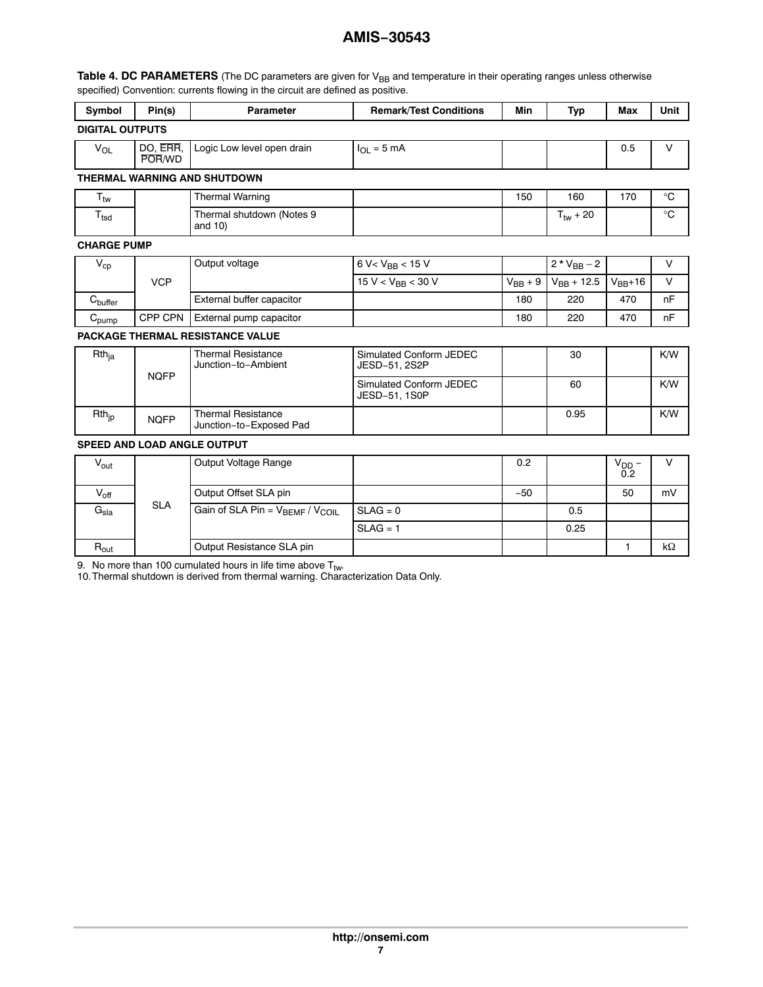Table [4](#page-5-0). DC PARAMETERS (The DC parameters are given for V<sub>BB</sub> and temperature in their operating ranges unless otherwise specified) Convention: currents flowing in the circuit are defined as positive.

| Symbol                              | Pin(s)             | <b>Parameter</b>                                     | <b>Remark/Test Conditions</b>            | Min          | <b>Typ</b>           | Max               | <b>Unit</b>     |  |
|-------------------------------------|--------------------|------------------------------------------------------|------------------------------------------|--------------|----------------------|-------------------|-----------------|--|
| <b>DIGITAL OUTPUTS</b>              |                    |                                                      |                                          |              |                      |                   |                 |  |
| <b>V<sub>OL</sub></b>               | DO, ERR.<br>POR/WD | Logic Low level open drain                           | $I_{\Omega I} = 5 \text{ mA}$            |              |                      | 0.5               | $\vee$          |  |
| <b>THERMAL WARNING AND SHUTDOWN</b> |                    |                                                      |                                          |              |                      |                   |                 |  |
| $T_{\text{tw}}$                     |                    | <b>Thermal Warning</b>                               |                                          | 150          | 160                  | 170               | $^{\circ}C$     |  |
| $T_{\text{tsd}}$                    |                    | Thermal shutdown (Notes 9<br>and 10)                 |                                          |              | $T_{\text{tw}}$ + 20 |                   | $\rm ^{\circ}C$ |  |
| <b>CHARGE PUMP</b>                  |                    |                                                      |                                          |              |                      |                   |                 |  |
| $V_{cp}$                            |                    | Output voltage                                       | $6 V < V_{BB} < 15 V$                    |              | $2 * V_{BB} - 2$     |                   | $\vee$          |  |
|                                     | <b>VCP</b>         |                                                      | 15 V < $V_{BB}$ < 30 V                   | $V_{BB} + 9$ | $V_{BB} + 12.5$      | $V_{BB}+16$       | $\vee$          |  |
| $C_{\text{buffer}}$                 |                    | External buffer capacitor                            |                                          | 180          | 220                  | 470               | nF              |  |
| $C_{\text{pump}}$                   | CPP CPN            | External pump capacitor                              |                                          | 180          | 220                  | 470               | nF              |  |
|                                     |                    | PACKAGE THERMAL RESISTANCE VALUE                     |                                          |              |                      |                   |                 |  |
| $Rth$ <sub>ja</sub>                 | <b>NQFP</b>        | <b>Thermal Resistance</b><br>Junction-to-Ambient     | Simulated Conform JEDEC<br>JESD-51, 2S2P |              | 30                   |                   | K/W             |  |
|                                     |                    |                                                      | Simulated Conform JEDEC<br>JESD-51, 1S0P |              | 60                   |                   | K/W             |  |
| $Rth_{ip}$                          | <b>NQFP</b>        | <b>Thermal Resistance</b><br>Junction-to-Exposed Pad |                                          |              | 0.95                 |                   | K/W             |  |
|                                     |                    | <b>SPEED AND LOAD ANGLE OUTPUT</b>                   |                                          |              |                      |                   |                 |  |
| $V_{\text{out}}$                    |                    | Output Voltage Range                                 |                                          | 0.2          |                      | $V_{DD}$ –<br>0.2 | V               |  |
| $V_{off}$                           |                    | Output Offset SLA pin                                |                                          | $-50$        |                      | 50                | mV              |  |
| $G_{sla}$                           | <b>SLA</b>         | Gain of SLA Pin = $V_{BEMF}$ / $V_{COIL}$            | $SLAG = 0$                               |              | 0.5                  |                   |                 |  |
|                                     |                    |                                                      | $SLAG = 1$                               |              | 0.25                 |                   |                 |  |
| $\mathsf{R}_{\mathsf{out}}$         |                    | Output Resistance SLA pin                            |                                          |              |                      | 1                 | kΩ              |  |

9. No more than 100 cumulated hours in life time above T<sub>tw</sub>.<br>10.Thermal shutdown is derived from thermal warning. Characterization Data Only.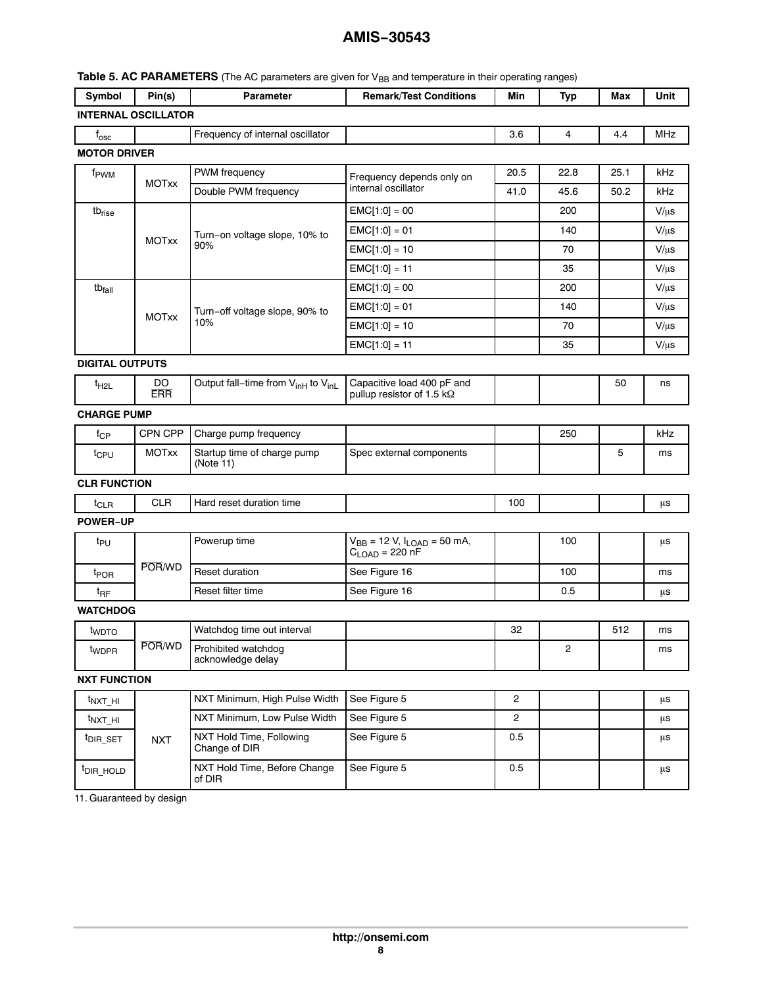<span id="page-7-0"></span>

| Table 5. AC PARAMETERS (The AC parameters are given for V <sub>BB</sub> and temperature in their operating ranges) |  |
|--------------------------------------------------------------------------------------------------------------------|--|
|--------------------------------------------------------------------------------------------------------------------|--|

| Symbol                           | Pin(s)                     | <b>Parameter</b>                                           | <b>Remark/Test Conditions</b>                                   | Min            | <b>Typ</b>   | Max  | Unit       |
|----------------------------------|----------------------------|------------------------------------------------------------|-----------------------------------------------------------------|----------------|--------------|------|------------|
|                                  | <b>INTERNAL OSCILLATOR</b> |                                                            |                                                                 |                |              |      |            |
| $f_{\rm osc}$                    |                            | Frequency of internal oscillator                           |                                                                 | 3.6            | 4            | 4.4  | <b>MHz</b> |
| <b>MOTOR DRIVER</b>              |                            |                                                            |                                                                 |                |              |      |            |
| f <sub>PWM</sub><br><b>MOTxx</b> | PWM frequency              | Frequency depends only on                                  | 20.5                                                            | 22.8           | 25.1         | kHz  |            |
|                                  |                            | Double PWM frequency                                       | internal oscillator                                             | 41.0           | 45.6         | 50.2 | kHz        |
| tb <sub>rise</sub>               |                            |                                                            | $EMC[1:0] = 00$                                                 |                | 200          |      | $V/\mu s$  |
|                                  | <b>MOTxx</b>               | Turn-on voltage slope, 10% to                              | $EMC[1:0] = 01$                                                 |                | 140          |      | $V/\mu s$  |
|                                  |                            | 90%                                                        | $EMC[1:0] = 10$                                                 |                | 70           |      | $V/\mu s$  |
|                                  |                            |                                                            | $EMC[1:0] = 11$                                                 |                | 35           |      | $V/\mu s$  |
| tb <sub>fall</sub>               |                            |                                                            | $EMC[1:0] = 00$                                                 |                | 200          |      | $V/\mu s$  |
|                                  |                            | Turn-off voltage slope, 90% to                             | $EMC[1:0] = 01$                                                 |                | 140          |      | $V/\mu s$  |
|                                  | <b>MOTxx</b>               | 10%                                                        | $EMC[1:0] = 10$                                                 |                | 70           |      | $V/\mu s$  |
|                                  |                            |                                                            | $EMC[1:0] = 11$                                                 |                | 35           |      | $V/\mu s$  |
| <b>DIGITAL OUTPUTS</b>           |                            |                                                            |                                                                 |                |              |      |            |
| $t_{H2L}$                        | DO.<br><b>ERR</b>          | Output fall-time from V <sub>inH</sub> to V <sub>inL</sub> | Capacitive load 400 pF and<br>pullup resistor of 1.5 k $\Omega$ |                |              | 50   | ns         |
| <b>CHARGE PUMP</b>               |                            |                                                            |                                                                 |                |              |      |            |
| $f_{\rm CP}$                     | CPN CPP                    | Charge pump frequency                                      |                                                                 |                | 250          |      | kHz        |
| t <sub>CPU</sub>                 | <b>MOTxx</b>               | Startup time of charge pump<br>(Note 11)                   | Spec external components                                        |                |              | 5    | ms         |
| <b>CLR FUNCTION</b>              |                            |                                                            |                                                                 |                |              |      |            |
| t <sub>CLR</sub>                 | <b>CLR</b>                 | Hard reset duration time                                   |                                                                 | 100            |              |      | μs         |
| <b>POWER-UP</b>                  |                            |                                                            |                                                                 |                |              |      |            |
| t <sub>PU</sub>                  |                            | Powerup time                                               | $V_{BB}$ = 12 V, $I_{LOAD}$ = 50 mA,<br>$C_{LOAD} = 220$ nF     |                | 100          |      | μs         |
| t <sub>POR</sub>                 | POR/WD                     | Reset duration                                             | See Figure 16                                                   |                | 100          |      | ms         |
| t <sub>RF</sub>                  |                            | Reset filter time                                          | See Figure 16                                                   |                | 0.5          |      | μs         |
| <b>WATCHDOG</b>                  |                            |                                                            |                                                                 |                |              |      |            |
| t <sub>WDTO</sub>                |                            | Watchdog time out interval                                 |                                                                 | 32             |              | 512  | ms         |
| twppR                            | POR/WD                     | Prohibited watchdog<br>acknowledge delay                   |                                                                 |                | $\mathbf{2}$ |      | ms         |
| <b>NXT FUNCTION</b>              |                            |                                                            |                                                                 |                |              |      |            |
| $t_{NXT_H}$                      |                            | NXT Minimum, High Pulse Width                              | See Figure 5                                                    | $\mathbf{2}$   |              |      | μs         |
| $t_{NXT\_HI}$                    |                            | NXT Minimum, Low Pulse Width                               | See Figure 5                                                    | $\overline{c}$ |              |      | μs         |
| <sup>t</sup> DIR SET             | <b>NXT</b>                 | NXT Hold Time, Following<br>Change of DIR                  | See Figure 5                                                    | 0.5            |              |      | μs         |
| t <sub>DIR_HOLD</sub>            |                            | NXT Hold Time, Before Change<br>of DIR                     | See Figure 5                                                    | 0.5            |              |      | μs         |

11. Guaranteed by design

 $\mathsf{l}$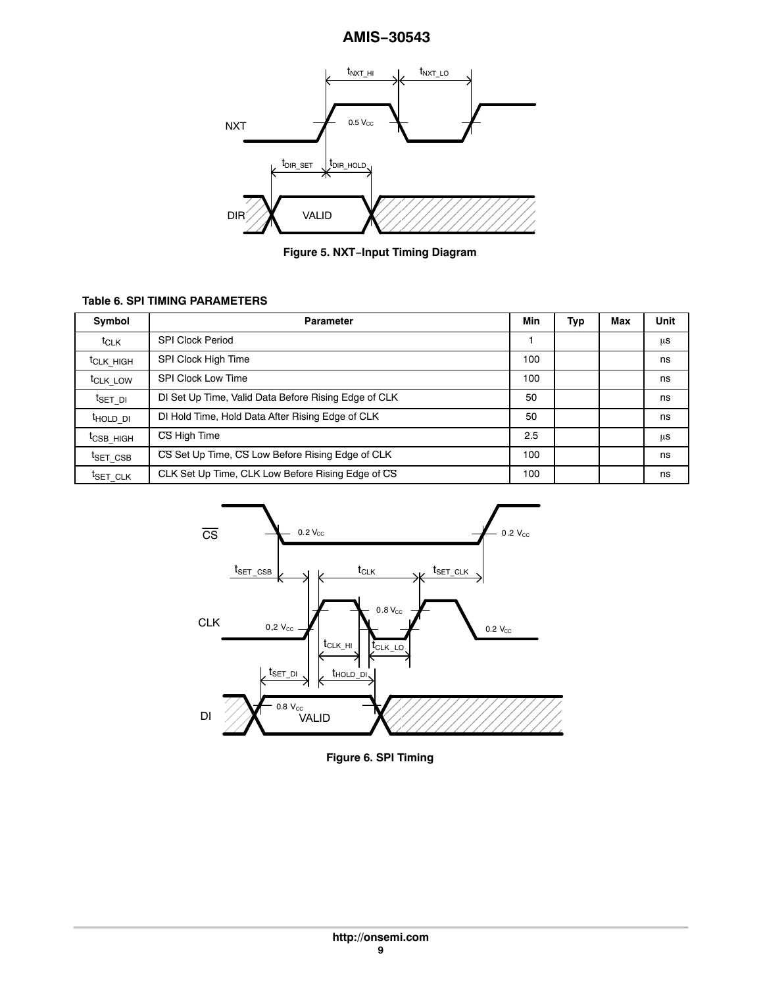<span id="page-8-0"></span>

**i** Figure 5. NXT−Input Timing Diagram

# **Table 6. SPI TIMING PARAMETERS**

| Symbol                | <b>Parameter</b>                                     | Min | Тур | Max | Unit |
|-----------------------|------------------------------------------------------|-----|-----|-----|------|
| t <sub>CLK</sub>      | <b>SPI Clock Period</b>                              |     |     |     | μs   |
| t <sub>CLK</sub> HIGH | SPI Clock High Time                                  | 100 |     |     | ns   |
| t <sub>CLK</sub> LOW  | <b>SPI Clock Low Time</b>                            | 100 |     |     | ns   |
| <sup>t</sup> set di   | DI Set Up Time, Valid Data Before Rising Edge of CLK | 50  |     |     | ns   |
| <sup>t</sup> hold di  | DI Hold Time, Hold Data After Rising Edge of CLK     | 50  |     |     | ns   |
| <sup>t</sup> CSB HIGH | CS High Time                                         | 2.5 |     |     | μs   |
| <sup>t</sup> SET CSB  | CS Set Up Time, CS Low Before Rising Edge of CLK     | 100 |     |     | ns   |
| <sup>t</sup> SET CLK  | CLK Set Up Time, CLK Low Before Rising Edge of CS    | 100 |     |     | ns   |



**Figure 6. SPI Timing**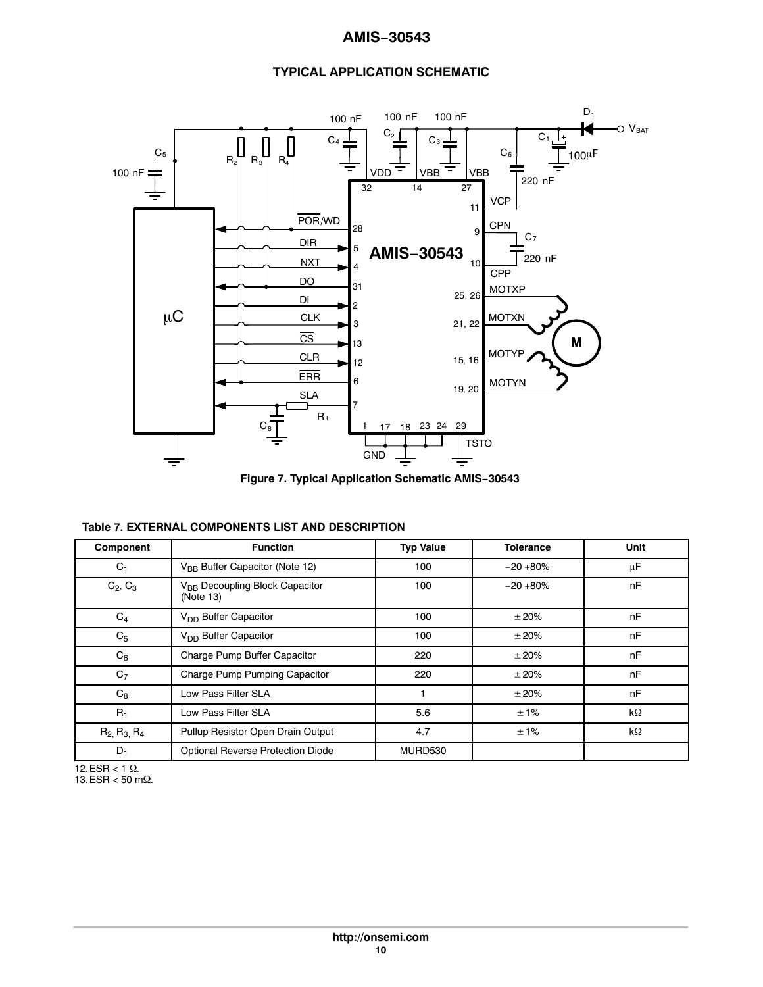# **TYPICAL APPLICATION SCHEMATIC**



**Figure 7. Typical Application Schematic AMIS−30543**

| Component             | <b>Function</b>                                         | <b>Typ Value</b> | <b>Tolerance</b> | Unit      |
|-----------------------|---------------------------------------------------------|------------------|------------------|-----------|
| $C_1$                 | V <sub>BB</sub> Buffer Capacitor (Note 12)              | 100              | $-20+80%$        | μF        |
| $C_2, C_3$            | V <sub>BB</sub> Decoupling Block Capacitor<br>(Note 13) | 100              | $-20+80%$        | nF        |
| $C_4$                 | V <sub>DD</sub> Buffer Capacitor                        | 100              | ±20%             | nF        |
| C <sub>5</sub>        | V <sub>DD</sub> Buffer Capacitor                        | 100              | ±20%             | nF        |
| $C_6$                 | Charge Pump Buffer Capacitor                            | 220              | ±20%             | nF        |
| C <sub>7</sub>        | Charge Pump Pumping Capacitor                           | 220              | ±20%             | nF        |
| $C_8$                 | Low Pass Filter SLA                                     |                  | ±20%             | nF        |
| $R_1$                 | Low Pass Filter SLA                                     | 5.6              | ±1%              | $k\Omega$ |
| $R_2$ , $R_3$ , $R_4$ | Pullup Resistor Open Drain Output                       | 4.7              | ±1%              | kΩ        |
| $D_1$                 | Optional Reverse Protection Diode                       | MURD530          |                  |           |

 $12.ESR < 1 \Omega$ .  $13.ESR < 50 m\Omega$ .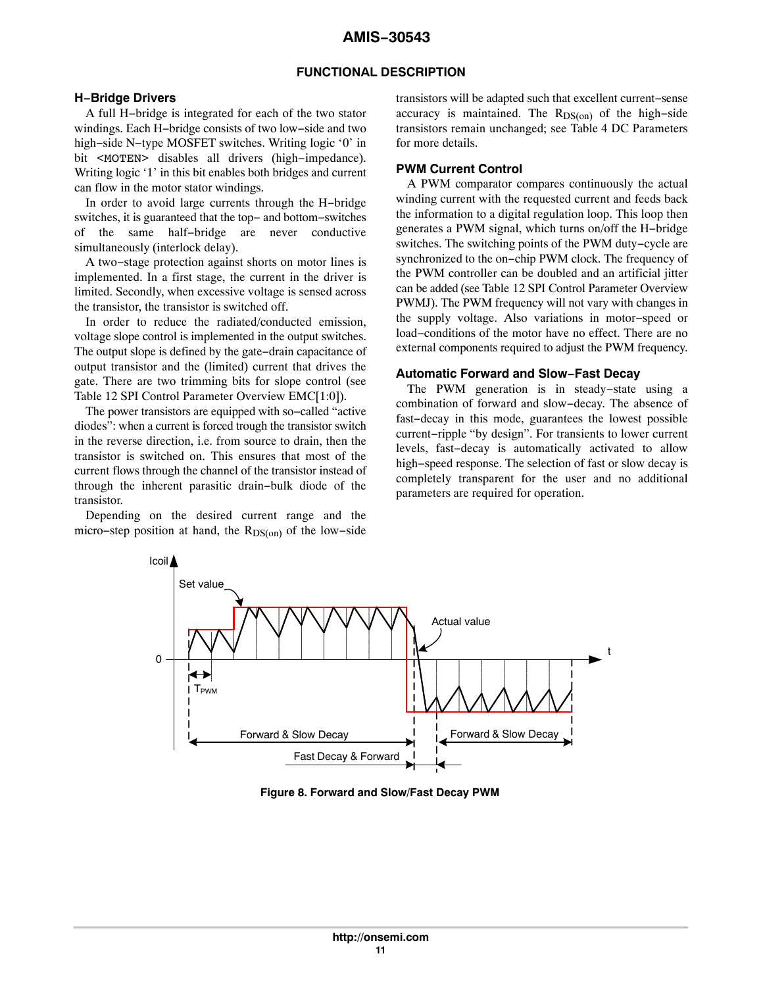### **FUNCTIONAL DESCRIPTION**

#### **H−Bridge Drivers**

A full H−bridge is integrated for each of the two stator windings. Each H−bridge consists of two low−side and two high−side N−type MOSFET switches. Writing logic '0' in bit <MOTEN> disables all drivers (high−impedance). Writing logic '1' in this bit enables both bridges and current can flow in the motor stator windings.

In order to avoid large currents through the H−bridge switches, it is guaranteed that the top− and bottom−switches of the same half−bridge are never conductive simultaneously (interlock delay).

A two−stage protection against shorts on motor lines is implemented. In a first stage, the current in the driver is limited. Secondly, when excessive voltage is sensed across the transistor, the transistor is switched off.

In order to reduce the radiated/conducted emission, voltage slope control is implemented in the output switches. The output slope is defined by the gate−drain capacitance of output transistor and the (limited) current that drives the gate. There are two trimming bits for slope control (see Table [12](#page-34-0) SPI Control Parameter Overview EMC[1:0]).

The power transistors are equipped with so−called "active diodes": when a current is forced trough the transistor switch in the reverse direction, i.e. from source to drain, then the transistor is switched on. This ensures that most of the current flows through the channel of the transistor instead of through the inherent parasitic drain−bulk diode of the transistor.

Depending on the desired current range and the micro–step position at hand, the R<sub>DS(on)</sub> of the low–side transistors will be adapted such that excellent current−sense accuracy is maintained. The  $R_{DS(on)}$  of the high–side transistors remain unchanged; see Table [4](#page-5-0) DC Parameters for more details.

# **PWM Current Control**

A PWM comparator compares continuously the actual winding current with the requested current and feeds back the information to a digital regulation loop. This loop then generates a PWM signal, which turns on/off the H−bridge switches. The switching points of the PWM duty−cycle are synchronized to the on−chip PWM clock. The frequency of the PWM controller can be doubled and an artificial jitter can be added (see Table [12](#page-34-0) SPI Control Parameter Overview PWMJ). The PWM frequency will not vary with changes in the supply voltage. Also variations in motor−speed or load−conditions of the motor have no effect. There are no external components required to adjust the PWM frequency.

#### **Automatic Forward and Slow−Fast Decay**

The PWM generation is in steady−state using a combination of forward and slow−decay. The absence of fast−decay in this mode, guarantees the lowest possible current−ripple "by design". For transients to lower current levels, fast−decay is automatically activated to allow high−speed response. The selection of fast or slow decay is completely transparent for the user and no additional parameters are required for operation.



**Figure 8. Forward and Slow/Fast Decay PWM**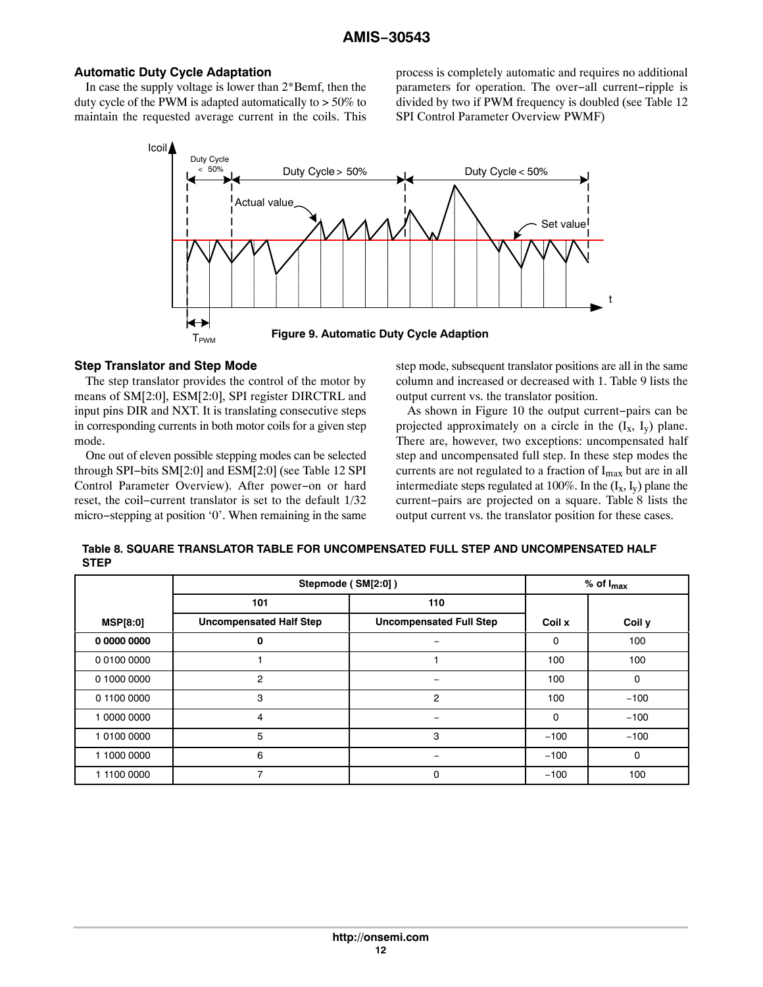# **Automatic Duty Cycle Adaptation**

In case the supply voltage is lower than 2\*Bemf, then the duty cycle of the PWM is adapted automatically to > 50% to maintain the requested average current in the coils. This process is completely automatic and requires no additional parameters for operation. The over−all current−ripple is divided by two if PWM frequency is doubled (see Table [12](#page-34-0) SPI Control Parameter Overview PWMF)



#### **Step Translator and Step Mode**

The step translator provides the control of the motor by means of SM[2:0], ESM[2:0], SPI register DIRCTRL and input pins DIR and NXT. It is translating consecutive steps in corresponding currents in both motor coils for a given step mode.

One out of eleven possible stepping modes can be selected through SPI−bits SM[2:0] and ESM[2:0] (see Table [12](#page-34-0) SPI Control Parameter Overview). After power−on or hard reset, the coil−current translator is set to the default 1/32 micro−stepping at position '0'. When remaining in the same step mode, subsequent translator positions are all in the same column and increased or decreased with 1. Table [9](#page-12-0) lists the output current vs. the translator position.

As shown in Figure [10](#page-24-0) the output current−pairs can be projected approximately on a circle in the  $(I_x, I_y)$  plane. There are, however, two exceptions: uncompensated half step and uncompensated full step. In these step modes the currents are not regulated to a fraction of I<sub>max</sub> but are in all intermediate steps regulated at 100%. In the  $(I_x, I_y)$  plane the current−pairs are projected on a square. Table 8 lists the output current vs. the translator position for these cases.

| Table 8. SQUARE TRANSLATOR TABLE FOR UNCOMPENSATED FULL STEP AND UNCOMPENSATED HALF |  |
|-------------------------------------------------------------------------------------|--|
| <b>STEP</b>                                                                         |  |

|                 |                                | Stepmode (SM[2:0])             | $%$ of $I_{max}$ |              |
|-----------------|--------------------------------|--------------------------------|------------------|--------------|
|                 | 101                            | 110                            |                  |              |
| <b>MSP[8:0]</b> | <b>Uncompensated Half Step</b> | <b>Uncompensated Full Step</b> | Coil x           | Coil y       |
| 0 0000 0000     | 0                              | -                              | 0                | 100          |
| 0 0100 0000     |                                |                                | 100              | 100          |
| 0 1000 0000     | $\overline{2}$                 |                                | 100              | $\mathbf 0$  |
| 0 1100 0000     | 3                              | $\overline{2}$                 | 100              | $-100$       |
| 1 0000 0000     | 4                              | $\qquad \qquad$                | 0                | $-100$       |
| 1 0100 0000     | 5                              | 3                              | $-100$           | $-100$       |
| 1 1000 0000     | 6                              | -                              | $-100$           | $\mathbf{0}$ |
| 1 1100 0000     | $\overline{ }$                 | 0                              | $-100$           | 100          |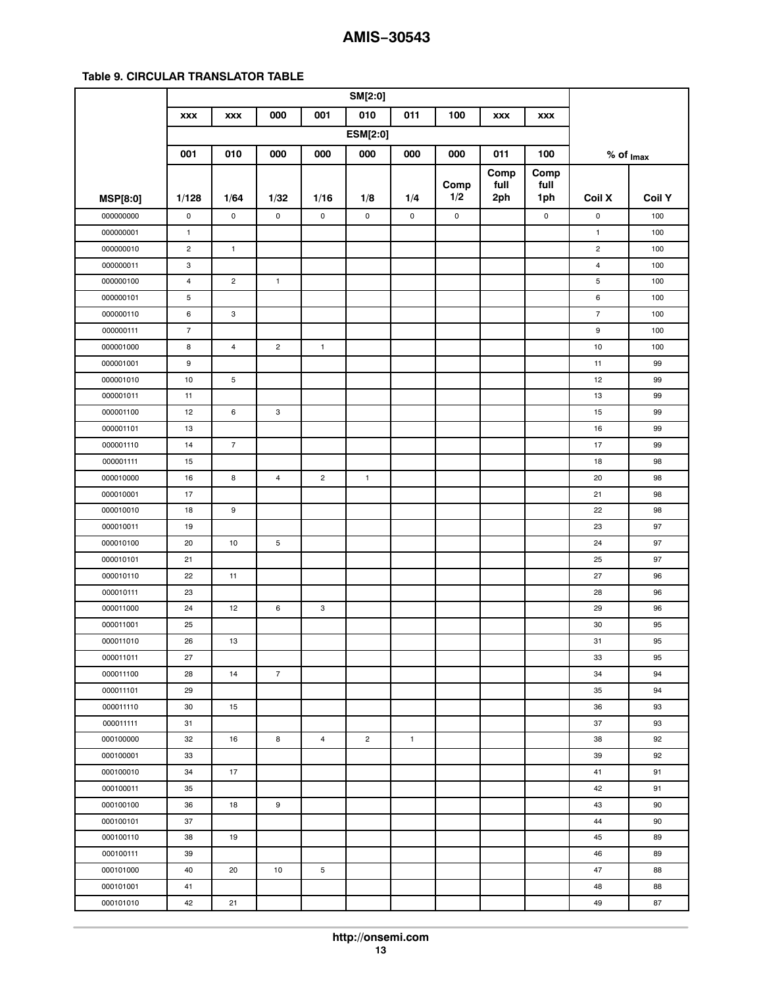### <span id="page-12-0"></span>**Table 9. CIRCULAR TRANSLATOR TABLE**

|                 | <b>XXX</b>              | <b>XXX</b>              | 000            | 001            | 010             | 011          | 100            | <b>XXX</b> | <b>XXX</b>  |                         |               |
|-----------------|-------------------------|-------------------------|----------------|----------------|-----------------|--------------|----------------|------------|-------------|-------------------------|---------------|
|                 |                         |                         |                |                | <b>ESM[2:0]</b> |              |                |            |             |                         |               |
|                 | 001                     | 010                     | 000            | 000            | 000             | 000          | 000            | 011        | 100         | $%$ of $_{\text{Imax}}$ |               |
|                 |                         |                         |                |                |                 |              |                | Comp       | Comp        |                         |               |
|                 |                         |                         |                |                |                 |              | Comp           | full       | full        |                         |               |
| <b>MSP[8:0]</b> | 1/128                   | 1/64                    | 1/32           | 1/16           | 1/8             | 1/4          | 1/2            | 2ph        | 1ph         | Coil X                  | <b>Coil Y</b> |
| 000000000       | 0                       | $\mathsf 0$             | $\mathbf 0$    | $\mathsf{o}\,$ | $\mathsf 0$     | $\mathsf 0$  | $\mathsf{o}\,$ |            | $\mathsf 0$ | $\pmb{0}$               | 100           |
| 000000001       | $\mathbf{1}$            |                         |                |                |                 |              |                |            |             | $\mathbf{1}$            | 100           |
| 000000010       | $\overline{c}$          | $\mathbf{1}$            |                |                |                 |              |                |            |             | $\overline{c}$          | 100           |
| 000000011       | 3                       |                         |                |                |                 |              |                |            |             | $\overline{4}$          | 100           |
| 000000100       | $\overline{\mathbf{4}}$ | $\overline{c}$          | $\mathbf{1}$   |                |                 |              |                |            |             | 5                       | 100           |
| 000000101       | 5                       |                         |                |                |                 |              |                |            |             | 6                       | 100           |
| 000000110       | 6                       | 3                       |                |                |                 |              |                |            |             | $\overline{\mathbf{7}}$ | 100           |
| 000000111       | $\overline{7}$          |                         |                |                |                 |              |                |            |             | 9                       | 100           |
| 000001000       | 8                       | $\overline{\mathbf{4}}$ | $\overline{c}$ | $\mathbf{1}$   |                 |              |                |            |             | 10                      | 100           |
| 000001001       | 9                       |                         |                |                |                 |              |                |            |             | 11                      | 99            |
| 000001010       | 10                      | 5                       |                |                |                 |              |                |            |             | 12                      | 99            |
| 000001011       | 11                      |                         |                |                |                 |              |                |            |             | 13                      | 99            |
| 000001100       | 12                      | 6                       | 3              |                |                 |              |                |            |             | 15                      | 99            |
| 000001101       | 13                      |                         |                |                |                 |              |                |            |             | 16                      | 99            |
| 000001110       | 14                      | $\overline{7}$          |                |                |                 |              |                |            |             | 17                      | 99            |
| 000001111       | 15                      |                         |                |                |                 |              |                |            |             | 18                      | 98            |
| 000010000       | 16                      | 8                       | $\overline{4}$ | $\overline{c}$ | $\mathbf{1}$    |              |                |            |             | 20                      | 98            |
| 000010001       | 17                      |                         |                |                |                 |              |                |            |             | 21                      | 98            |
| 000010010       | 18                      | 9                       |                |                |                 |              |                |            |             | 22                      | 98            |
| 000010011       | 19                      |                         |                |                |                 |              |                |            |             | 23                      | 97            |
| 000010100       | 20                      | 10                      | 5              |                |                 |              |                |            |             | 24                      | 97            |
| 000010101       | 21                      |                         |                |                |                 |              |                |            |             | 25                      | 97            |
| 000010110       | 22                      | 11                      |                |                |                 |              |                |            |             | 27                      | 96            |
| 000010111       | 23                      |                         |                |                |                 |              |                |            |             | 28                      | 96            |
| 000011000       | 24                      | 12                      | 6              | 3              |                 |              |                |            |             | 29                      | 96            |
| 000011001       | 25                      |                         |                |                |                 |              |                |            |             | 30                      | 95            |
| 000011010       | 26                      | 13                      |                |                |                 |              |                |            |             | 31                      | 95            |
| 000011011       | 27                      |                         |                |                |                 |              |                |            |             | 33                      | 95            |
| 000011100       | 28                      | 14                      | $\overline{7}$ |                |                 |              |                |            |             | 34                      | 94            |
| 000011101       | 29                      |                         |                |                |                 |              |                |            |             | 35                      | 94            |
| 000011110       | 30                      | 15                      |                |                |                 |              |                |            |             | 36                      | 93            |
| 000011111       | 31                      |                         |                |                |                 |              |                |            |             | 37                      | 93            |
| 000100000       | 32                      | 16                      | 8              | 4              | $\overline{c}$  | $\mathbf{1}$ |                |            |             | 38                      | 92            |
| 000100001       | 33                      |                         |                |                |                 |              |                |            |             | 39                      | 92            |
| 000100010       | 34                      | 17                      |                |                |                 |              |                |            |             | 41                      | 91            |
| 000100011       | 35                      |                         |                |                |                 |              |                |            |             | 42                      | 91            |
| 000100100       | 36                      | 18                      | 9              |                |                 |              |                |            |             | 43                      | 90            |
| 000100101       | 37                      |                         |                |                |                 |              |                |            |             | 44                      | 90            |
| 000100110       | 38                      | 19                      |                |                |                 |              |                |            |             | 45                      | 89            |
| 000100111       | 39                      |                         |                |                |                 |              |                |            |             | 46                      | 89            |
| 000101000       | 40                      | 20                      | 10             | 5              |                 |              |                |            |             | 47                      | 88            |
| 000101001       | 41                      |                         |                |                |                 |              |                |            |             | 48                      | 88            |
| 000101010       | 42                      | 21                      |                |                |                 |              |                |            |             | 49                      | 87            |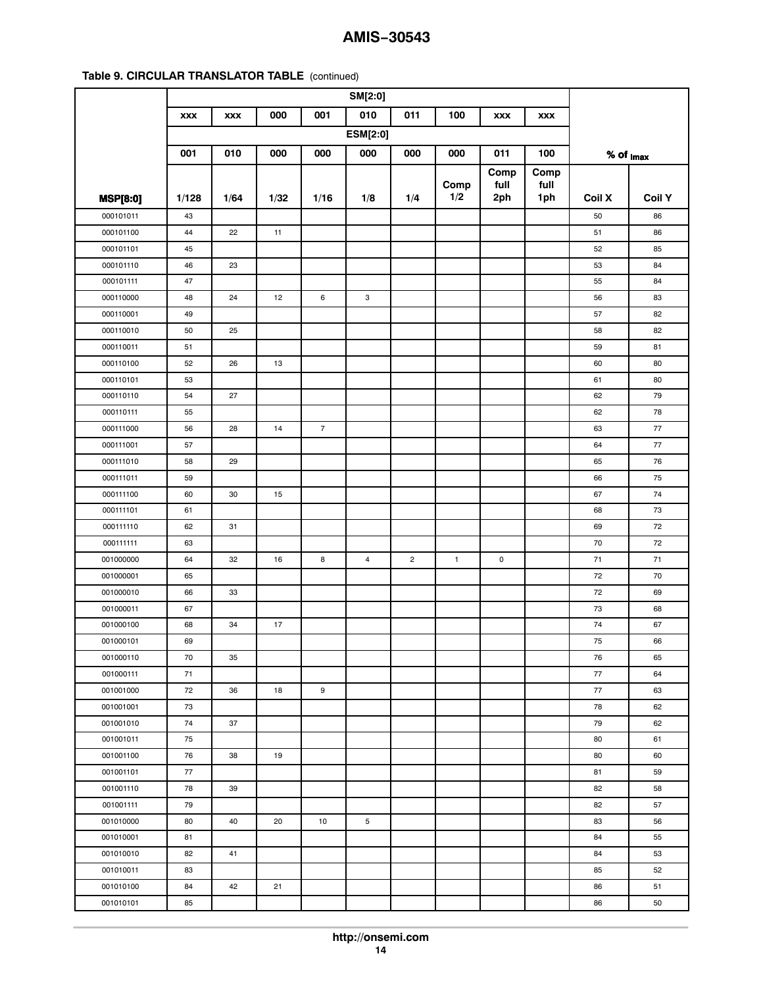| 010<br>000<br>001<br>011<br>100<br><b>XXX</b><br><b>XXX</b><br><b>XXX</b><br><b>XXX</b><br><b>ESM[2:0]</b><br>001<br>010<br>000<br>000<br>000<br>000<br>000<br>011<br>100<br>$%$ of $_{\text{Imax}}$<br>Comp<br>Comp<br>Comp<br>full<br>full<br>1/2<br>1/64<br>1ph<br>Coil X<br><b>Coil Y</b><br>1/128<br>1/32<br>1/16<br>1/8<br>1/4<br>2ph<br><b>MSP[8:0]</b><br>000101011<br>43<br>50<br>86<br>22<br>000101100<br>44<br>11<br>51<br>86<br>000101101<br>45<br>52<br>85<br>000101110<br>46<br>23<br>53<br>84<br>55<br>000101111<br>47<br>84<br>000110000<br>48<br>24<br>12<br>6<br>3<br>56<br>83<br>000110001<br>82<br>49<br>57<br>000110010<br>50<br>25<br>58<br>82<br>000110011<br>51<br>59<br>81<br>000110100<br>26<br>52<br>13<br>60<br>80<br>000110101<br>53<br>61<br>80<br>000110110<br>54<br>27<br>62<br>79<br>000110111<br>62<br>78<br>55<br>000111000<br>28<br>$\overline{7}$<br>77<br>56<br>14<br>63<br>000111001<br>57<br>64<br>77<br>000111010<br>58<br>29<br>65<br>76<br>75<br>000111011<br>59<br>66<br>74<br>000111100<br>60<br>30<br>15<br>67<br>000111101<br>61<br>68<br>73<br>72<br>000111110<br>62<br>31<br>69<br>72<br>000111111<br>70<br>63<br>$\overline{\mathbf{c}}$<br>001000000<br>64<br>32<br>16<br>8<br>$\overline{4}$<br>$\mathbf{1}$<br>$\mathsf 0$<br>71<br>71<br>001000001<br>65<br>72<br>70<br>001000010<br>33<br>72<br>69<br>66<br>001000011<br>67<br>73<br>68<br>001000100<br>34<br>17<br>74<br>67<br>68<br>001000101<br>69<br>75<br>66<br>001000110<br>70<br>35<br>76<br>65<br>001000111<br>71<br>77<br>64<br>001001000<br>72<br>36<br>18<br>9<br>77<br>63<br>001001001<br>73<br>78<br>62<br>37<br>001001010<br>74<br>79<br>62<br>001001011<br>75<br>80<br>61<br>001001100<br>76<br>38<br>19<br>80<br>60<br>001001101<br>77<br>81<br>59<br>78<br>39<br>82<br>58<br>001001110<br>79<br>001001111<br>82<br>57<br>001010000<br>80<br>40<br>20<br>10<br>5<br>83<br>56<br>001010001<br>81<br>84<br>55<br>41<br>001010010<br>82<br>84<br>53<br>52<br>001010011<br>83<br>85<br>001010100<br>42<br>84<br>21<br>86<br>51<br>001010101<br>86<br>50<br>85 |  |  |  |  |  |  |  |
|----------------------------------------------------------------------------------------------------------------------------------------------------------------------------------------------------------------------------------------------------------------------------------------------------------------------------------------------------------------------------------------------------------------------------------------------------------------------------------------------------------------------------------------------------------------------------------------------------------------------------------------------------------------------------------------------------------------------------------------------------------------------------------------------------------------------------------------------------------------------------------------------------------------------------------------------------------------------------------------------------------------------------------------------------------------------------------------------------------------------------------------------------------------------------------------------------------------------------------------------------------------------------------------------------------------------------------------------------------------------------------------------------------------------------------------------------------------------------------------------------------------------------------------------------------------------------------------------------------------------------------------------------------------------------------------------------------------------------------------------------------------------------------------------------------------------------------------------------------------------------------------------------------------------------------------------------------------------------------------------------------------------------------------------------------------------------------|--|--|--|--|--|--|--|
|                                                                                                                                                                                                                                                                                                                                                                                                                                                                                                                                                                                                                                                                                                                                                                                                                                                                                                                                                                                                                                                                                                                                                                                                                                                                                                                                                                                                                                                                                                                                                                                                                                                                                                                                                                                                                                                                                                                                                                                                                                                                                  |  |  |  |  |  |  |  |
|                                                                                                                                                                                                                                                                                                                                                                                                                                                                                                                                                                                                                                                                                                                                                                                                                                                                                                                                                                                                                                                                                                                                                                                                                                                                                                                                                                                                                                                                                                                                                                                                                                                                                                                                                                                                                                                                                                                                                                                                                                                                                  |  |  |  |  |  |  |  |
|                                                                                                                                                                                                                                                                                                                                                                                                                                                                                                                                                                                                                                                                                                                                                                                                                                                                                                                                                                                                                                                                                                                                                                                                                                                                                                                                                                                                                                                                                                                                                                                                                                                                                                                                                                                                                                                                                                                                                                                                                                                                                  |  |  |  |  |  |  |  |
|                                                                                                                                                                                                                                                                                                                                                                                                                                                                                                                                                                                                                                                                                                                                                                                                                                                                                                                                                                                                                                                                                                                                                                                                                                                                                                                                                                                                                                                                                                                                                                                                                                                                                                                                                                                                                                                                                                                                                                                                                                                                                  |  |  |  |  |  |  |  |
|                                                                                                                                                                                                                                                                                                                                                                                                                                                                                                                                                                                                                                                                                                                                                                                                                                                                                                                                                                                                                                                                                                                                                                                                                                                                                                                                                                                                                                                                                                                                                                                                                                                                                                                                                                                                                                                                                                                                                                                                                                                                                  |  |  |  |  |  |  |  |
|                                                                                                                                                                                                                                                                                                                                                                                                                                                                                                                                                                                                                                                                                                                                                                                                                                                                                                                                                                                                                                                                                                                                                                                                                                                                                                                                                                                                                                                                                                                                                                                                                                                                                                                                                                                                                                                                                                                                                                                                                                                                                  |  |  |  |  |  |  |  |
|                                                                                                                                                                                                                                                                                                                                                                                                                                                                                                                                                                                                                                                                                                                                                                                                                                                                                                                                                                                                                                                                                                                                                                                                                                                                                                                                                                                                                                                                                                                                                                                                                                                                                                                                                                                                                                                                                                                                                                                                                                                                                  |  |  |  |  |  |  |  |
|                                                                                                                                                                                                                                                                                                                                                                                                                                                                                                                                                                                                                                                                                                                                                                                                                                                                                                                                                                                                                                                                                                                                                                                                                                                                                                                                                                                                                                                                                                                                                                                                                                                                                                                                                                                                                                                                                                                                                                                                                                                                                  |  |  |  |  |  |  |  |
|                                                                                                                                                                                                                                                                                                                                                                                                                                                                                                                                                                                                                                                                                                                                                                                                                                                                                                                                                                                                                                                                                                                                                                                                                                                                                                                                                                                                                                                                                                                                                                                                                                                                                                                                                                                                                                                                                                                                                                                                                                                                                  |  |  |  |  |  |  |  |
|                                                                                                                                                                                                                                                                                                                                                                                                                                                                                                                                                                                                                                                                                                                                                                                                                                                                                                                                                                                                                                                                                                                                                                                                                                                                                                                                                                                                                                                                                                                                                                                                                                                                                                                                                                                                                                                                                                                                                                                                                                                                                  |  |  |  |  |  |  |  |
|                                                                                                                                                                                                                                                                                                                                                                                                                                                                                                                                                                                                                                                                                                                                                                                                                                                                                                                                                                                                                                                                                                                                                                                                                                                                                                                                                                                                                                                                                                                                                                                                                                                                                                                                                                                                                                                                                                                                                                                                                                                                                  |  |  |  |  |  |  |  |
|                                                                                                                                                                                                                                                                                                                                                                                                                                                                                                                                                                                                                                                                                                                                                                                                                                                                                                                                                                                                                                                                                                                                                                                                                                                                                                                                                                                                                                                                                                                                                                                                                                                                                                                                                                                                                                                                                                                                                                                                                                                                                  |  |  |  |  |  |  |  |
|                                                                                                                                                                                                                                                                                                                                                                                                                                                                                                                                                                                                                                                                                                                                                                                                                                                                                                                                                                                                                                                                                                                                                                                                                                                                                                                                                                                                                                                                                                                                                                                                                                                                                                                                                                                                                                                                                                                                                                                                                                                                                  |  |  |  |  |  |  |  |
|                                                                                                                                                                                                                                                                                                                                                                                                                                                                                                                                                                                                                                                                                                                                                                                                                                                                                                                                                                                                                                                                                                                                                                                                                                                                                                                                                                                                                                                                                                                                                                                                                                                                                                                                                                                                                                                                                                                                                                                                                                                                                  |  |  |  |  |  |  |  |
|                                                                                                                                                                                                                                                                                                                                                                                                                                                                                                                                                                                                                                                                                                                                                                                                                                                                                                                                                                                                                                                                                                                                                                                                                                                                                                                                                                                                                                                                                                                                                                                                                                                                                                                                                                                                                                                                                                                                                                                                                                                                                  |  |  |  |  |  |  |  |
|                                                                                                                                                                                                                                                                                                                                                                                                                                                                                                                                                                                                                                                                                                                                                                                                                                                                                                                                                                                                                                                                                                                                                                                                                                                                                                                                                                                                                                                                                                                                                                                                                                                                                                                                                                                                                                                                                                                                                                                                                                                                                  |  |  |  |  |  |  |  |
|                                                                                                                                                                                                                                                                                                                                                                                                                                                                                                                                                                                                                                                                                                                                                                                                                                                                                                                                                                                                                                                                                                                                                                                                                                                                                                                                                                                                                                                                                                                                                                                                                                                                                                                                                                                                                                                                                                                                                                                                                                                                                  |  |  |  |  |  |  |  |
|                                                                                                                                                                                                                                                                                                                                                                                                                                                                                                                                                                                                                                                                                                                                                                                                                                                                                                                                                                                                                                                                                                                                                                                                                                                                                                                                                                                                                                                                                                                                                                                                                                                                                                                                                                                                                                                                                                                                                                                                                                                                                  |  |  |  |  |  |  |  |
|                                                                                                                                                                                                                                                                                                                                                                                                                                                                                                                                                                                                                                                                                                                                                                                                                                                                                                                                                                                                                                                                                                                                                                                                                                                                                                                                                                                                                                                                                                                                                                                                                                                                                                                                                                                                                                                                                                                                                                                                                                                                                  |  |  |  |  |  |  |  |
|                                                                                                                                                                                                                                                                                                                                                                                                                                                                                                                                                                                                                                                                                                                                                                                                                                                                                                                                                                                                                                                                                                                                                                                                                                                                                                                                                                                                                                                                                                                                                                                                                                                                                                                                                                                                                                                                                                                                                                                                                                                                                  |  |  |  |  |  |  |  |
|                                                                                                                                                                                                                                                                                                                                                                                                                                                                                                                                                                                                                                                                                                                                                                                                                                                                                                                                                                                                                                                                                                                                                                                                                                                                                                                                                                                                                                                                                                                                                                                                                                                                                                                                                                                                                                                                                                                                                                                                                                                                                  |  |  |  |  |  |  |  |
|                                                                                                                                                                                                                                                                                                                                                                                                                                                                                                                                                                                                                                                                                                                                                                                                                                                                                                                                                                                                                                                                                                                                                                                                                                                                                                                                                                                                                                                                                                                                                                                                                                                                                                                                                                                                                                                                                                                                                                                                                                                                                  |  |  |  |  |  |  |  |
|                                                                                                                                                                                                                                                                                                                                                                                                                                                                                                                                                                                                                                                                                                                                                                                                                                                                                                                                                                                                                                                                                                                                                                                                                                                                                                                                                                                                                                                                                                                                                                                                                                                                                                                                                                                                                                                                                                                                                                                                                                                                                  |  |  |  |  |  |  |  |
|                                                                                                                                                                                                                                                                                                                                                                                                                                                                                                                                                                                                                                                                                                                                                                                                                                                                                                                                                                                                                                                                                                                                                                                                                                                                                                                                                                                                                                                                                                                                                                                                                                                                                                                                                                                                                                                                                                                                                                                                                                                                                  |  |  |  |  |  |  |  |
|                                                                                                                                                                                                                                                                                                                                                                                                                                                                                                                                                                                                                                                                                                                                                                                                                                                                                                                                                                                                                                                                                                                                                                                                                                                                                                                                                                                                                                                                                                                                                                                                                                                                                                                                                                                                                                                                                                                                                                                                                                                                                  |  |  |  |  |  |  |  |
|                                                                                                                                                                                                                                                                                                                                                                                                                                                                                                                                                                                                                                                                                                                                                                                                                                                                                                                                                                                                                                                                                                                                                                                                                                                                                                                                                                                                                                                                                                                                                                                                                                                                                                                                                                                                                                                                                                                                                                                                                                                                                  |  |  |  |  |  |  |  |
|                                                                                                                                                                                                                                                                                                                                                                                                                                                                                                                                                                                                                                                                                                                                                                                                                                                                                                                                                                                                                                                                                                                                                                                                                                                                                                                                                                                                                                                                                                                                                                                                                                                                                                                                                                                                                                                                                                                                                                                                                                                                                  |  |  |  |  |  |  |  |
|                                                                                                                                                                                                                                                                                                                                                                                                                                                                                                                                                                                                                                                                                                                                                                                                                                                                                                                                                                                                                                                                                                                                                                                                                                                                                                                                                                                                                                                                                                                                                                                                                                                                                                                                                                                                                                                                                                                                                                                                                                                                                  |  |  |  |  |  |  |  |
|                                                                                                                                                                                                                                                                                                                                                                                                                                                                                                                                                                                                                                                                                                                                                                                                                                                                                                                                                                                                                                                                                                                                                                                                                                                                                                                                                                                                                                                                                                                                                                                                                                                                                                                                                                                                                                                                                                                                                                                                                                                                                  |  |  |  |  |  |  |  |
|                                                                                                                                                                                                                                                                                                                                                                                                                                                                                                                                                                                                                                                                                                                                                                                                                                                                                                                                                                                                                                                                                                                                                                                                                                                                                                                                                                                                                                                                                                                                                                                                                                                                                                                                                                                                                                                                                                                                                                                                                                                                                  |  |  |  |  |  |  |  |
|                                                                                                                                                                                                                                                                                                                                                                                                                                                                                                                                                                                                                                                                                                                                                                                                                                                                                                                                                                                                                                                                                                                                                                                                                                                                                                                                                                                                                                                                                                                                                                                                                                                                                                                                                                                                                                                                                                                                                                                                                                                                                  |  |  |  |  |  |  |  |
|                                                                                                                                                                                                                                                                                                                                                                                                                                                                                                                                                                                                                                                                                                                                                                                                                                                                                                                                                                                                                                                                                                                                                                                                                                                                                                                                                                                                                                                                                                                                                                                                                                                                                                                                                                                                                                                                                                                                                                                                                                                                                  |  |  |  |  |  |  |  |
|                                                                                                                                                                                                                                                                                                                                                                                                                                                                                                                                                                                                                                                                                                                                                                                                                                                                                                                                                                                                                                                                                                                                                                                                                                                                                                                                                                                                                                                                                                                                                                                                                                                                                                                                                                                                                                                                                                                                                                                                                                                                                  |  |  |  |  |  |  |  |
|                                                                                                                                                                                                                                                                                                                                                                                                                                                                                                                                                                                                                                                                                                                                                                                                                                                                                                                                                                                                                                                                                                                                                                                                                                                                                                                                                                                                                                                                                                                                                                                                                                                                                                                                                                                                                                                                                                                                                                                                                                                                                  |  |  |  |  |  |  |  |
|                                                                                                                                                                                                                                                                                                                                                                                                                                                                                                                                                                                                                                                                                                                                                                                                                                                                                                                                                                                                                                                                                                                                                                                                                                                                                                                                                                                                                                                                                                                                                                                                                                                                                                                                                                                                                                                                                                                                                                                                                                                                                  |  |  |  |  |  |  |  |
|                                                                                                                                                                                                                                                                                                                                                                                                                                                                                                                                                                                                                                                                                                                                                                                                                                                                                                                                                                                                                                                                                                                                                                                                                                                                                                                                                                                                                                                                                                                                                                                                                                                                                                                                                                                                                                                                                                                                                                                                                                                                                  |  |  |  |  |  |  |  |
|                                                                                                                                                                                                                                                                                                                                                                                                                                                                                                                                                                                                                                                                                                                                                                                                                                                                                                                                                                                                                                                                                                                                                                                                                                                                                                                                                                                                                                                                                                                                                                                                                                                                                                                                                                                                                                                                                                                                                                                                                                                                                  |  |  |  |  |  |  |  |
|                                                                                                                                                                                                                                                                                                                                                                                                                                                                                                                                                                                                                                                                                                                                                                                                                                                                                                                                                                                                                                                                                                                                                                                                                                                                                                                                                                                                                                                                                                                                                                                                                                                                                                                                                                                                                                                                                                                                                                                                                                                                                  |  |  |  |  |  |  |  |
|                                                                                                                                                                                                                                                                                                                                                                                                                                                                                                                                                                                                                                                                                                                                                                                                                                                                                                                                                                                                                                                                                                                                                                                                                                                                                                                                                                                                                                                                                                                                                                                                                                                                                                                                                                                                                                                                                                                                                                                                                                                                                  |  |  |  |  |  |  |  |
|                                                                                                                                                                                                                                                                                                                                                                                                                                                                                                                                                                                                                                                                                                                                                                                                                                                                                                                                                                                                                                                                                                                                                                                                                                                                                                                                                                                                                                                                                                                                                                                                                                                                                                                                                                                                                                                                                                                                                                                                                                                                                  |  |  |  |  |  |  |  |
|                                                                                                                                                                                                                                                                                                                                                                                                                                                                                                                                                                                                                                                                                                                                                                                                                                                                                                                                                                                                                                                                                                                                                                                                                                                                                                                                                                                                                                                                                                                                                                                                                                                                                                                                                                                                                                                                                                                                                                                                                                                                                  |  |  |  |  |  |  |  |
|                                                                                                                                                                                                                                                                                                                                                                                                                                                                                                                                                                                                                                                                                                                                                                                                                                                                                                                                                                                                                                                                                                                                                                                                                                                                                                                                                                                                                                                                                                                                                                                                                                                                                                                                                                                                                                                                                                                                                                                                                                                                                  |  |  |  |  |  |  |  |
|                                                                                                                                                                                                                                                                                                                                                                                                                                                                                                                                                                                                                                                                                                                                                                                                                                                                                                                                                                                                                                                                                                                                                                                                                                                                                                                                                                                                                                                                                                                                                                                                                                                                                                                                                                                                                                                                                                                                                                                                                                                                                  |  |  |  |  |  |  |  |
|                                                                                                                                                                                                                                                                                                                                                                                                                                                                                                                                                                                                                                                                                                                                                                                                                                                                                                                                                                                                                                                                                                                                                                                                                                                                                                                                                                                                                                                                                                                                                                                                                                                                                                                                                                                                                                                                                                                                                                                                                                                                                  |  |  |  |  |  |  |  |
|                                                                                                                                                                                                                                                                                                                                                                                                                                                                                                                                                                                                                                                                                                                                                                                                                                                                                                                                                                                                                                                                                                                                                                                                                                                                                                                                                                                                                                                                                                                                                                                                                                                                                                                                                                                                                                                                                                                                                                                                                                                                                  |  |  |  |  |  |  |  |
|                                                                                                                                                                                                                                                                                                                                                                                                                                                                                                                                                                                                                                                                                                                                                                                                                                                                                                                                                                                                                                                                                                                                                                                                                                                                                                                                                                                                                                                                                                                                                                                                                                                                                                                                                                                                                                                                                                                                                                                                                                                                                  |  |  |  |  |  |  |  |
|                                                                                                                                                                                                                                                                                                                                                                                                                                                                                                                                                                                                                                                                                                                                                                                                                                                                                                                                                                                                                                                                                                                                                                                                                                                                                                                                                                                                                                                                                                                                                                                                                                                                                                                                                                                                                                                                                                                                                                                                                                                                                  |  |  |  |  |  |  |  |
|                                                                                                                                                                                                                                                                                                                                                                                                                                                                                                                                                                                                                                                                                                                                                                                                                                                                                                                                                                                                                                                                                                                                                                                                                                                                                                                                                                                                                                                                                                                                                                                                                                                                                                                                                                                                                                                                                                                                                                                                                                                                                  |  |  |  |  |  |  |  |
|                                                                                                                                                                                                                                                                                                                                                                                                                                                                                                                                                                                                                                                                                                                                                                                                                                                                                                                                                                                                                                                                                                                                                                                                                                                                                                                                                                                                                                                                                                                                                                                                                                                                                                                                                                                                                                                                                                                                                                                                                                                                                  |  |  |  |  |  |  |  |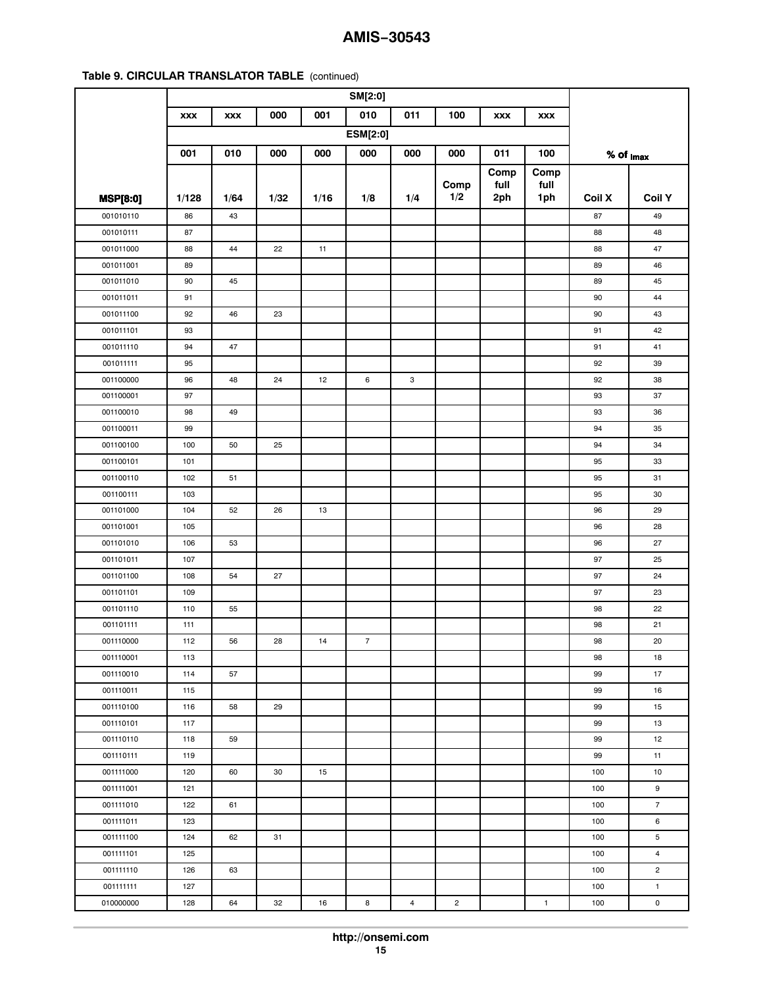|                 | <b>XXX</b> | <b>XXX</b> | 000  | 001  | 010             | 011 | 100            | <b>XXX</b> | <b>XXX</b>   |                         |                |
|-----------------|------------|------------|------|------|-----------------|-----|----------------|------------|--------------|-------------------------|----------------|
|                 |            |            |      |      | <b>ESM[2:0]</b> |     |                |            |              |                         |                |
|                 | 001        | 010        | 000  | 000  | 000             | 000 | 000            | 011        | 100          | $%$ of $_{\text{Imax}}$ |                |
|                 |            |            |      |      |                 |     |                | Comp       | Comp         |                         |                |
|                 |            |            |      |      |                 |     | Comp           | full       | full         |                         |                |
| <b>MSP[8:0]</b> | 1/128      | 1/64       | 1/32 | 1/16 | 1/8             | 1/4 | 1/2            | 2ph        | 1ph          | <b>Coil X</b>           | <b>Coil Y</b>  |
| 001010110       | 86         | 43         |      |      |                 |     |                |            |              | 87                      | 49             |
| 001010111       | 87         |            |      |      |                 |     |                |            |              | 88                      | 48             |
| 001011000       | 88         | 44         | 22   | 11   |                 |     |                |            |              | 88                      | 47             |
| 001011001       | 89         |            |      |      |                 |     |                |            |              | 89                      | 46             |
| 001011010       | 90         | 45         |      |      |                 |     |                |            |              | 89                      | 45             |
| 001011011       | 91         |            |      |      |                 |     |                |            |              | 90                      | 44             |
| 001011100       | 92         | 46         | 23   |      |                 |     |                |            |              | 90                      | 43             |
| 001011101       | 93         |            |      |      |                 |     |                |            |              | 91                      | 42             |
| 001011110       | 94         | 47         |      |      |                 |     |                |            |              | 91                      | 41             |
| 001011111       | 95         |            |      |      |                 |     |                |            |              | 92                      | 39             |
| 001100000       | 96         | 48         | 24   | 12   | 6               | 3   |                |            |              | 92                      | 38             |
| 001100001       | 97         |            |      |      |                 |     |                |            |              | 93                      | 37             |
| 001100010       | 98         | 49         |      |      |                 |     |                |            |              | 93                      | 36             |
| 001100011       | 99         |            |      |      |                 |     |                |            |              | 94                      | 35             |
| 001100100       | 100        | 50         | 25   |      |                 |     |                |            |              | 94                      | 34             |
| 001100101       | 101        |            |      |      |                 |     |                |            |              | 95                      | 33             |
| 001100110       | 102        | 51         |      |      |                 |     |                |            |              | 95                      | 31             |
| 001100111       | 103        |            |      |      |                 |     |                |            |              | 95                      | 30             |
| 001101000       | 104        | 52         | 26   | 13   |                 |     |                |            |              | 96                      | 29             |
| 001101001       | 105        |            |      |      |                 |     |                |            |              | 96                      | 28             |
| 001101010       | 106        | 53         |      |      |                 |     |                |            |              | 96                      | 27             |
| 001101011       | 107        |            |      |      |                 |     |                |            |              | 97                      | 25             |
| 001101100       | 108        | 54         | 27   |      |                 |     |                |            |              | 97                      | 24             |
| 001101101       | 109        |            |      |      |                 |     |                |            |              | 97                      | 23             |
| 001101110       | 110        | 55         |      |      |                 |     |                |            |              | 98                      | 22             |
| 001101111       | 111        |            |      |      |                 |     |                |            |              | 98                      | 21             |
| 001110000       | 112        | 56         | 28   | 14   | $\overline{7}$  |     |                |            |              | 98                      | 20             |
| 001110001       | 113        |            |      |      |                 |     |                |            |              | 98                      | 18             |
| 001110010       | 114        | 57         |      |      |                 |     |                |            |              | 99                      | 17             |
| 001110011       | 115        |            |      |      |                 |     |                |            |              | 99                      | 16             |
| 001110100       | 116        | 58         | 29   |      |                 |     |                |            |              | 99                      | 15             |
| 001110101       | 117        |            |      |      |                 |     |                |            |              | 99                      | 13             |
| 001110110       | 118        | 59         |      |      |                 |     |                |            |              | 99                      | 12             |
| 001110111       | 119        |            |      |      |                 |     |                |            |              | 99                      | 11             |
| 001111000       | 120        | 60         | 30   | 15   |                 |     |                |            |              | 100                     | 10             |
| 001111001       | 121        |            |      |      |                 |     |                |            |              | 100                     | 9              |
| 001111010       | 122        | 61         |      |      |                 |     |                |            |              | 100                     | $\overline{7}$ |
| 001111011       | 123        |            |      |      |                 |     |                |            |              | 100                     | 6              |
| 001111100       | 124        | 62         | 31   |      |                 |     |                |            |              | 100                     | 5              |
| 001111101       | 125        |            |      |      |                 |     |                |            |              | 100                     | 4              |
| 001111110       | 126        | 63         |      |      |                 |     |                |            |              | 100                     | $\overline{c}$ |
| 001111111       | 127        |            |      |      |                 |     |                |            |              | 100                     | $\mathbf{1}$   |
| 010000000       | 128        | 64         | 32   | 16   | 8               | 4   | $\overline{c}$ |            | $\mathbf{1}$ | 100                     | 0              |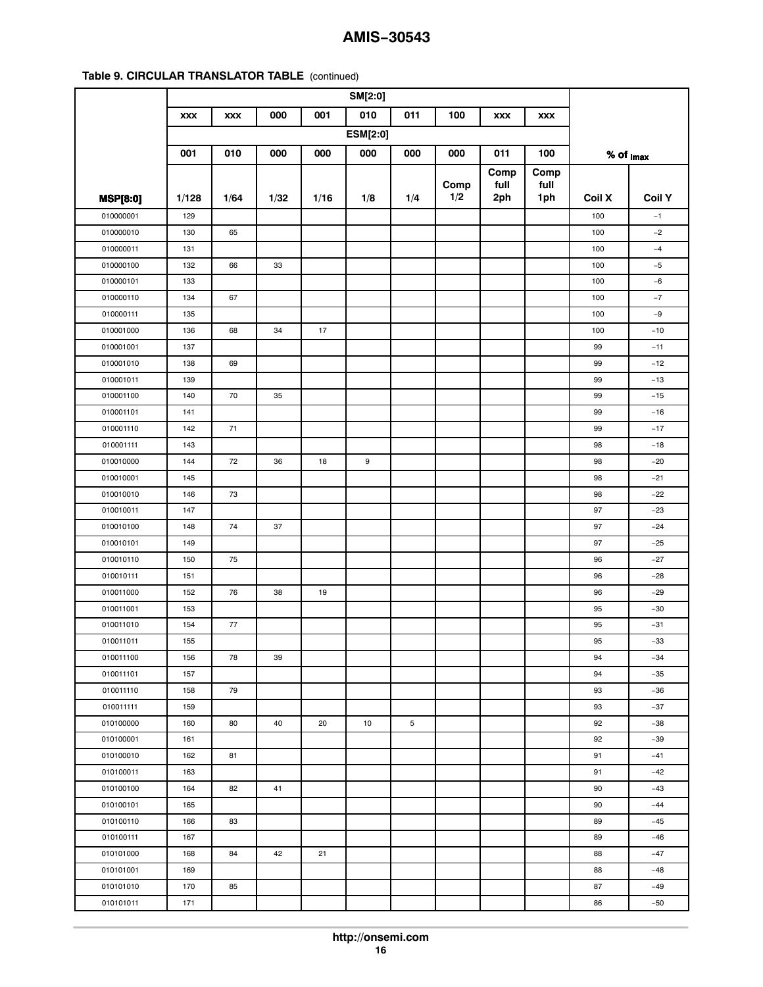|                 | <b>XXX</b> | <b>XXX</b> | 000  | 001  | 010             | 011 | 100  | <b>XXX</b> | <b>XXX</b> |                         |               |
|-----------------|------------|------------|------|------|-----------------|-----|------|------------|------------|-------------------------|---------------|
|                 |            |            |      |      | <b>ESM[2:0]</b> |     |      |            |            |                         |               |
|                 | 001        | 010        | 000  | 000  | 000             | 000 | 000  | 011        | 100        | $%$ of $_{\text{Imax}}$ |               |
|                 |            |            |      |      |                 |     |      | Comp       | Comp       |                         |               |
|                 |            |            |      |      |                 |     | Comp | full       | full       |                         |               |
| <b>MSP[8:0]</b> | 1/128      | 1/64       | 1/32 | 1/16 | 1/8             | 1/4 | 1/2  | 2ph        | 1ph        | <b>Coil X</b>           | <b>Coil Y</b> |
| 010000001       | 129        |            |      |      |                 |     |      |            |            | 100                     | $-1$          |
| 010000010       | 130        | 65         |      |      |                 |     |      |            |            | 100                     | $-2$          |
| 010000011       | 131        |            |      |      |                 |     |      |            |            | 100                     | $-4$          |
| 010000100       | 132        | 66         | 33   |      |                 |     |      |            |            | 100                     | $-5$          |
| 010000101       | 133        |            |      |      |                 |     |      |            |            | 100                     | $-6$          |
| 010000110       | 134        | 67         |      |      |                 |     |      |            |            | 100                     | $-7$          |
| 010000111       | 135        |            |      |      |                 |     |      |            |            | 100                     | $-9$          |
| 010001000       | 136        | 68         | 34   | 17   |                 |     |      |            |            | 100                     | $-10$         |
| 010001001       | 137        |            |      |      |                 |     |      |            |            | 99                      | $-11$         |
| 010001010       | 138        | 69         |      |      |                 |     |      |            |            | 99                      | $-12$         |
| 010001011       | 139        |            |      |      |                 |     |      |            |            | 99                      | $-13$         |
| 010001100       | 140        | 70         | 35   |      |                 |     |      |            |            | 99                      | $-15$         |
| 010001101       | 141        |            |      |      |                 |     |      |            |            | 99                      | $-16$         |
| 010001110       | 142        | 71         |      |      |                 |     |      |            |            | 99                      | $-17$         |
| 010001111       | 143        |            |      |      |                 |     |      |            |            | 98                      | $-18$         |
| 010010000       | 144        | 72         | 36   | 18   | 9               |     |      |            |            | 98                      | $-20$         |
| 010010001       | 145        |            |      |      |                 |     |      |            |            | 98                      | $-21$         |
| 010010010       | 146        | 73         |      |      |                 |     |      |            |            | 98                      | $-22$         |
| 010010011       | 147        |            |      |      |                 |     |      |            |            | 97                      | $-23$         |
| 010010100       | 148        | 74         | 37   |      |                 |     |      |            |            | 97                      | $-24$         |
| 010010101       | 149        |            |      |      |                 |     |      |            |            | 97                      | $-25$         |
| 010010110       | 150        | 75         |      |      |                 |     |      |            |            | 96                      | $-27$         |
| 010010111       | 151        |            |      |      |                 |     |      |            |            | 96                      | $-28$         |
| 010011000       | 152        | 76         | 38   | 19   |                 |     |      |            |            | 96                      | $-29$         |
| 010011001       | 153        |            |      |      |                 |     |      |            |            | 95                      | $-30$         |
| 010011010       | 154        | 77         |      |      |                 |     |      |            |            | 95                      | $-31$         |
| 010011011       | 155        |            |      |      |                 |     |      |            |            | 95                      | $-33$         |
| 010011100       | 156        | 78         | 39   |      |                 |     |      |            |            | 94                      | $-34$         |
| 010011101       | 157        |            |      |      |                 |     |      |            |            | 94                      | $-35$         |
| 010011110       | 158        | 79         |      |      |                 |     |      |            |            | 93                      | $-36$         |
| 010011111       | 159        |            |      |      |                 |     |      |            |            | 93                      | $-37$         |
| 010100000       | 160        | 80         | 40   | 20   | 10              | 5   |      |            |            | 92                      | $-38$         |
| 010100001       | 161        |            |      |      |                 |     |      |            |            | 92                      | $-39$         |
| 010100010       | 162        | 81         |      |      |                 |     |      |            |            | 91                      | $-41$         |
| 010100011       | 163        |            |      |      |                 |     |      |            |            | 91                      | $-42$         |
| 010100100       | 164        | 82         | 41   |      |                 |     |      |            |            | 90                      | $-43$         |
| 010100101       | 165        |            |      |      |                 |     |      |            |            | 90                      | $-44$         |
| 010100110       | 166        | 83         |      |      |                 |     |      |            |            | 89                      | $-45$         |
| 010100111       | 167        |            |      |      |                 |     |      |            |            | 89                      | $-46$         |
| 010101000       | 168        | 84         | 42   | 21   |                 |     |      |            |            | 88                      | $-47$         |
| 010101001       | 169        |            |      |      |                 |     |      |            |            | 88                      | $-48$         |
| 010101010       | 170        | 85         |      |      |                 |     |      |            |            | 87                      | $-49$         |
| 010101011       | 171        |            |      |      |                 |     |      |            |            | 86                      | $-50$         |
|                 |            |            |      |      |                 |     |      |            |            |                         |               |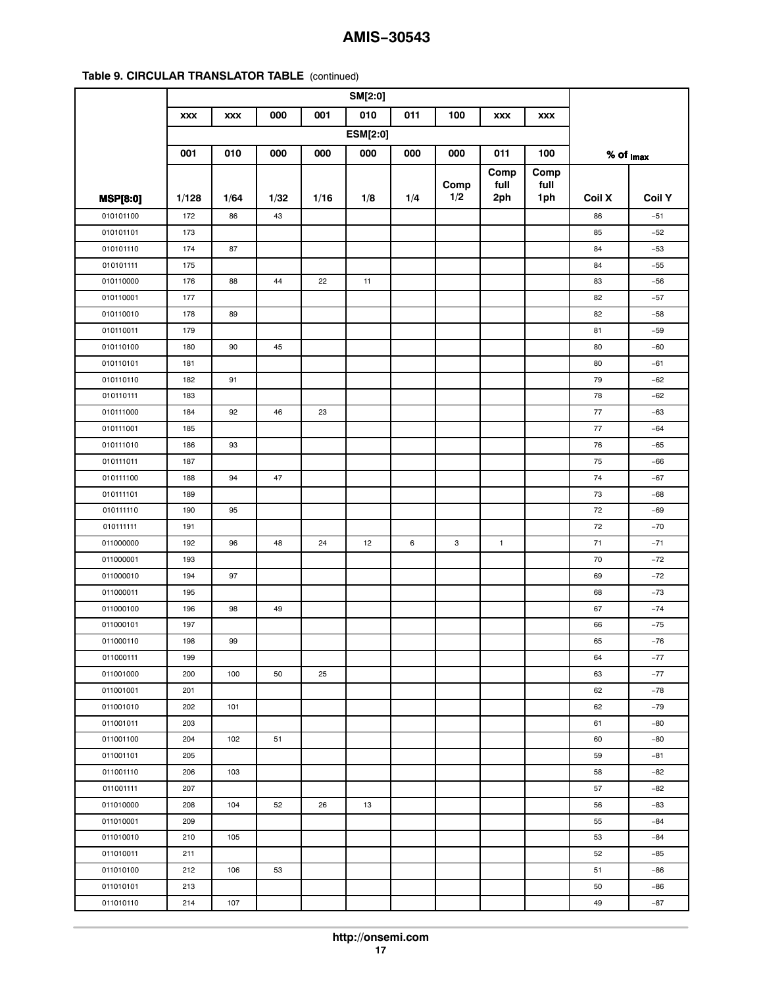|                 | <b>XXX</b> | <b>XXX</b> | 000  | 001  | 010             | 011 | 100  | <b>XXX</b>   | <b>XXX</b> |                         |               |
|-----------------|------------|------------|------|------|-----------------|-----|------|--------------|------------|-------------------------|---------------|
|                 |            |            |      |      | <b>ESM[2:0]</b> |     |      |              |            |                         |               |
|                 | 001        | 010        | 000  | 000  | 000             | 000 | 000  | 011          | 100        | $%$ of $_{\text{Imax}}$ |               |
|                 |            |            |      |      |                 |     |      | Comp         | Comp       |                         |               |
|                 |            |            |      |      |                 |     | Comp | full         | full       |                         |               |
| <b>MSP[8:0]</b> | 1/128      | 1/64       | 1/32 | 1/16 | 1/8             | 1/4 | 1/2  | 2ph          | 1ph        | Coil X                  | <b>Coil Y</b> |
| 010101100       | 172        | 86         | 43   |      |                 |     |      |              |            | 86                      | $-51$         |
| 010101101       | 173        |            |      |      |                 |     |      |              |            | 85                      | $-52$         |
| 010101110       | 174        | 87         |      |      |                 |     |      |              |            | 84                      | $-53$         |
| 010101111       | 175        |            |      |      |                 |     |      |              |            | 84                      | $-55$         |
| 010110000       | 176        | 88         | 44   | 22   | 11              |     |      |              |            | 83                      | $-56$         |
| 010110001       | 177        |            |      |      |                 |     |      |              |            | 82                      | $-57$         |
| 010110010       | 178        | 89         |      |      |                 |     |      |              |            | 82                      | $-58$         |
| 010110011       | 179        |            |      |      |                 |     |      |              |            | 81                      | $-59$         |
| 010110100       | 180        | 90         | 45   |      |                 |     |      |              |            | 80                      | $-60$         |
| 010110101       | 181        |            |      |      |                 |     |      |              |            | 80                      | $-61$         |
| 010110110       | 182        | 91         |      |      |                 |     |      |              |            | 79                      | $-62$         |
| 010110111       | 183        |            |      |      |                 |     |      |              |            | 78                      | $-62$         |
| 010111000       | 184        | 92         | 46   | 23   |                 |     |      |              |            | 77                      | $-63$         |
| 010111001       | 185        |            |      |      |                 |     |      |              |            | 77                      | $-64$         |
| 010111010       | 186        | 93         |      |      |                 |     |      |              |            | 76                      | $-65$         |
| 010111011       | 187        |            |      |      |                 |     |      |              |            | 75                      | $-66$         |
| 010111100       | 188        | 94         | 47   |      |                 |     |      |              |            | 74                      | $-67$         |
| 010111101       | 189        |            |      |      |                 |     |      |              |            | 73                      | $-68$         |
| 010111110       | 190        | 95         |      |      |                 |     |      |              |            | 72                      | $-69$         |
| 010111111       | 191        |            |      |      |                 |     |      |              |            | 72                      | $-70$         |
| 011000000       | 192        | 96         | 48   | 24   | 12              | 6   | 3    | $\mathbf{1}$ |            | 71                      | $-71$         |
| 011000001       | 193        |            |      |      |                 |     |      |              |            | 70                      | $-72$         |
| 011000010       | 194        | 97         |      |      |                 |     |      |              |            | 69                      | $-72$         |
| 011000011       | 195        |            |      |      |                 |     |      |              |            | 68                      | $-73$         |
| 011000100       | 196        | 98         | 49   |      |                 |     |      |              |            | 67                      | $-74$         |
| 011000101       | 197        |            |      |      |                 |     |      |              |            | 66                      | $-75$         |
| 011000110       | 198        | 99         |      |      |                 |     |      |              |            | 65                      | $-76$         |
| 011000111       | 199        |            |      |      |                 |     |      |              |            | 64                      | $-77$         |
| 011001000       | 200        | 100        | 50   | 25   |                 |     |      |              |            | 63                      | $-77$         |
| 011001001       | 201        |            |      |      |                 |     |      |              |            | 62                      | $-78$         |
| 011001010       | 202        | 101        |      |      |                 |     |      |              |            | 62                      | $-79$         |
| 011001011       | 203        |            |      |      |                 |     |      |              |            | 61                      | -80           |
| 011001100       | 204        | 102        | 51   |      |                 |     |      |              |            | 60                      | $-80$         |
| 011001101       | 205        |            |      |      |                 |     |      |              |            | 59                      | $-81$         |
| 011001110       | 206        | 103        |      |      |                 |     |      |              |            | 58                      | $-82$         |
| 011001111       | 207        |            |      |      |                 |     |      |              |            | 57                      | $-82$         |
| 011010000       | 208        | 104        | 52   | 26   | 13              |     |      |              |            | 56                      | $-83$         |
| 011010001       | 209        |            |      |      |                 |     |      |              |            | 55                      | $-84$         |
| 011010010       | 210        | 105        |      |      |                 |     |      |              |            | 53                      | $-84$         |
| 011010011       | 211        |            |      |      |                 |     |      |              |            | 52                      | $-85$         |
| 011010100       | 212        | 106        | 53   |      |                 |     |      |              |            | 51                      | $-86$         |
| 011010101       | 213        |            |      |      |                 |     |      |              |            | 50                      | -86           |
| 011010110       | 214        | 107        |      |      |                 |     |      |              |            | 49                      | $-87$         |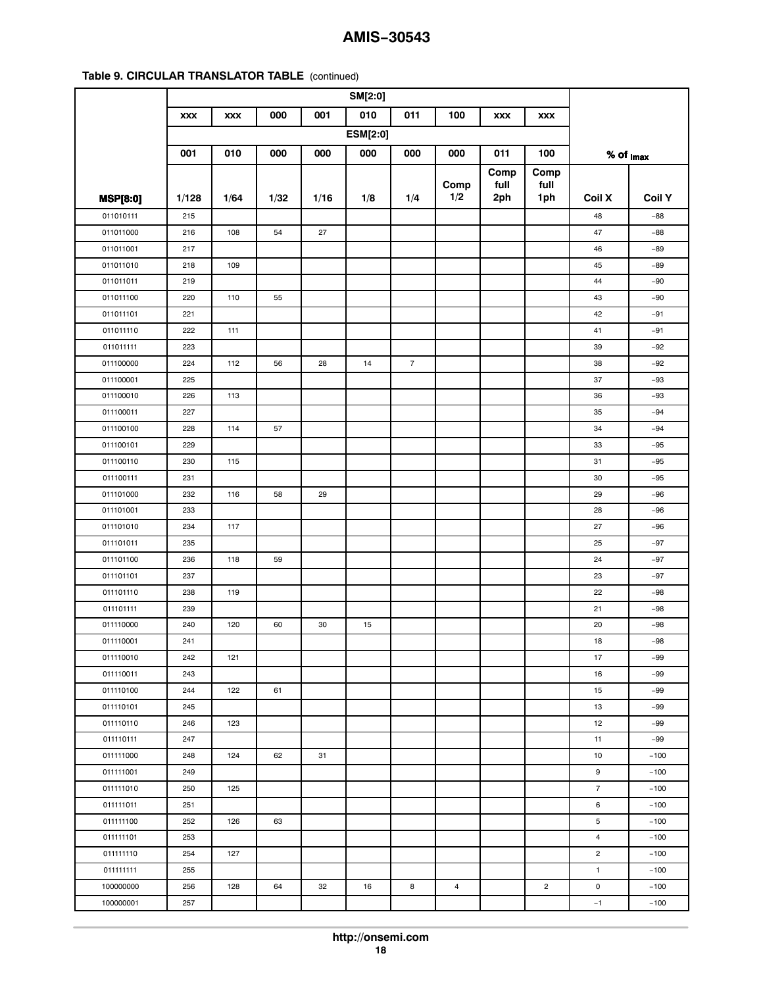|                 | <b>XXX</b> | <b>XXX</b> | 000  | 001  | 010             | 011            | 100  | <b>XXX</b> | <b>XXX</b>     |                         |               |
|-----------------|------------|------------|------|------|-----------------|----------------|------|------------|----------------|-------------------------|---------------|
|                 |            |            |      |      | <b>ESM[2:0]</b> |                |      |            |                |                         |               |
|                 | 001        | 010        | 000  | 000  | 000             | 000            | 000  | 011        | 100            | $%$ of $_{\text{Imax}}$ |               |
|                 |            |            |      |      |                 |                |      | Comp       | Comp           |                         |               |
|                 |            |            |      |      |                 |                | Comp | full       | full           |                         |               |
| <b>MSP[8:0]</b> | 1/128      | 1/64       | 1/32 | 1/16 | 1/8             | 1/4            | 1/2  | 2ph        | 1ph            | <b>Coil X</b>           | <b>Coil Y</b> |
| 011010111       | 215        |            |      |      |                 |                |      |            |                | 48                      | $-88$         |
| 011011000       | 216        | 108        | 54   | 27   |                 |                |      |            |                | 47                      | $-88$         |
| 011011001       | 217        |            |      |      |                 |                |      |            |                | 46                      | $-89$         |
| 011011010       | 218        | 109        |      |      |                 |                |      |            |                | 45                      | $-89$         |
| 011011011       | 219        |            |      |      |                 |                |      |            |                | 44                      | -90           |
| 011011100       | 220        | 110        | 55   |      |                 |                |      |            |                | 43                      | $-90$         |
| 011011101       | 221        |            |      |      |                 |                |      |            |                | 42                      | $-91$         |
| 011011110       | 222        | 111        |      |      |                 |                |      |            |                | 41                      | $-91$         |
| 011011111       | 223        |            |      |      |                 |                |      |            |                | 39                      | $-92$         |
| 011100000       | 224        | 112        | 56   | 28   | 14              | $\overline{7}$ |      |            |                | 38                      | $-92$         |
| 011100001       | 225        |            |      |      |                 |                |      |            |                | 37                      | $-93$         |
| 011100010       | 226        | 113        |      |      |                 |                |      |            |                | 36                      | $-93$         |
| 011100011       | 227        |            |      |      |                 |                |      |            |                | 35                      | $-94$         |
| 011100100       | 228        | 114        | 57   |      |                 |                |      |            |                | 34                      | $-94$         |
| 011100101       | 229        |            |      |      |                 |                |      |            |                | 33                      | $-95$         |
| 011100110       | 230        | 115        |      |      |                 |                |      |            |                | 31                      | $-95$         |
| 011100111       | 231        |            |      |      |                 |                |      |            |                | 30                      | $-95$         |
| 011101000       | 232        | 116        | 58   | 29   |                 |                |      |            |                | 29                      | $-96$         |
| 011101001       | 233        |            |      |      |                 |                |      |            |                | 28                      | $-96$         |
| 011101010       | 234        | 117        |      |      |                 |                |      |            |                | 27                      | $-96$         |
| 011101011       | 235        |            |      |      |                 |                |      |            |                | 25                      | $-97$         |
| 011101100       | 236        | 118        | 59   |      |                 |                |      |            |                | 24                      | $-97$         |
| 011101101       | 237        |            |      |      |                 |                |      |            |                | 23                      | $-97$         |
| 011101110       | 238        | 119        |      |      |                 |                |      |            |                | 22                      | $-98$         |
| 011101111       | 239        |            |      |      |                 |                |      |            |                | 21                      | $-98$         |
| 011110000       | 240        | 120        | 60   | 30   | 15              |                |      |            |                | 20                      | $-98$         |
| 011110001       | 241        |            |      |      |                 |                |      |            |                | 18                      | $-98$         |
| 011110010       | 242        | 121        |      |      |                 |                |      |            |                | 17                      | $-99$         |
| 011110011       | 243        |            |      |      |                 |                |      |            |                | 16                      | $-99$         |
| 011110100       | 244        | 122        | 61   |      |                 |                |      |            |                | 15                      | $-99$         |
| 011110101       | 245        |            |      |      |                 |                |      |            |                | 13                      | $-99$         |
| 011110110       | 246        | 123        |      |      |                 |                |      |            |                | 12                      | $-99$         |
| 011110111       | 247        |            |      |      |                 |                |      |            |                | 11                      | $-99$         |
| 011111000       | 248        | 124        | 62   | 31   |                 |                |      |            |                | 10                      | $-100$        |
| 011111001       | 249        |            |      |      |                 |                |      |            |                | 9                       | $-100$        |
| 011111010       | 250        | 125        |      |      |                 |                |      |            |                | $\overline{7}$          | $-100$        |
| 011111011       | 251        |            |      |      |                 |                |      |            |                | 6                       | $-100$        |
| 011111100       | 252        | 126        | 63   |      |                 |                |      |            |                | 5                       | $-100$        |
| 011111101       | 253        |            |      |      |                 |                |      |            |                | $\overline{4}$          | $-100$        |
| 011111110       | 254        | 127        |      |      |                 |                |      |            |                | $\overline{c}$          | $-100$        |
| 011111111       | 255        |            |      |      |                 |                |      |            |                | 1                       | $-100$        |
| 100000000       | 256        | 128        | 64   | 32   | 16              | 8              | 4    |            | $\overline{c}$ | 0                       | $-100$        |
| 100000001       | 257        |            |      |      |                 |                |      |            |                | $-1$                    | $-100$        |
|                 |            |            |      |      |                 |                |      |            |                |                         |               |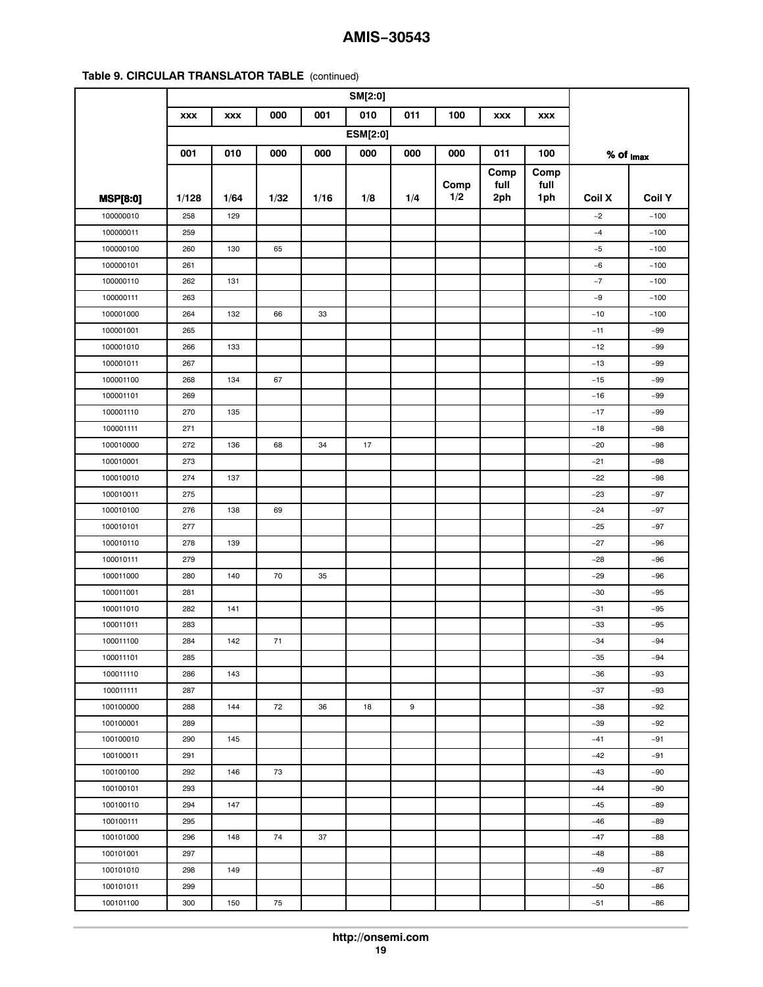|                 | <b>XXX</b> | <b>XXX</b> | 000  | 001  | 010             | 011 | 100  | <b>XXX</b> | <b>XXX</b> |                         |               |
|-----------------|------------|------------|------|------|-----------------|-----|------|------------|------------|-------------------------|---------------|
|                 |            |            |      |      | <b>ESM[2:0]</b> |     |      |            |            |                         |               |
|                 | 001        | 010        | 000  | 000  | 000             | 000 | 000  | 011        | 100        | $%$ of $_{\text{Imax}}$ |               |
|                 |            |            |      |      |                 |     |      | Comp       | Comp       |                         |               |
|                 |            |            |      |      |                 |     | Comp | full       | full       |                         |               |
| <b>MSP[8:0]</b> | 1/128      | 1/64       | 1/32 | 1/16 | 1/8             | 1/4 | 1/2  | 2ph        | 1ph        | Coil X                  | <b>Coil Y</b> |
| 100000010       | 258        | 129        |      |      |                 |     |      |            |            | $-2$                    | $-100$        |
| 100000011       | 259        |            |      |      |                 |     |      |            |            | $-4$                    | $-100$        |
| 100000100       | 260        | 130        | 65   |      |                 |     |      |            |            | $-5$                    | $-100$        |
| 100000101       | 261        |            |      |      |                 |     |      |            |            | $-6$                    | $-100$        |
| 100000110       | 262        | 131        |      |      |                 |     |      |            |            | $-7$                    | $-100$        |
| 100000111       | 263        |            |      |      |                 |     |      |            |            | $-9$                    | $-100$        |
| 100001000       | 264        | 132        | 66   | 33   |                 |     |      |            |            | $-10$                   | $-100$        |
| 100001001       | 265        |            |      |      |                 |     |      |            |            | $-11$                   | $-99$         |
| 100001010       | 266        | 133        |      |      |                 |     |      |            |            | $-12$                   | $-99$         |
| 100001011       | 267        |            |      |      |                 |     |      |            |            | $-13$                   | $-99$         |
| 100001100       | 268        | 134        | 67   |      |                 |     |      |            |            | $-15$                   | $-99$         |
| 100001101       | 269        |            |      |      |                 |     |      |            |            | $-16$                   | $-99$         |
| 100001110       | 270        | 135        |      |      |                 |     |      |            |            | $-17$                   | $-99$         |
| 100001111       | 271        |            |      |      |                 |     |      |            |            | $-18$                   | $-98$         |
| 100010000       | 272        | 136        | 68   | 34   | 17              |     |      |            |            | $-20$                   | $-98$         |
| 100010001       | 273        |            |      |      |                 |     |      |            |            | $-21$                   | $-98$         |
| 100010010       | 274        | 137        |      |      |                 |     |      |            |            | $-22$                   | $-98$         |
| 100010011       | 275        |            |      |      |                 |     |      |            |            | $-23$                   | $-97$         |
| 100010100       | 276        | 138        | 69   |      |                 |     |      |            |            | $-24$                   | $-97$         |
| 100010101       | 277        |            |      |      |                 |     |      |            |            | $-25$                   | $-97$         |
| 100010110       | 278        | 139        |      |      |                 |     |      |            |            | $-27$                   | $-96$         |
| 100010111       | 279        |            |      |      |                 |     |      |            |            | $-28$                   | $-96$         |
| 100011000       | 280        | 140        | 70   | 35   |                 |     |      |            |            | $-29$                   | $-96$         |
| 100011001       | 281        |            |      |      |                 |     |      |            |            | $-30$                   | $-95$         |
| 100011010       | 282        | 141        |      |      |                 |     |      |            |            | $-31$                   | $-95$         |
| 100011011       | 283        |            |      |      |                 |     |      |            |            | $-33$                   | $-95$         |
| 100011100       | 284        | 142        | 71   |      |                 |     |      |            |            | $-34$                   | $-94$         |
| 100011101       | 285        |            |      |      |                 |     |      |            |            | $-35$                   | $-94$         |
| 100011110       | 286        | 143        |      |      |                 |     |      |            |            | -36                     | $-93$         |
| 100011111       | 287        |            |      |      |                 |     |      |            |            | $-37$                   | $-93$         |
| 100100000       | 288        | 144        | 72   | 36   | 18              | 9   |      |            |            | $-38$                   | $-92$         |
| 100100001       | 289        |            |      |      |                 |     |      |            |            | $-39$                   | $-92$         |
| 100100010       | 290        | 145        |      |      |                 |     |      |            |            | $-41$                   | $-91$         |
| 100100011       | 291        |            |      |      |                 |     |      |            |            | $-42$                   | $-91$         |
| 100100100       | 292        | 146        | 73   |      |                 |     |      |            |            | $-43$                   | $-90$         |
| 100100101       | 293        |            |      |      |                 |     |      |            |            | $-44$                   | $-90$         |
| 100100110       | 294        | 147        |      |      |                 |     |      |            |            | $-45$                   | $-89$         |
| 100100111       | 295        |            |      |      |                 |     |      |            |            | $-46$                   | $-89$         |
| 100101000       | 296        | 148        | 74   | 37   |                 |     |      |            |            | $-47$                   | $-88$         |
| 100101001       | 297        |            |      |      |                 |     |      |            |            | $-48$                   | $-88$         |
| 100101010       | 298        | 149        |      |      |                 |     |      |            |            | $-49$                   | $-87$         |
| 100101011       | 299        |            |      |      |                 |     |      |            |            | $-50$                   | $-86$         |
| 100101100       | 300        | 150        | 75   |      |                 |     |      |            |            | $-51$                   | $-86$         |
|                 |            |            |      |      |                 |     |      |            |            |                         |               |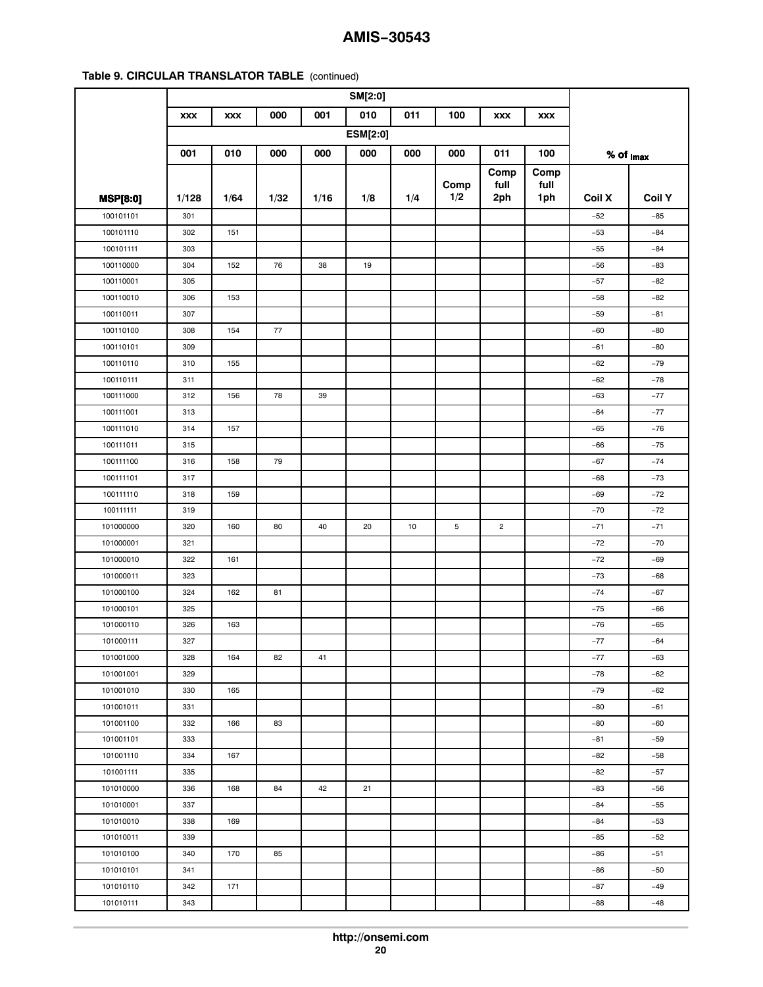|                 | <b>XXX</b> | <b>XXX</b> | 000  | 001  | 010             | 011 | 100  | <b>XXX</b>     | <b>XXX</b> |                         |               |
|-----------------|------------|------------|------|------|-----------------|-----|------|----------------|------------|-------------------------|---------------|
|                 |            |            |      |      | <b>ESM[2:0]</b> |     |      |                |            |                         |               |
|                 | 001        | 010        | 000  | 000  | 000             | 000 | 000  | 011            | 100        | $%$ of $_{\text{Imax}}$ |               |
|                 |            |            |      |      |                 |     |      | Comp           | Comp       |                         |               |
|                 |            |            |      |      |                 |     | Comp | full           | full       |                         |               |
| <b>MSP[8:0]</b> | 1/128      | 1/64       | 1/32 | 1/16 | 1/8             | 1/4 | 1/2  | 2ph            | 1ph        | Coil X                  | <b>Coil Y</b> |
| 100101101       | 301        |            |      |      |                 |     |      |                |            | $-52$                   | $-85$         |
| 100101110       | 302        | 151        |      |      |                 |     |      |                |            | $-53$                   | $-84$         |
| 100101111       | 303        |            |      |      |                 |     |      |                |            | $-55$                   | $-84$         |
| 100110000       | 304        | 152        | 76   | 38   | 19              |     |      |                |            | $-56$                   | -83           |
| 100110001       | 305        |            |      |      |                 |     |      |                |            | $-57$                   | $-82$         |
| 100110010       | 306        | 153        |      |      |                 |     |      |                |            | $-58$                   | $-82$         |
| 100110011       | 307        |            |      |      |                 |     |      |                |            | $-59$                   | $-81$         |
| 100110100       | 308        | 154        | 77   |      |                 |     |      |                |            | $-60$                   | $-80$         |
| 100110101       | 309        |            |      |      |                 |     |      |                |            | $-61$                   | $-80$         |
| 100110110       | 310        | 155        |      |      |                 |     |      |                |            | $-62$                   | $-79$         |
| 100110111       | 311        |            |      |      |                 |     |      |                |            | $-62$                   | $-78$         |
| 100111000       | 312        | 156        | 78   | 39   |                 |     |      |                |            | $-63$                   | $-77$         |
| 100111001       | 313        |            |      |      |                 |     |      |                |            | $-64$                   | $-77$         |
| 100111010       | 314        | 157        |      |      |                 |     |      |                |            | $-65$                   | $-76$         |
| 100111011       | 315        |            |      |      |                 |     |      |                |            | $-66$                   | $-75$         |
| 100111100       | 316        | 158        | 79   |      |                 |     |      |                |            | $-67$                   | $-74$         |
| 100111101       | 317        |            |      |      |                 |     |      |                |            | $-68$                   | $-73$         |
| 100111110       | 318        | 159        |      |      |                 |     |      |                |            | $-69$                   | $-72$         |
| 100111111       | 319        |            |      |      |                 |     |      |                |            | $-70$                   | $-72$         |
| 101000000       | 320        | 160        | 80   | 40   | 20              | 10  | 5    | $\overline{c}$ |            | $-71$                   | $-71$         |
| 101000001       | 321        |            |      |      |                 |     |      |                |            | $-72$                   | $-70$         |
| 101000010       | 322        | 161        |      |      |                 |     |      |                |            | $-72$                   | $-69$         |
| 101000011       | 323        |            |      |      |                 |     |      |                |            | $-73$                   | $-68$         |
| 101000100       | 324        | 162        | 81   |      |                 |     |      |                |            | $-74$                   | $-67$         |
| 101000101       | 325        |            |      |      |                 |     |      |                |            | $-75$                   | -66           |
| 101000110       | 326        | 163        |      |      |                 |     |      |                |            | $-76$                   | $-65$         |
| 101000111       | 327        |            |      |      |                 |     |      |                |            | $-77$                   | $-64$         |
| 101001000       | 328        | 164        | 82   | 41   |                 |     |      |                |            | $-77$                   | $-63$         |
| 101001001       | 329        |            |      |      |                 |     |      |                |            | $-78$                   | $-62$         |
| 101001010       | 330        | 165        |      |      |                 |     |      |                |            | $-79$                   | $-62$         |
| 101001011       | 331        |            |      |      |                 |     |      |                |            | $-80$                   | $-61$         |
| 101001100       | 332        | 166        | 83   |      |                 |     |      |                |            | $-80$                   | $-60$         |
| 101001101       | 333        |            |      |      |                 |     |      |                |            | $-81$                   | $-59$         |
| 101001110       | 334        | 167        |      |      |                 |     |      |                |            | $-82$                   | $-58$         |
| 101001111       | 335        |            |      |      |                 |     |      |                |            | $-82$                   | $-57$         |
| 101010000       | 336        | 168        | 84   | 42   | 21              |     |      |                |            | $-83$                   | $-56$         |
| 101010001       | 337        |            |      |      |                 |     |      |                |            | -84                     | $-55$         |
| 101010010       | 338        | 169        |      |      |                 |     |      |                |            | $-84$                   | $-53$         |
| 101010011       | 339        |            |      |      |                 |     |      |                |            | $-85$                   | $-52$         |
| 101010100       | 340        | 170        | 85   |      |                 |     |      |                |            | $-86$                   | $-51$         |
| 101010101       | 341        |            |      |      |                 |     |      |                |            | $-86$                   | $-50$         |
| 101010110       | 342        | 171        |      |      |                 |     |      |                |            | $-87$                   | $-49$         |
| 101010111       | 343        |            |      |      |                 |     |      |                |            | $-88$                   | $-48$         |
|                 |            |            |      |      |                 |     |      |                |            |                         |               |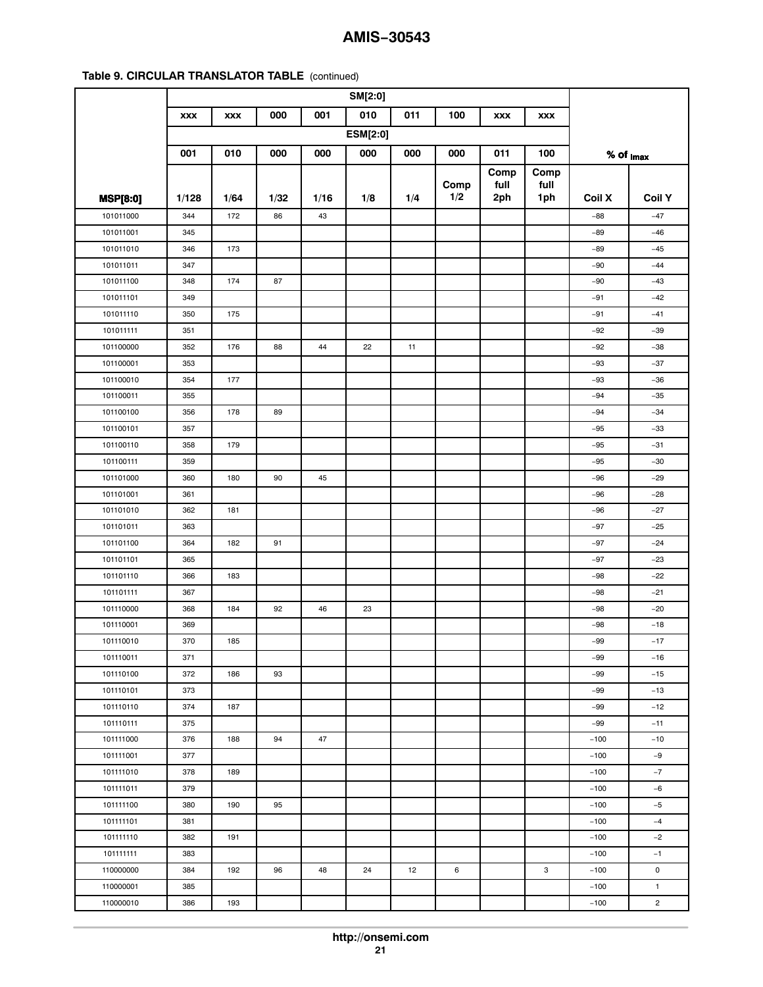| 010<br>000<br>001<br>011<br>100<br><b>XXX</b><br><b>XXX</b><br><b>XXX</b><br><b>XXX</b><br><b>ESM[2:0]</b><br>001<br>010<br>000<br>000<br>000<br>000<br>000<br>011<br>100<br>$%$ of $_{\text{Imax}}$<br>Comp<br>Comp<br>Comp<br>full<br>full<br>1/2<br>1ph<br><b>Coil Y</b><br>1/128<br>1/64<br>1/32<br>1/16<br>1/8<br>1/4<br>2ph<br>Coil X<br><b>MSP[8:0]</b><br>101011000<br>344<br>172<br>86<br>$-88$<br>$-47$<br>43<br>101011001<br>345<br>$-89$<br>$-46$<br>101011010<br>346<br>173<br>$-89$<br>$-45$<br>101011011<br>347<br>$-90$<br>$-44$<br>101011100<br>174<br>348<br>87<br>$-90$<br>$-43$<br>101011101<br>349<br>$-91$<br>$-42$<br>175<br>101011110<br>350<br>$-91$<br>$-41$<br>101011111<br>351<br>$-92$<br>$-39$<br>101100000<br>352<br>176<br>88<br>22<br>11<br>$-92$<br>$-38$<br>44<br>101100001<br>353<br>$-93$<br>$-37$<br>101100010<br>354<br>177<br>$-93$<br>$-36$<br>101100011<br>355<br>$-94$<br>$-35$<br>101100100<br>178<br>89<br>$-34$<br>356<br>$-94$<br>$-33$<br>101100101<br>357<br>$-95$<br>101100110<br>358<br>179<br>$-95$<br>$-31$<br>101100111<br>$-30$<br>359<br>$-95$<br>101101000<br>360<br>180<br>90<br>45<br>$-29$<br>$-96$<br>101101001<br>361<br>$-96$<br>$-28$<br>101101010<br>362<br>181<br>$-96$<br>$-27$<br>101101011<br>363<br>$-97$<br>$-25$<br>101101100<br>182<br>91<br>$-24$<br>364<br>$-97$<br>101101101<br>365<br>$-97$<br>$-23$<br>101101110<br>366<br>183<br>$-98$<br>$-22$<br>101101111<br>$-21$<br>367<br>$-98$<br>184<br>92<br>$-20$<br>101110000<br>368<br>46<br>23<br>$-98$<br>101110001<br>$-18$<br>369<br>-98<br>101110010<br>370<br>185<br>$-99$<br>$-17$<br>101110011<br>371<br>$-99$<br>$-16$<br>101110100<br>372<br>186<br>93<br>$-99$<br>$-15$<br>373<br>$-99$<br>$-13$<br>101110101<br>101110110<br>374<br>187<br>$-99$<br>$-12$<br>101110111<br>375<br>$-99$<br>$-11$<br>101111000<br>376<br>188<br>94<br>47<br>$-100$<br>$-10$<br>$-100$<br>$-9$<br>101111001<br>377<br>101111010<br>378<br>189<br>$-7$<br>$-100$<br>379<br>101111011<br>$-100$<br>$-6$<br>95<br>101111100<br>380<br>190<br>$-5$<br>$-100$<br>101111101<br>381<br>$-100$<br>$-4$<br>101111110<br>382<br>191<br>$-100$<br>$-2$<br>101111111<br>383<br>$-100$<br>$-1$<br>96<br>12<br>3<br>0<br>110000000<br>384<br>192<br>48<br>24<br>6<br>$-100$<br>110000001<br>385<br>$-100$<br>$\mathbf{1}$ |           |     |     |  |  |  |        |                |
|---------------------------------------------------------------------------------------------------------------------------------------------------------------------------------------------------------------------------------------------------------------------------------------------------------------------------------------------------------------------------------------------------------------------------------------------------------------------------------------------------------------------------------------------------------------------------------------------------------------------------------------------------------------------------------------------------------------------------------------------------------------------------------------------------------------------------------------------------------------------------------------------------------------------------------------------------------------------------------------------------------------------------------------------------------------------------------------------------------------------------------------------------------------------------------------------------------------------------------------------------------------------------------------------------------------------------------------------------------------------------------------------------------------------------------------------------------------------------------------------------------------------------------------------------------------------------------------------------------------------------------------------------------------------------------------------------------------------------------------------------------------------------------------------------------------------------------------------------------------------------------------------------------------------------------------------------------------------------------------------------------------------------------------------------------------------------------------------------------------------------------------------------------------------------------------------------------------------------------------------------------------------------------------------------------------------------------|-----------|-----|-----|--|--|--|--------|----------------|
|                                                                                                                                                                                                                                                                                                                                                                                                                                                                                                                                                                                                                                                                                                                                                                                                                                                                                                                                                                                                                                                                                                                                                                                                                                                                                                                                                                                                                                                                                                                                                                                                                                                                                                                                                                                                                                                                                                                                                                                                                                                                                                                                                                                                                                                                                                                                 |           |     |     |  |  |  |        |                |
|                                                                                                                                                                                                                                                                                                                                                                                                                                                                                                                                                                                                                                                                                                                                                                                                                                                                                                                                                                                                                                                                                                                                                                                                                                                                                                                                                                                                                                                                                                                                                                                                                                                                                                                                                                                                                                                                                                                                                                                                                                                                                                                                                                                                                                                                                                                                 |           |     |     |  |  |  |        |                |
|                                                                                                                                                                                                                                                                                                                                                                                                                                                                                                                                                                                                                                                                                                                                                                                                                                                                                                                                                                                                                                                                                                                                                                                                                                                                                                                                                                                                                                                                                                                                                                                                                                                                                                                                                                                                                                                                                                                                                                                                                                                                                                                                                                                                                                                                                                                                 |           |     |     |  |  |  |        |                |
|                                                                                                                                                                                                                                                                                                                                                                                                                                                                                                                                                                                                                                                                                                                                                                                                                                                                                                                                                                                                                                                                                                                                                                                                                                                                                                                                                                                                                                                                                                                                                                                                                                                                                                                                                                                                                                                                                                                                                                                                                                                                                                                                                                                                                                                                                                                                 |           |     |     |  |  |  |        |                |
|                                                                                                                                                                                                                                                                                                                                                                                                                                                                                                                                                                                                                                                                                                                                                                                                                                                                                                                                                                                                                                                                                                                                                                                                                                                                                                                                                                                                                                                                                                                                                                                                                                                                                                                                                                                                                                                                                                                                                                                                                                                                                                                                                                                                                                                                                                                                 |           |     |     |  |  |  |        |                |
|                                                                                                                                                                                                                                                                                                                                                                                                                                                                                                                                                                                                                                                                                                                                                                                                                                                                                                                                                                                                                                                                                                                                                                                                                                                                                                                                                                                                                                                                                                                                                                                                                                                                                                                                                                                                                                                                                                                                                                                                                                                                                                                                                                                                                                                                                                                                 |           |     |     |  |  |  |        |                |
|                                                                                                                                                                                                                                                                                                                                                                                                                                                                                                                                                                                                                                                                                                                                                                                                                                                                                                                                                                                                                                                                                                                                                                                                                                                                                                                                                                                                                                                                                                                                                                                                                                                                                                                                                                                                                                                                                                                                                                                                                                                                                                                                                                                                                                                                                                                                 |           |     |     |  |  |  |        |                |
|                                                                                                                                                                                                                                                                                                                                                                                                                                                                                                                                                                                                                                                                                                                                                                                                                                                                                                                                                                                                                                                                                                                                                                                                                                                                                                                                                                                                                                                                                                                                                                                                                                                                                                                                                                                                                                                                                                                                                                                                                                                                                                                                                                                                                                                                                                                                 |           |     |     |  |  |  |        |                |
|                                                                                                                                                                                                                                                                                                                                                                                                                                                                                                                                                                                                                                                                                                                                                                                                                                                                                                                                                                                                                                                                                                                                                                                                                                                                                                                                                                                                                                                                                                                                                                                                                                                                                                                                                                                                                                                                                                                                                                                                                                                                                                                                                                                                                                                                                                                                 |           |     |     |  |  |  |        |                |
|                                                                                                                                                                                                                                                                                                                                                                                                                                                                                                                                                                                                                                                                                                                                                                                                                                                                                                                                                                                                                                                                                                                                                                                                                                                                                                                                                                                                                                                                                                                                                                                                                                                                                                                                                                                                                                                                                                                                                                                                                                                                                                                                                                                                                                                                                                                                 |           |     |     |  |  |  |        |                |
|                                                                                                                                                                                                                                                                                                                                                                                                                                                                                                                                                                                                                                                                                                                                                                                                                                                                                                                                                                                                                                                                                                                                                                                                                                                                                                                                                                                                                                                                                                                                                                                                                                                                                                                                                                                                                                                                                                                                                                                                                                                                                                                                                                                                                                                                                                                                 |           |     |     |  |  |  |        |                |
|                                                                                                                                                                                                                                                                                                                                                                                                                                                                                                                                                                                                                                                                                                                                                                                                                                                                                                                                                                                                                                                                                                                                                                                                                                                                                                                                                                                                                                                                                                                                                                                                                                                                                                                                                                                                                                                                                                                                                                                                                                                                                                                                                                                                                                                                                                                                 |           |     |     |  |  |  |        |                |
|                                                                                                                                                                                                                                                                                                                                                                                                                                                                                                                                                                                                                                                                                                                                                                                                                                                                                                                                                                                                                                                                                                                                                                                                                                                                                                                                                                                                                                                                                                                                                                                                                                                                                                                                                                                                                                                                                                                                                                                                                                                                                                                                                                                                                                                                                                                                 |           |     |     |  |  |  |        |                |
|                                                                                                                                                                                                                                                                                                                                                                                                                                                                                                                                                                                                                                                                                                                                                                                                                                                                                                                                                                                                                                                                                                                                                                                                                                                                                                                                                                                                                                                                                                                                                                                                                                                                                                                                                                                                                                                                                                                                                                                                                                                                                                                                                                                                                                                                                                                                 |           |     |     |  |  |  |        |                |
|                                                                                                                                                                                                                                                                                                                                                                                                                                                                                                                                                                                                                                                                                                                                                                                                                                                                                                                                                                                                                                                                                                                                                                                                                                                                                                                                                                                                                                                                                                                                                                                                                                                                                                                                                                                                                                                                                                                                                                                                                                                                                                                                                                                                                                                                                                                                 |           |     |     |  |  |  |        |                |
|                                                                                                                                                                                                                                                                                                                                                                                                                                                                                                                                                                                                                                                                                                                                                                                                                                                                                                                                                                                                                                                                                                                                                                                                                                                                                                                                                                                                                                                                                                                                                                                                                                                                                                                                                                                                                                                                                                                                                                                                                                                                                                                                                                                                                                                                                                                                 |           |     |     |  |  |  |        |                |
|                                                                                                                                                                                                                                                                                                                                                                                                                                                                                                                                                                                                                                                                                                                                                                                                                                                                                                                                                                                                                                                                                                                                                                                                                                                                                                                                                                                                                                                                                                                                                                                                                                                                                                                                                                                                                                                                                                                                                                                                                                                                                                                                                                                                                                                                                                                                 |           |     |     |  |  |  |        |                |
|                                                                                                                                                                                                                                                                                                                                                                                                                                                                                                                                                                                                                                                                                                                                                                                                                                                                                                                                                                                                                                                                                                                                                                                                                                                                                                                                                                                                                                                                                                                                                                                                                                                                                                                                                                                                                                                                                                                                                                                                                                                                                                                                                                                                                                                                                                                                 |           |     |     |  |  |  |        |                |
|                                                                                                                                                                                                                                                                                                                                                                                                                                                                                                                                                                                                                                                                                                                                                                                                                                                                                                                                                                                                                                                                                                                                                                                                                                                                                                                                                                                                                                                                                                                                                                                                                                                                                                                                                                                                                                                                                                                                                                                                                                                                                                                                                                                                                                                                                                                                 |           |     |     |  |  |  |        |                |
|                                                                                                                                                                                                                                                                                                                                                                                                                                                                                                                                                                                                                                                                                                                                                                                                                                                                                                                                                                                                                                                                                                                                                                                                                                                                                                                                                                                                                                                                                                                                                                                                                                                                                                                                                                                                                                                                                                                                                                                                                                                                                                                                                                                                                                                                                                                                 |           |     |     |  |  |  |        |                |
|                                                                                                                                                                                                                                                                                                                                                                                                                                                                                                                                                                                                                                                                                                                                                                                                                                                                                                                                                                                                                                                                                                                                                                                                                                                                                                                                                                                                                                                                                                                                                                                                                                                                                                                                                                                                                                                                                                                                                                                                                                                                                                                                                                                                                                                                                                                                 |           |     |     |  |  |  |        |                |
|                                                                                                                                                                                                                                                                                                                                                                                                                                                                                                                                                                                                                                                                                                                                                                                                                                                                                                                                                                                                                                                                                                                                                                                                                                                                                                                                                                                                                                                                                                                                                                                                                                                                                                                                                                                                                                                                                                                                                                                                                                                                                                                                                                                                                                                                                                                                 |           |     |     |  |  |  |        |                |
|                                                                                                                                                                                                                                                                                                                                                                                                                                                                                                                                                                                                                                                                                                                                                                                                                                                                                                                                                                                                                                                                                                                                                                                                                                                                                                                                                                                                                                                                                                                                                                                                                                                                                                                                                                                                                                                                                                                                                                                                                                                                                                                                                                                                                                                                                                                                 |           |     |     |  |  |  |        |                |
|                                                                                                                                                                                                                                                                                                                                                                                                                                                                                                                                                                                                                                                                                                                                                                                                                                                                                                                                                                                                                                                                                                                                                                                                                                                                                                                                                                                                                                                                                                                                                                                                                                                                                                                                                                                                                                                                                                                                                                                                                                                                                                                                                                                                                                                                                                                                 |           |     |     |  |  |  |        |                |
|                                                                                                                                                                                                                                                                                                                                                                                                                                                                                                                                                                                                                                                                                                                                                                                                                                                                                                                                                                                                                                                                                                                                                                                                                                                                                                                                                                                                                                                                                                                                                                                                                                                                                                                                                                                                                                                                                                                                                                                                                                                                                                                                                                                                                                                                                                                                 |           |     |     |  |  |  |        |                |
|                                                                                                                                                                                                                                                                                                                                                                                                                                                                                                                                                                                                                                                                                                                                                                                                                                                                                                                                                                                                                                                                                                                                                                                                                                                                                                                                                                                                                                                                                                                                                                                                                                                                                                                                                                                                                                                                                                                                                                                                                                                                                                                                                                                                                                                                                                                                 |           |     |     |  |  |  |        |                |
|                                                                                                                                                                                                                                                                                                                                                                                                                                                                                                                                                                                                                                                                                                                                                                                                                                                                                                                                                                                                                                                                                                                                                                                                                                                                                                                                                                                                                                                                                                                                                                                                                                                                                                                                                                                                                                                                                                                                                                                                                                                                                                                                                                                                                                                                                                                                 |           |     |     |  |  |  |        |                |
|                                                                                                                                                                                                                                                                                                                                                                                                                                                                                                                                                                                                                                                                                                                                                                                                                                                                                                                                                                                                                                                                                                                                                                                                                                                                                                                                                                                                                                                                                                                                                                                                                                                                                                                                                                                                                                                                                                                                                                                                                                                                                                                                                                                                                                                                                                                                 |           |     |     |  |  |  |        |                |
|                                                                                                                                                                                                                                                                                                                                                                                                                                                                                                                                                                                                                                                                                                                                                                                                                                                                                                                                                                                                                                                                                                                                                                                                                                                                                                                                                                                                                                                                                                                                                                                                                                                                                                                                                                                                                                                                                                                                                                                                                                                                                                                                                                                                                                                                                                                                 |           |     |     |  |  |  |        |                |
|                                                                                                                                                                                                                                                                                                                                                                                                                                                                                                                                                                                                                                                                                                                                                                                                                                                                                                                                                                                                                                                                                                                                                                                                                                                                                                                                                                                                                                                                                                                                                                                                                                                                                                                                                                                                                                                                                                                                                                                                                                                                                                                                                                                                                                                                                                                                 |           |     |     |  |  |  |        |                |
|                                                                                                                                                                                                                                                                                                                                                                                                                                                                                                                                                                                                                                                                                                                                                                                                                                                                                                                                                                                                                                                                                                                                                                                                                                                                                                                                                                                                                                                                                                                                                                                                                                                                                                                                                                                                                                                                                                                                                                                                                                                                                                                                                                                                                                                                                                                                 |           |     |     |  |  |  |        |                |
|                                                                                                                                                                                                                                                                                                                                                                                                                                                                                                                                                                                                                                                                                                                                                                                                                                                                                                                                                                                                                                                                                                                                                                                                                                                                                                                                                                                                                                                                                                                                                                                                                                                                                                                                                                                                                                                                                                                                                                                                                                                                                                                                                                                                                                                                                                                                 |           |     |     |  |  |  |        |                |
|                                                                                                                                                                                                                                                                                                                                                                                                                                                                                                                                                                                                                                                                                                                                                                                                                                                                                                                                                                                                                                                                                                                                                                                                                                                                                                                                                                                                                                                                                                                                                                                                                                                                                                                                                                                                                                                                                                                                                                                                                                                                                                                                                                                                                                                                                                                                 |           |     |     |  |  |  |        |                |
|                                                                                                                                                                                                                                                                                                                                                                                                                                                                                                                                                                                                                                                                                                                                                                                                                                                                                                                                                                                                                                                                                                                                                                                                                                                                                                                                                                                                                                                                                                                                                                                                                                                                                                                                                                                                                                                                                                                                                                                                                                                                                                                                                                                                                                                                                                                                 |           |     |     |  |  |  |        |                |
|                                                                                                                                                                                                                                                                                                                                                                                                                                                                                                                                                                                                                                                                                                                                                                                                                                                                                                                                                                                                                                                                                                                                                                                                                                                                                                                                                                                                                                                                                                                                                                                                                                                                                                                                                                                                                                                                                                                                                                                                                                                                                                                                                                                                                                                                                                                                 |           |     |     |  |  |  |        |                |
|                                                                                                                                                                                                                                                                                                                                                                                                                                                                                                                                                                                                                                                                                                                                                                                                                                                                                                                                                                                                                                                                                                                                                                                                                                                                                                                                                                                                                                                                                                                                                                                                                                                                                                                                                                                                                                                                                                                                                                                                                                                                                                                                                                                                                                                                                                                                 |           |     |     |  |  |  |        |                |
|                                                                                                                                                                                                                                                                                                                                                                                                                                                                                                                                                                                                                                                                                                                                                                                                                                                                                                                                                                                                                                                                                                                                                                                                                                                                                                                                                                                                                                                                                                                                                                                                                                                                                                                                                                                                                                                                                                                                                                                                                                                                                                                                                                                                                                                                                                                                 |           |     |     |  |  |  |        |                |
|                                                                                                                                                                                                                                                                                                                                                                                                                                                                                                                                                                                                                                                                                                                                                                                                                                                                                                                                                                                                                                                                                                                                                                                                                                                                                                                                                                                                                                                                                                                                                                                                                                                                                                                                                                                                                                                                                                                                                                                                                                                                                                                                                                                                                                                                                                                                 |           |     |     |  |  |  |        |                |
|                                                                                                                                                                                                                                                                                                                                                                                                                                                                                                                                                                                                                                                                                                                                                                                                                                                                                                                                                                                                                                                                                                                                                                                                                                                                                                                                                                                                                                                                                                                                                                                                                                                                                                                                                                                                                                                                                                                                                                                                                                                                                                                                                                                                                                                                                                                                 |           |     |     |  |  |  |        |                |
|                                                                                                                                                                                                                                                                                                                                                                                                                                                                                                                                                                                                                                                                                                                                                                                                                                                                                                                                                                                                                                                                                                                                                                                                                                                                                                                                                                                                                                                                                                                                                                                                                                                                                                                                                                                                                                                                                                                                                                                                                                                                                                                                                                                                                                                                                                                                 |           |     |     |  |  |  |        |                |
|                                                                                                                                                                                                                                                                                                                                                                                                                                                                                                                                                                                                                                                                                                                                                                                                                                                                                                                                                                                                                                                                                                                                                                                                                                                                                                                                                                                                                                                                                                                                                                                                                                                                                                                                                                                                                                                                                                                                                                                                                                                                                                                                                                                                                                                                                                                                 |           |     |     |  |  |  |        |                |
|                                                                                                                                                                                                                                                                                                                                                                                                                                                                                                                                                                                                                                                                                                                                                                                                                                                                                                                                                                                                                                                                                                                                                                                                                                                                                                                                                                                                                                                                                                                                                                                                                                                                                                                                                                                                                                                                                                                                                                                                                                                                                                                                                                                                                                                                                                                                 |           |     |     |  |  |  |        |                |
|                                                                                                                                                                                                                                                                                                                                                                                                                                                                                                                                                                                                                                                                                                                                                                                                                                                                                                                                                                                                                                                                                                                                                                                                                                                                                                                                                                                                                                                                                                                                                                                                                                                                                                                                                                                                                                                                                                                                                                                                                                                                                                                                                                                                                                                                                                                                 |           |     |     |  |  |  |        |                |
|                                                                                                                                                                                                                                                                                                                                                                                                                                                                                                                                                                                                                                                                                                                                                                                                                                                                                                                                                                                                                                                                                                                                                                                                                                                                                                                                                                                                                                                                                                                                                                                                                                                                                                                                                                                                                                                                                                                                                                                                                                                                                                                                                                                                                                                                                                                                 |           |     |     |  |  |  |        |                |
|                                                                                                                                                                                                                                                                                                                                                                                                                                                                                                                                                                                                                                                                                                                                                                                                                                                                                                                                                                                                                                                                                                                                                                                                                                                                                                                                                                                                                                                                                                                                                                                                                                                                                                                                                                                                                                                                                                                                                                                                                                                                                                                                                                                                                                                                                                                                 |           |     |     |  |  |  |        |                |
|                                                                                                                                                                                                                                                                                                                                                                                                                                                                                                                                                                                                                                                                                                                                                                                                                                                                                                                                                                                                                                                                                                                                                                                                                                                                                                                                                                                                                                                                                                                                                                                                                                                                                                                                                                                                                                                                                                                                                                                                                                                                                                                                                                                                                                                                                                                                 |           |     |     |  |  |  |        |                |
|                                                                                                                                                                                                                                                                                                                                                                                                                                                                                                                                                                                                                                                                                                                                                                                                                                                                                                                                                                                                                                                                                                                                                                                                                                                                                                                                                                                                                                                                                                                                                                                                                                                                                                                                                                                                                                                                                                                                                                                                                                                                                                                                                                                                                                                                                                                                 |           |     |     |  |  |  |        |                |
|                                                                                                                                                                                                                                                                                                                                                                                                                                                                                                                                                                                                                                                                                                                                                                                                                                                                                                                                                                                                                                                                                                                                                                                                                                                                                                                                                                                                                                                                                                                                                                                                                                                                                                                                                                                                                                                                                                                                                                                                                                                                                                                                                                                                                                                                                                                                 |           |     |     |  |  |  |        |                |
|                                                                                                                                                                                                                                                                                                                                                                                                                                                                                                                                                                                                                                                                                                                                                                                                                                                                                                                                                                                                                                                                                                                                                                                                                                                                                                                                                                                                                                                                                                                                                                                                                                                                                                                                                                                                                                                                                                                                                                                                                                                                                                                                                                                                                                                                                                                                 | 110000010 | 386 | 193 |  |  |  | $-100$ | $\overline{c}$ |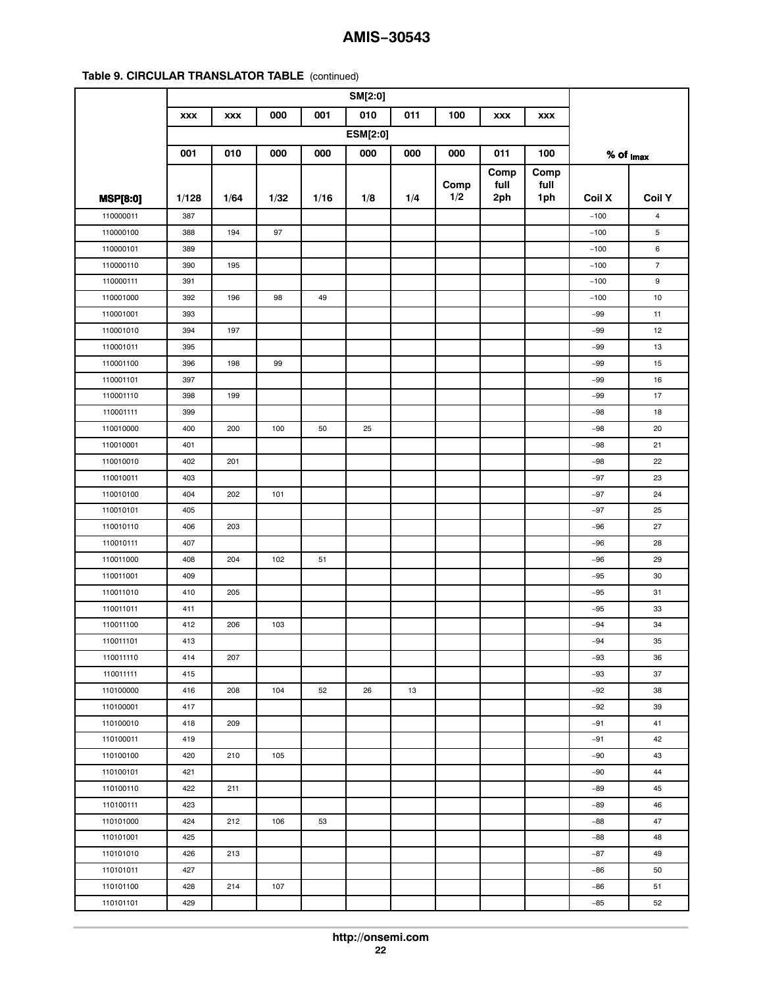|                 | <b>XXX</b> | <b>XXX</b> | 000  | 001  | 010             | 011 | 100  | <b>XXX</b> | <b>XXX</b> |                         |                |
|-----------------|------------|------------|------|------|-----------------|-----|------|------------|------------|-------------------------|----------------|
|                 |            |            |      |      | <b>ESM[2:0]</b> |     |      |            |            |                         |                |
|                 | 001        | 010        | 000  | 000  | 000             | 000 | 000  | 011        | 100        | $%$ of $_{\text{Imax}}$ |                |
|                 |            |            |      |      |                 |     |      | Comp       | Comp       |                         |                |
|                 |            |            |      |      |                 |     | Comp | full       | full       |                         |                |
| <b>MSP[8:0]</b> | 1/128      | 1/64       | 1/32 | 1/16 | 1/8             | 1/4 | 1/2  | 2ph        | 1ph        | Coil X                  | <b>Coil Y</b>  |
| 110000011       | 387        |            |      |      |                 |     |      |            |            | $-100$                  | $\overline{4}$ |
| 110000100       | 388        | 194        | 97   |      |                 |     |      |            |            | $-100$                  | 5              |
| 110000101       | 389        |            |      |      |                 |     |      |            |            | $-100$                  | 6              |
| 110000110       | 390        | 195        |      |      |                 |     |      |            |            | $-100$                  | $\overline{7}$ |
| 110000111       | 391        |            |      |      |                 |     |      |            |            | $-100$                  | 9              |
| 110001000       | 392        | 196        | 98   | 49   |                 |     |      |            |            | $-100$                  | 10             |
| 110001001       | 393        |            |      |      |                 |     |      |            |            | $-99$                   | 11             |
| 110001010       | 394        | 197        |      |      |                 |     |      |            |            | $-99$                   | 12             |
| 110001011       | 395        |            |      |      |                 |     |      |            |            | $-99$                   | 13             |
| 110001100       | 396        | 198        | 99   |      |                 |     |      |            |            | $-99$                   | 15             |
| 110001101       | 397        |            |      |      |                 |     |      |            |            | $-99$                   | 16             |
| 110001110       | 398        | 199        |      |      |                 |     |      |            |            | $-99$                   | 17             |
| 110001111       | 399        |            |      |      |                 |     |      |            |            | $-98$                   | 18             |
| 110010000       | 400        | 200        | 100  | 50   | 25              |     |      |            |            | $-98$                   | 20             |
| 110010001       | 401        |            |      |      |                 |     |      |            |            | $-98$                   | 21             |
| 110010010       | 402        | 201        |      |      |                 |     |      |            |            | $-98$                   | 22             |
| 110010011       | 403        |            |      |      |                 |     |      |            |            | $-97$                   | 23             |
| 110010100       | 404        | 202        | 101  |      |                 |     |      |            |            | $-97$                   | 24             |
| 110010101       | 405        |            |      |      |                 |     |      |            |            | $-97$                   | 25             |
| 110010110       | 406        | 203        |      |      |                 |     |      |            |            | $-96$                   | 27             |
| 110010111       | 407        |            |      |      |                 |     |      |            |            | $-96$                   | 28             |
| 110011000       | 408        | 204        | 102  | 51   |                 |     |      |            |            | $-96$                   | 29             |
| 110011001       | 409        |            |      |      |                 |     |      |            |            | $-95$                   | 30             |
| 110011010       | 410        | 205        |      |      |                 |     |      |            |            | $-95$                   | 31             |
| 110011011       | 411        |            |      |      |                 |     |      |            |            | $-95$                   | 33             |
| 110011100       | 412        | 206        | 103  |      |                 |     |      |            |            | $-94$                   | 34             |
| 110011101       | 413        |            |      |      |                 |     |      |            |            | $-94$                   | 35             |
| 110011110       | 414        | 207        |      |      |                 |     |      |            |            | $-93$                   | 36             |
| 110011111       | 415        |            |      |      |                 |     |      |            |            | $-93$                   | 37             |
| 110100000       | 416        | 208        | 104  | 52   | 26              | 13  |      |            |            | $-92$                   | 38             |
| 110100001       | 417        |            |      |      |                 |     |      |            |            | $-92$                   | 39             |
| 110100010       | 418        | 209        |      |      |                 |     |      |            |            | $-91$                   | 41             |
| 110100011       | 419        |            |      |      |                 |     |      |            |            | $-91$                   | 42             |
| 110100100       | 420        | 210        | 105  |      |                 |     |      |            |            | $-90$                   | 43             |
| 110100101       | 421        |            |      |      |                 |     |      |            |            | $-90$                   | 44             |
| 110100110       | 422        | 211        |      |      |                 |     |      |            |            | $-89$                   | 45             |
| 110100111       | 423        |            |      |      |                 |     |      |            |            | $-89$                   | 46             |
| 110101000       | 424        | 212        | 106  | 53   |                 |     |      |            |            | $-88$                   | 47             |
| 110101001       | 425        |            |      |      |                 |     |      |            |            | $-88$                   | 48             |
| 110101010       | 426        | 213        |      |      |                 |     |      |            |            | $-87$                   | 49             |
| 110101011       | 427        |            |      |      |                 |     |      |            |            | $-86$                   | 50             |
| 110101100       | 428        | 214        | 107  |      |                 |     |      |            |            | -86                     | 51             |
| 110101101       | 429        |            |      |      |                 |     |      |            |            | $-85$                   | 52             |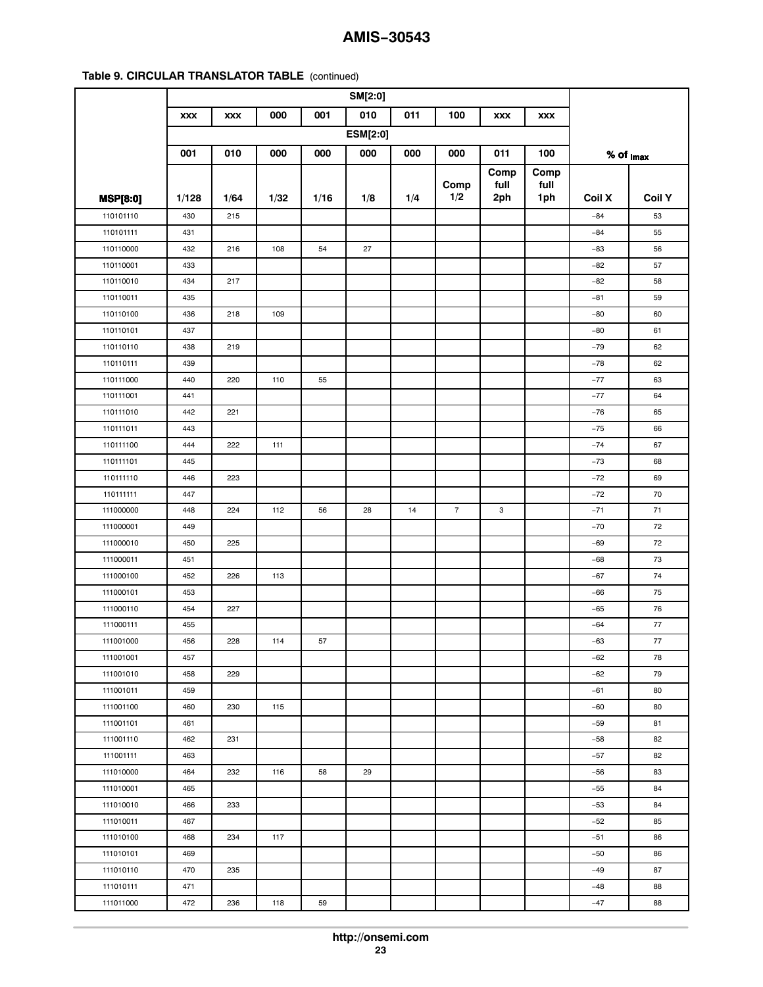|                        | <b>XXX</b> | <b>XXX</b> | 000  | 001  | 010             | 011 | 100            | <b>XXX</b>  | <b>XXX</b>  |                         |               |
|------------------------|------------|------------|------|------|-----------------|-----|----------------|-------------|-------------|-------------------------|---------------|
|                        |            |            |      |      | <b>ESM[2:0]</b> |     |                |             |             |                         |               |
|                        | 001        | 010        | 000  | 000  | 000             | 000 | 000            | 011         | 100         | $%$ of $_{\text{Imax}}$ |               |
|                        |            |            |      |      |                 |     |                | Comp        | Comp        |                         |               |
| <b>MSP[8:0]</b>        | 1/128      | 1/64       | 1/32 | 1/16 | 1/8             | 1/4 | Comp<br>1/2    | full<br>2ph | full<br>1ph | <b>Coil X</b>           | <b>Coil Y</b> |
| 110101110              | 430        | 215        |      |      |                 |     |                |             |             | $-84$                   | 53            |
| 110101111              | 431        |            |      |      |                 |     |                |             |             | $-84$                   | 55            |
| 110110000              | 432        | 216        | 108  | 54   | 27              |     |                |             |             | $-83$                   | 56            |
| 110110001              | 433        |            |      |      |                 |     |                |             |             | $-82$                   | 57            |
| 110110010              | 434        | 217        |      |      |                 |     |                |             |             | $-82$                   | 58            |
| 110110011              | 435        |            |      |      |                 |     |                |             |             | $-81$                   | 59            |
| 110110100              | 436        | 218        | 109  |      |                 |     |                |             |             | $-80$                   | 60            |
| 110110101              | 437        |            |      |      |                 |     |                |             |             | $-80$                   | 61            |
| 110110110              | 438        | 219        |      |      |                 |     |                |             |             | $-79$                   | 62            |
| 110110111              | 439        |            |      |      |                 |     |                |             |             | $-78$                   | 62            |
| 110111000              | 440        | 220        | 110  | 55   |                 |     |                |             |             | $-77$                   | 63            |
| 110111001              | 441        |            |      |      |                 |     |                |             |             | $-77$                   | 64            |
| 110111010              | 442        | 221        |      |      |                 |     |                |             |             | $-76$                   | 65            |
| 110111011              | 443        |            |      |      |                 |     |                |             |             | $-75$                   | 66            |
| 110111100              | 444        | 222        | 111  |      |                 |     |                |             |             | $-74$                   | 67            |
| 110111101              | 445        |            |      |      |                 |     |                |             |             | $-73$                   | 68            |
| 110111110              | 446        | 223        |      |      |                 |     |                |             |             | $-72$                   | 69            |
| 110111111              | 447        |            |      |      |                 |     |                |             |             | $-72$                   | 70            |
| 111000000              | 448        | 224        | 112  | 56   | 28              | 14  | $\overline{7}$ | 3           |             | $-71$                   | 71            |
| 111000001              | 449        |            |      |      |                 |     |                |             |             | $-70$                   | 72            |
| 111000010              | 450        | 225        |      |      |                 |     |                |             |             | $-69$                   | 72            |
| 111000011              | 451        |            |      |      |                 |     |                |             |             | $-68$                   | 73            |
| 111000100              | 452        | 226        | 113  |      |                 |     |                |             |             | $-67$                   | 74            |
| 111000101              | 453        |            |      |      |                 |     |                |             |             | $-66$                   | 75            |
| 111000110              | 454        | 227        |      |      |                 |     |                |             |             | $-65$                   | 76            |
| 111000111              | 455        |            |      |      |                 |     |                |             |             | $-64$                   | 77            |
| 111001000              | 456        | 228        | 114  | 57   |                 |     |                |             |             | $-63$                   | 77            |
| 111001001              | 457        |            |      |      |                 |     |                |             |             | $-62$                   | 78            |
| 111001010              | 458        | 229        |      |      |                 |     |                |             |             | $-62$                   | 79            |
| 111001011              | 459        |            |      |      |                 |     |                |             |             | $-61$                   | 80            |
| 111001100              | 460        | 230        | 115  |      |                 |     |                |             |             | $-60$                   | 80            |
| 111001101              | 461        |            |      |      |                 |     |                |             |             | $-59$                   | 81            |
| 111001110              | 462        | 231        |      |      |                 |     |                |             |             | $-58$                   | 82            |
| 111001111              | 463        |            |      |      |                 |     |                |             |             | $-57$                   | 82            |
|                        | 464        | 232        | 116  |      | 29              |     |                |             |             | $-56$                   | 83            |
| 111010000<br>111010001 | 465        |            |      | 58   |                 |     |                |             |             | $-55$                   | 84            |
| 111010010              | 466        | 233        |      |      |                 |     |                |             |             | $-53$                   | 84            |
| 111010011              | 467        |            |      |      |                 |     |                |             |             | $-52$                   | 85            |
|                        |            |            |      |      |                 |     |                |             |             |                         |               |
| 111010100              | 468        | 234        | 117  |      |                 |     |                |             |             | $-51$                   | 86            |
| 111010101              | 469        |            |      |      |                 |     |                |             |             | $-50$                   | 86            |
| 111010110              | 470        | 235        |      |      |                 |     |                |             |             | $-49$                   | 87            |
| 111010111              | 471        |            |      |      |                 |     |                |             |             | $-48$                   | 88            |
| 111011000              | 472        | 236        | 118  | 59   |                 |     |                |             |             | $-47$                   | 88            |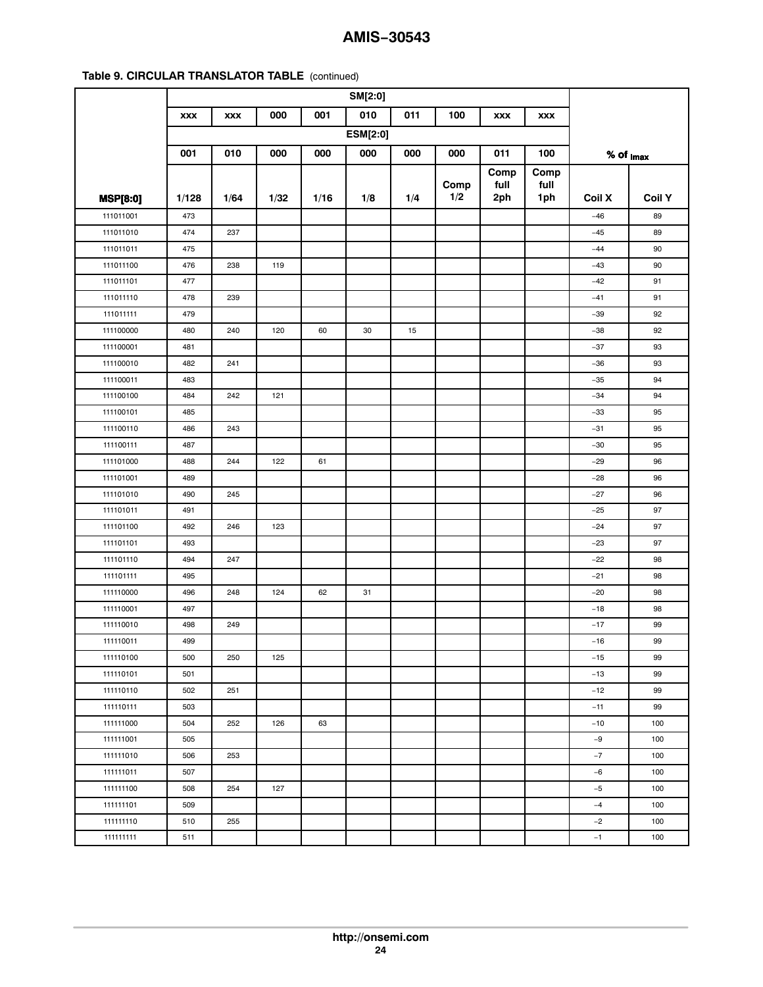|                 | SM[2:0]    |            |      |      |                 |     |             |             |             |                         |               |
|-----------------|------------|------------|------|------|-----------------|-----|-------------|-------------|-------------|-------------------------|---------------|
|                 | <b>XXX</b> | <b>XXX</b> | 000  | 001  | 010             | 011 | 100         | <b>XXX</b>  | <b>XXX</b>  |                         |               |
|                 |            |            |      |      | <b>ESM[2:0]</b> |     |             |             |             |                         |               |
|                 | 001        | 010        | 000  | 000  | 000             | 000 | 000         | 011         | 100         | $%$ of $_{\text{Imax}}$ |               |
|                 |            |            |      |      |                 |     |             | Comp        | Comp        |                         |               |
| <b>MSP[8:0]</b> | 1/128      | 1/64       | 1/32 | 1/16 | 1/8             | 1/4 | Comp<br>1/2 | full<br>2ph | full<br>1ph | <b>Coil X</b>           | <b>Coil Y</b> |
| 111011001       | 473        |            |      |      |                 |     |             |             |             | $-46$                   | 89            |
| 111011010       | 474        | 237        |      |      |                 |     |             |             |             | $-45$                   | 89            |
| 111011011       | 475        |            |      |      |                 |     |             |             |             | $-44$                   | 90            |
| 111011100       | 476        | 238        | 119  |      |                 |     |             |             |             | $-43$                   | 90            |
| 111011101       | 477        |            |      |      |                 |     |             |             |             | $-42$                   | 91            |
| 111011110       | 478        | 239        |      |      |                 |     |             |             |             | $-41$                   | 91            |
| 111011111       | 479        |            |      |      |                 |     |             |             |             | $-39$                   | 92            |
| 111100000       | 480        | 240        | 120  | 60   | 30              | 15  |             |             |             | $-38$                   | 92            |
| 111100001       | 481        |            |      |      |                 |     |             |             |             | $-37$                   | 93            |
| 111100010       | 482        | 241        |      |      |                 |     |             |             |             | $-36$                   | 93            |
| 111100011       | 483        |            |      |      |                 |     |             |             |             | $-35$                   | 94            |
| 111100100       | 484        | 242        | 121  |      |                 |     |             |             |             | $-34$                   | 94            |
| 111100101       | 485        |            |      |      |                 |     |             |             |             | $-33$                   | 95            |
| 111100110       | 486        | 243        |      |      |                 |     |             |             |             | $-31$                   | 95            |
| 111100111       | 487        |            |      |      |                 |     |             |             |             | $-30$                   | 95            |
| 111101000       | 488        | 244        | 122  | 61   |                 |     |             |             |             | $-29$                   | 96            |
| 111101001       | 489        |            |      |      |                 |     |             |             |             | $-28$                   | 96            |
| 111101010       | 490        | 245        |      |      |                 |     |             |             |             | $-27$                   | 96            |
| 111101011       | 491        |            |      |      |                 |     |             |             |             | $-25$                   | 97            |
| 111101100       | 492        | 246        | 123  |      |                 |     |             |             |             | $-24$                   | 97            |
| 111101101       | 493        |            |      |      |                 |     |             |             |             | $-23$                   | 97            |
| 111101110       | 494        | 247        |      |      |                 |     |             |             |             | $-22$                   | 98            |
| 111101111       | 495        |            |      |      |                 |     |             |             |             | $-21$                   | 98            |
| 111110000       | 496        | 248        | 124  | 62   | 31              |     |             |             |             | $-20$                   | 98            |
| 111110001       | 497        |            |      |      |                 |     |             |             |             | $-18$                   | 98            |
| 111110010       | 498        | 249        |      |      |                 |     |             |             |             | $-17$                   | 99            |
| 111110011       | 499        |            |      |      |                 |     |             |             |             | $-16$                   | 99            |
| 111110100       | 500        | 250        | 125  |      |                 |     |             |             |             | $-15$                   | 99            |
| 111110101       | 501        |            |      |      |                 |     |             |             |             | $-13$                   | 99            |
| 111110110       | 502        | 251        |      |      |                 |     |             |             |             | $-12$                   | 99            |
| 111110111       | 503        |            |      |      |                 |     |             |             |             | $-11$                   | 99            |
| 111111000       | 504        | 252        | 126  | 63   |                 |     |             |             |             | $-10$                   | 100           |
| 111111001       | 505        |            |      |      |                 |     |             |             |             | $-9$                    | 100           |
| 111111010       | 506        | 253        |      |      |                 |     |             |             |             | $-7$                    | 100           |
| 111111011       | 507        |            |      |      |                 |     |             |             |             | $-6$                    | 100           |
| 111111100       | 508        | 254        | 127  |      |                 |     |             |             |             | $-5$                    | 100           |
| 111111101       | 509        |            |      |      |                 |     |             |             |             | $-4$                    | 100           |
| 111111110       | 510        | 255        |      |      |                 |     |             |             |             | $-2$                    | 100           |
| 111111111       | 511        |            |      |      |                 |     |             |             |             | $-1$                    | 100           |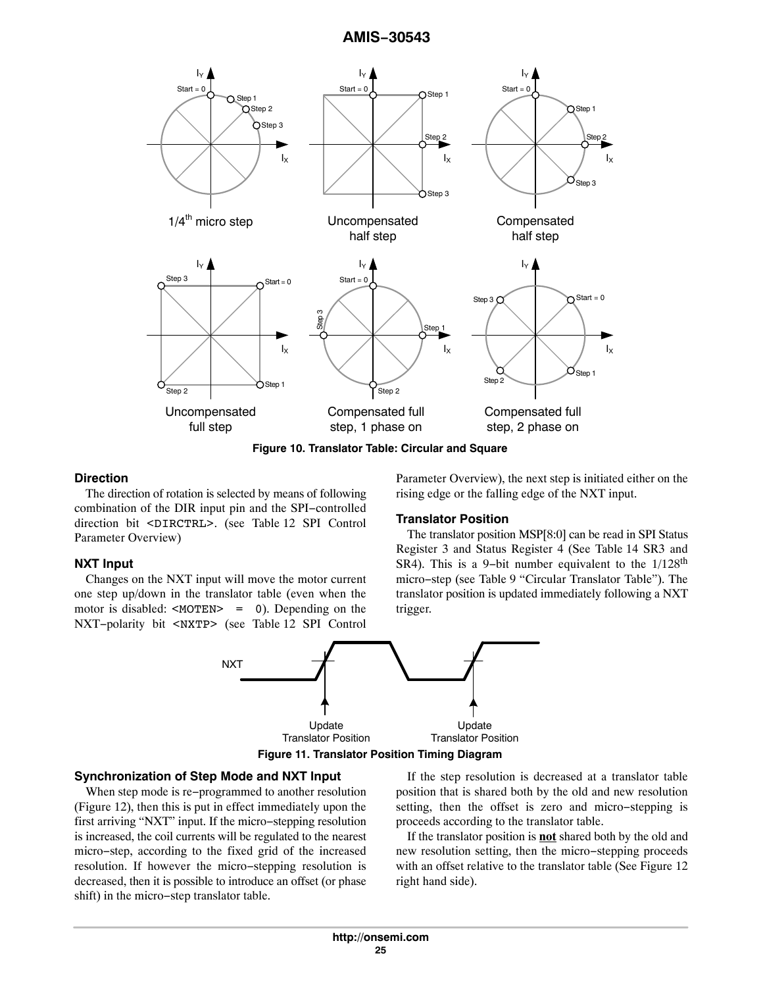<span id="page-24-0"></span>

**Figure 10. Translator Table: Circular and Square**

#### **Direction**

The direction of rotation is selected by means of following combination of the DIR input pin and the SPI−controlled direction bit <DIRCTRL>. (see Table [12](#page-34-0) SPI Control Parameter Overview)

#### **NXT Input**

Changes on the NXT input will move the motor current one step up/down in the translator table (even when the motor is disabled: <MOTEN> = 0). Depending on the NXT−polarity bit <NXTP> (see Table [12](#page-34-0) SPI Control

Parameter Overview), the next step is initiated either on the rising edge or the falling edge of the NXT input.

#### **Translator Position**

The translator position MSP[8:0] can be read in SPI Status Register 3 and Status Register 4 (See Table [14](#page-35-0) SR3 and SR4). This is a 9-bit number equivalent to the 1/128<sup>th</sup> micro−step (see Table [9](#page-12-0) "Circular Translator Table"). The translator position is updated immediately following a NXT trigger.



#### **Figure 11. Translator Position Timing Diagram**

### **Synchronization of Step Mode and NXT Input**

When step mode is re−programmed to another resolution (Figure [12\)](#page-25-0), then this is put in effect immediately upon the first arriving "NXT" input. If the micro−stepping resolution is increased, the coil currents will be regulated to the nearest micro−step, according to the fixed grid of the increased resolution. If however the micro−stepping resolution is decreased, then it is possible to introduce an offset (or phase shift) in the micro−step translator table.

If the step resolution is decreased at a translator table position that is shared both by the old and new resolution setting, then the offset is zero and micro−stepping is proceeds according to the translator table.

If the translator position is **not** shared both by the old and new resolution setting, then the micro−stepping proceeds with an offset relative to the translator table (See Figure [12](#page-25-0)) right hand side).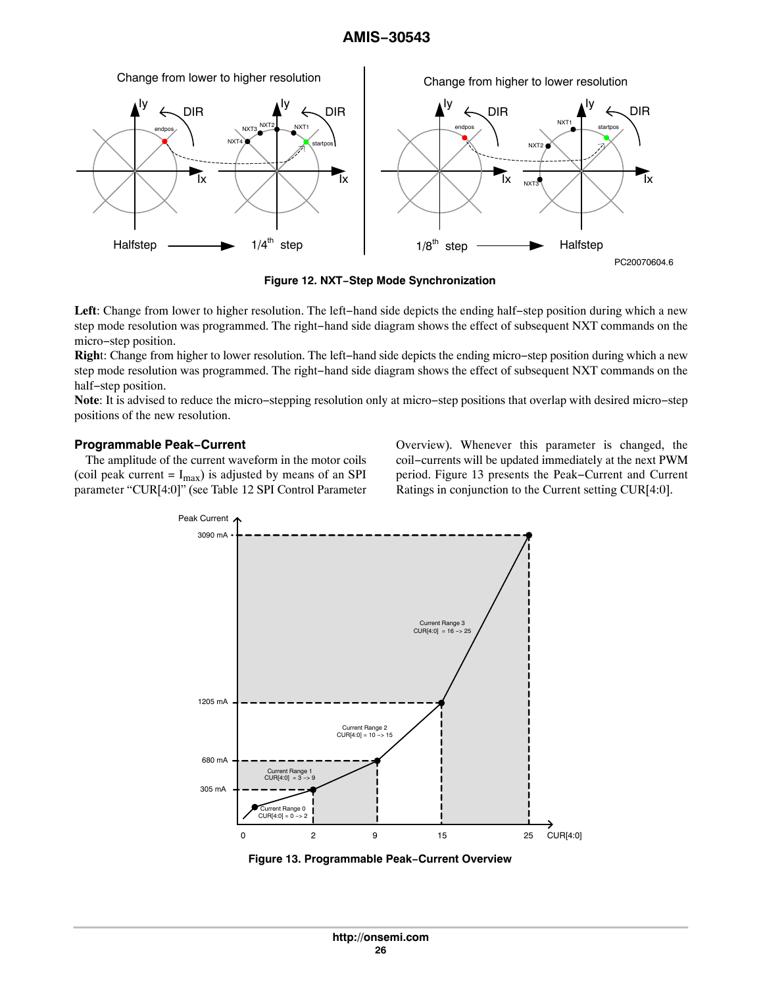<span id="page-25-0"></span>

**Figure 12. NXT−Step Mode Synchronization**

**Left**: Change from lower to higher resolution. The left−hand side depicts the ending half−step position during which a new step mode resolution was programmed. The right−hand side diagram shows the effect of subsequent NXT commands on the micro−step position.

**Righ**t: Change from higher to lower resolution. The left−hand side depicts the ending micro−step position during which a new step mode resolution was programmed. The right−hand side diagram shows the effect of subsequent NXT commands on the half−step position.

**Note**: It is advised to reduce the micro−stepping resolution only at micro−step positions that overlap with desired micro−step positions of the new resolution.

#### **Programmable Peak−Current**

The amplitude of the current waveform in the motor coils (coil peak current =  $I_{max}$ ) is adjusted by means of an SPI parameter "CUR[4:0]" (see Table [12](#page-34-0) SPI Control Parameter

Overview). Whenever this parameter is changed, the coil−currents will be updated immediately at the next PWM period. Figure 13 presents the Peak−Current and Current Ratings in conjunction to the Current setting CUR[4:0].



**Figure 13. Programmable Peak−Current Overview**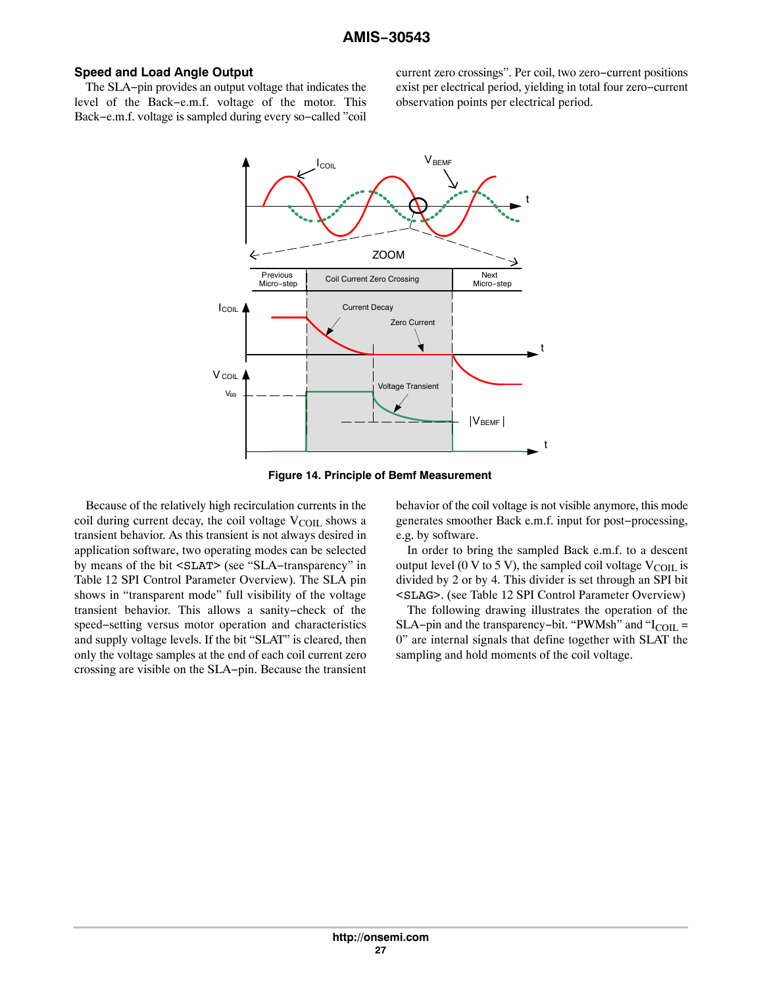#### **Speed and Load Angle Output**

The SLA−pin provides an output voltage that indicates the level of the Back−e.m.f. voltage of the motor. This Back−e.m.f. voltage is sampled during every so−called "coil

current zero crossings". Per coil, two zero−current positions exist per electrical period, yielding in total four zero−current observation points per electrical period.



**Figure 14. Principle of Bemf Measurement**

Because of the relatively high recirculation currents in the coil during current decay, the coil voltage  $V_{\text{COLL}}$  shows a transient behavior. As this transient is not always desired in application software, two operating modes can be selected by means of the bit <SLAT> (see "SLA−transparency" in Table [12](#page-34-0) SPI Control Parameter Overview). The SLA pin shows in "transparent mode" full visibility of the voltage transient behavior. This allows a sanity−check of the speed−setting versus motor operation and characteristics and supply voltage levels. If the bit "SLAT" is cleared, then only the voltage samples at the end of each coil current zero crossing are visible on the SLA−pin. Because the transient behavior of the coil voltage is not visible anymore, this mode generates smoother Back e.m.f. input for post−processing, e.g. by software.

In order to bring the sampled Back e.m.f. to a descent output level (0 V to 5 V), the sampled coil voltage  $V_{\text{COII}}$  is divided by 2 or by 4. This divider is set through an SPI bit <SLAG>. (see Table [12](#page-34-0) SPI Control Parameter Overview)

The following drawing illustrates the operation of the SLA–pin and the transparency–bit. "PWMsh" and " $I_{\text{COL}}$  = 0" are internal signals that define together with SLAT the sampling and hold moments of the coil voltage.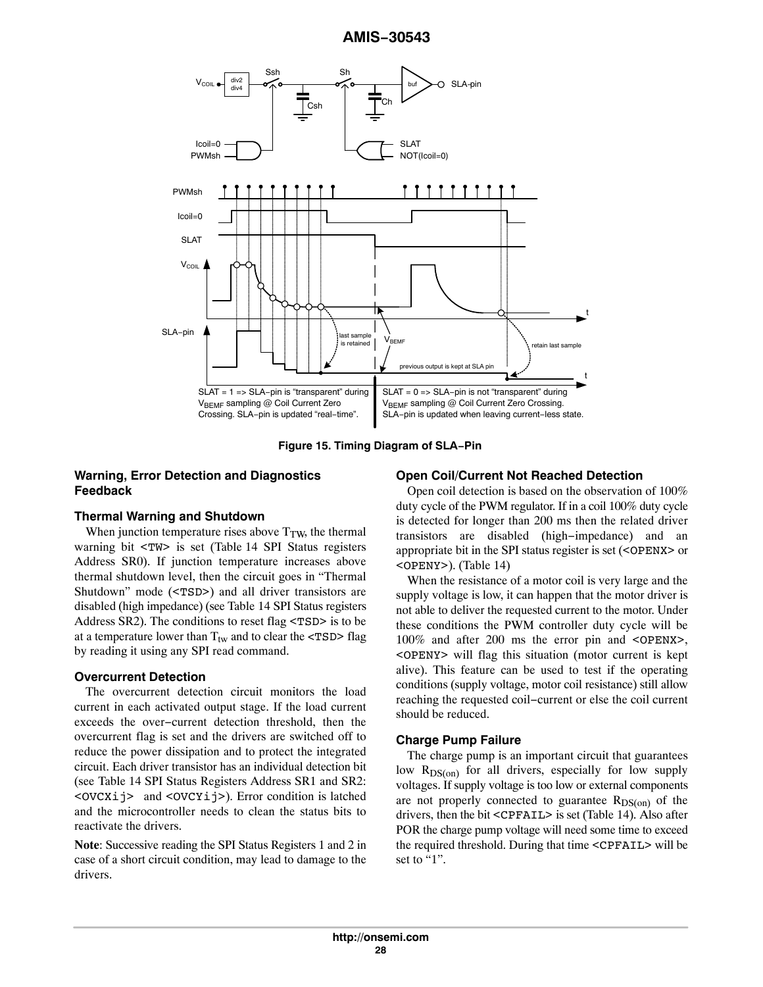

**Figure 15. Timing Diagram of SLA−Pin**

# **Warning, Error Detection and Diagnostics Feedback**

### **Thermal Warning and Shutdown**

When junction temperature rises above  $T_{TW}$ , the thermal warning bit <TW> is set (Table [14](#page-35-0) SPI Status registers Address SR0). If junction temperature increases above thermal shutdown level, then the circuit goes in "Thermal Shutdown" mode (<TSD>) and all driver transistors are disabled (high impedance) (see Table [14](#page-35-0) SPI Status registers Address SR2). The conditions to reset flag <TSD> is to be at a temperature lower than  $T_{tw}$  and to clear the <TSD> flag by reading it using any SPI read command.

### **Overcurrent Detection**

The overcurrent detection circuit monitors the load current in each activated output stage. If the load current exceeds the over−current detection threshold, then the overcurrent flag is set and the drivers are switched off to reduce the power dissipation and to protect the integrated circuit. Each driver transistor has an individual detection bit (see Table [14](#page-35-0) SPI Status Registers Address SR1 and SR2: <OVCXij> and <OVCYij>). Error condition is latched and the microcontroller needs to clean the status bits to reactivate the drivers.

**Note**: Successive reading the SPI Status Registers 1 and 2 in case of a short circuit condition, may lead to damage to the drivers.

#### **Open Coil/Current Not Reached Detection**

Open coil detection is based on the observation of 100% duty cycle of the PWM regulator. If in a coil 100% duty cycle is detected for longer than 200 ms then the related driver transistors are disabled (high−impedance) and an appropriate bit in the SPI status register is set (<OPENX> or <OPENY>). (Table [14](#page-35-0))

When the resistance of a motor coil is very large and the supply voltage is low, it can happen that the motor driver is not able to deliver the requested current to the motor. Under these conditions the PWM controller duty cycle will be 100% and after 200 ms the error pin and <OPENX>, <OPENY> will flag this situation (motor current is kept alive). This feature can be used to test if the operating conditions (supply voltage, motor coil resistance) still allow reaching the requested coil−current or else the coil current should be reduced.

### **Charge Pump Failure**

The charge pump is an important circuit that guarantees low  $R_{DS(on)}$  for all drivers, especially for low supply voltages. If supply voltage is too low or external components are not properly connected to guarantee  $R_{DS(on)}$  of the drivers, then the bit <CPFAIL> is set (Table [14](#page-35-0)). Also after POR the charge pump voltage will need some time to exceed the required threshold. During that time <CPFAIL> will be set to "1".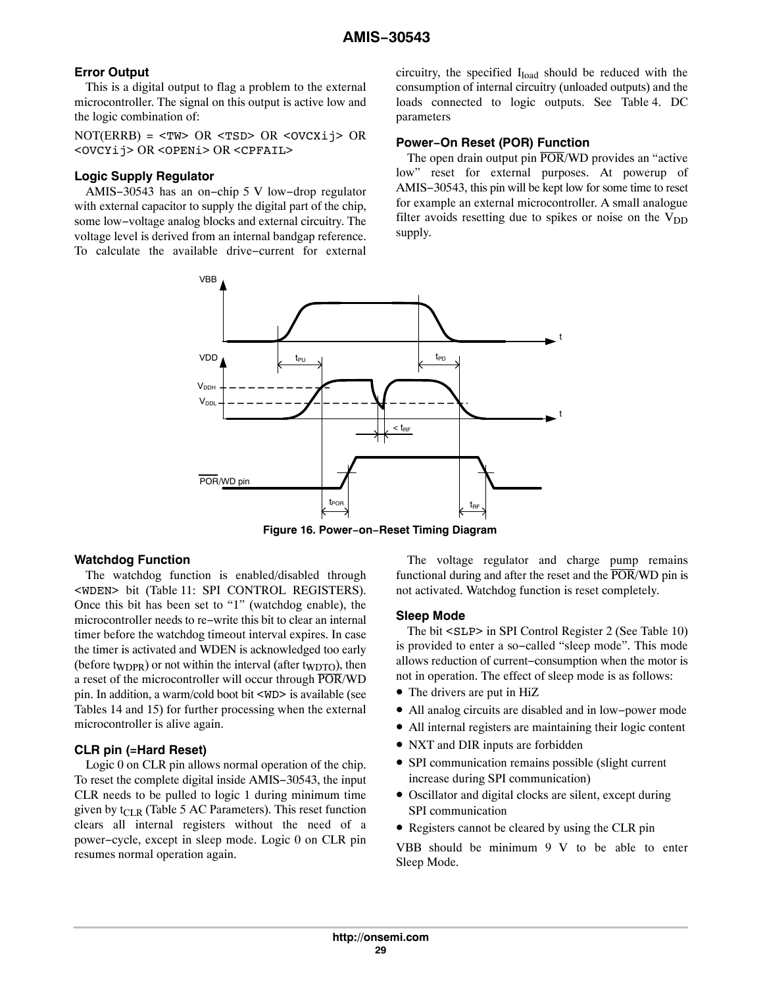# <span id="page-28-0"></span>**Error Output**

This is a digital output to flag a problem to the external microcontroller. The signal on this output is active low and the logic combination of:

NOT(ERRB) = <TW> OR <TSD> OR <OVCXij> OR <OVCYij> OR <OPENi> OR <CPFAIL>

# **Logic Supply Regulator**

AMIS−30543 has an on−chip 5 V low−drop regulator with external capacitor to supply the digital part of the chip, some low−voltage analog blocks and external circuitry. The voltage level is derived from an internal bandgap reference. To calculate the available drive−current for external circuitry, the specified  $I_{load}$  should be reduced with the consumption of internal circuitry (unloaded outputs) and the loads connected to logic outputs. See Table [4](#page-5-0). DC parameters

# **Power−On Reset (POR) Function**

The open drain output pin  $\overline{POR}/WD$  provides an "active" low" reset for external purposes. At powerup of AMIS−30543, this pin will be kept low for some time to reset for example an external microcontroller. A small analogue filter avoids resetting due to spikes or noise on the  $V_{DD}$ supply.



**Figure 16. Power−on−Reset Timing Diagram**

### **Watchdog Function**

The watchdog function is enabled/disabled through <WDEN> bit (Table [11](#page-33-0): SPI CONTROL REGISTERS). Once this bit has been set to "1" (watchdog enable), the microcontroller needs to re−write this bit to clear an internal timer before the watchdog timeout interval expires. In case the timer is activated and WDEN is acknowledged too early (before t<sub>WDPR</sub>) or not within the interval (after t<sub>WDTO</sub>), then a reset of the microcontroller will occur through POR/WD pin. In addition, a warm/cold boot bit <WD> is available (see Tables [14](#page-35-0) and [15\)](#page-36-0) for further processing when the external microcontroller is alive again.

# **CLR pin (=Hard Reset)**

Logic 0 on CLR pin allows normal operation of the chip. To reset the complete digital inside AMIS−30543, the input CLR needs to be pulled to logic 1 during minimum time given by  $t_{CLR}$  (Table [5](#page-7-0) AC Parameters). This reset function clears all internal registers without the need of a power−cycle, except in sleep mode. Logic 0 on CLR pin resumes normal operation again.

The voltage regulator and charge pump remains functional during and after the reset and the  $\overline{POR}/WD$  pin is not activated. Watchdog function is reset completely.

### **Sleep Mode**

The bit <SLP> in SPI Control Register 2 (See Table [10\)](#page-29-0) is provided to enter a so−called "sleep mode". This mode allows reduction of current−consumption when the motor is not in operation. The effect of sleep mode is as follows:

- The drivers are put in HiZ
- All analog circuits are disabled and in low−power mode
- All internal registers are maintaining their logic content
- NXT and DIR inputs are forbidden
- SPI communication remains possible (slight current increase during SPI communication)
- Oscillator and digital clocks are silent, except during SPI communication
- Registers cannot be cleared by using the CLR pin

VBB should be minimum 9 V to be able to enter Sleep Mode.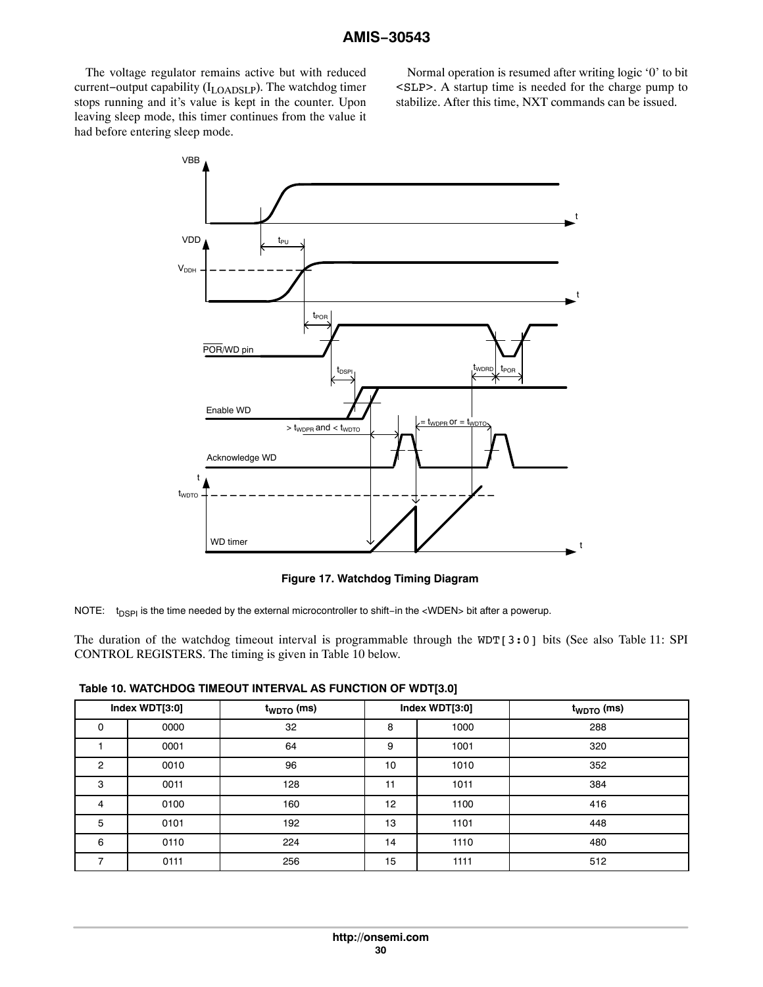<span id="page-29-0"></span>The voltage regulator remains active but with reduced current−output capability (ILOADSLP). The watchdog timer stops running and it's value is kept in the counter. Upon leaving sleep mode, this timer continues from the value it had before entering sleep mode.

Normal operation is resumed after writing logic '0' to bit <SLP>. A startup time is needed for the charge pump to stabilize. After this time, NXT commands can be issued.



**Figure 17. Watchdog Timing Diagram**

NOTE: t<sub>DSPI</sub> is the time needed by the external microcontroller to shift−in the <WDEN> bit after a powerup.

The duration of the watchdog timeout interval is programmable through the WDT[3:0] bits (See also Table [11:](#page-33-0) SPI CONTROL REGISTERS. The timing is given in Table 10 below.

**Table 10. WATCHDOG TIMEOUT INTERVAL AS FUNCTION OF WDT[3.0]**

|                | Index WDT[3:0]<br>$t_{WDTO}$ (ms) |     | Index WDT[3:0] |      | $t_{WDTO}$ (ms) |
|----------------|-----------------------------------|-----|----------------|------|-----------------|
| 0              | 0000                              | 32  | 8              | 1000 | 288             |
|                | 0001                              | 64  | 9              | 1001 | 320             |
| $\overline{2}$ | 0010                              | 96  | 10             | 1010 | 352             |
| 3              | 0011                              | 128 | 11             | 1011 | 384             |
| 4              | 0100                              | 160 | 12             | 1100 | 416             |
| 5              | 0101                              | 192 | 13             | 1101 | 448             |
| 6              | 0110                              | 224 | 14             | 1110 | 480             |
|                | 0111                              | 256 | 15             | 1111 | 512             |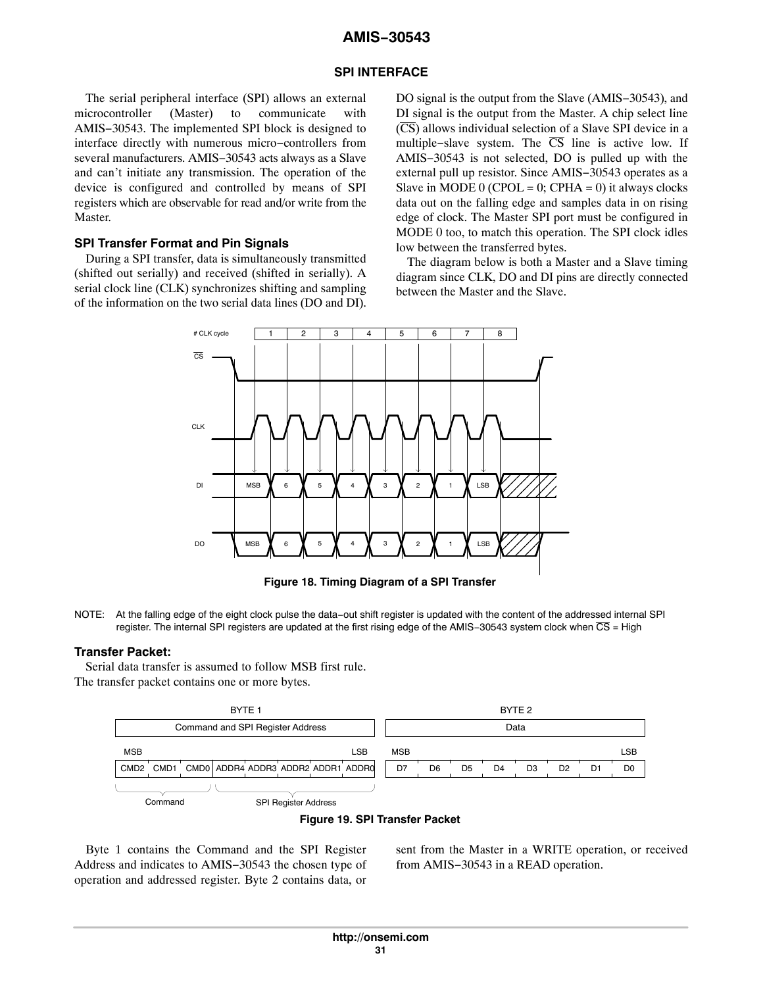### **SPI INTERFACE**

The serial peripheral interface (SPI) allows an external microcontroller (Master) to communicate with AMIS−30543. The implemented SPI block is designed to interface directly with numerous micro−controllers from several manufacturers. AMIS−30543 acts always as a Slave and can't initiate any transmission. The operation of the device is configured and controlled by means of SPI registers which are observable for read and/or write from the Master.

### **SPI Transfer Format and Pin Signals**

During a SPI transfer, data is simultaneously transmitted (shifted out serially) and received (shifted in serially). A serial clock line (CLK) synchronizes shifting and sampling of the information on the two serial data lines (DO and DI).

DO signal is the output from the Slave (AMIS–30543), and DI signal is the output from the Master. A chip select line  $(\overline{CS})$  allows individual selection of a Slave SPI device in a multiple–slave system. The  $\overline{CS}$  line is active low. If AMIS−30543 is not selected, DO is pulled up with the external pull up resistor. Since AMIS−30543 operates as a Slave in MODE 0 (CPOL = 0; CPHA = 0) it always clocks data out on the falling edge and samples data in on rising edge of clock. The Master SPI port must be configured in MODE 0 too, to match this operation. The SPI clock idles low between the transferred bytes.

The diagram below is both a Master and a Slave timing diagram since CLK, DO and DI pins are directly connected between the Master and the Slave.



**Figure 18. Timing Diagram of a SPI Transfer**

NOTE: At the falling edge of the eight clock pulse the data−out shift register is updated with the content of the addressed internal SPI register. The internal SPI registers are updated at the first rising edge of the AMIS-30543 system clock when CS = High

### **Transfer Packet:**

Serial data transfer is assumed to follow MSB first rule. The transfer packet contains one or more bytes.



#### **Figure 19. SPI Transfer Packet**

Byte 1 contains the Command and the SPI Register Address and indicates to AMIS−30543 the chosen type of operation and addressed register. Byte 2 contains data, or

sent from the Master in a WRITE operation, or received from AMIS−30543 in a READ operation.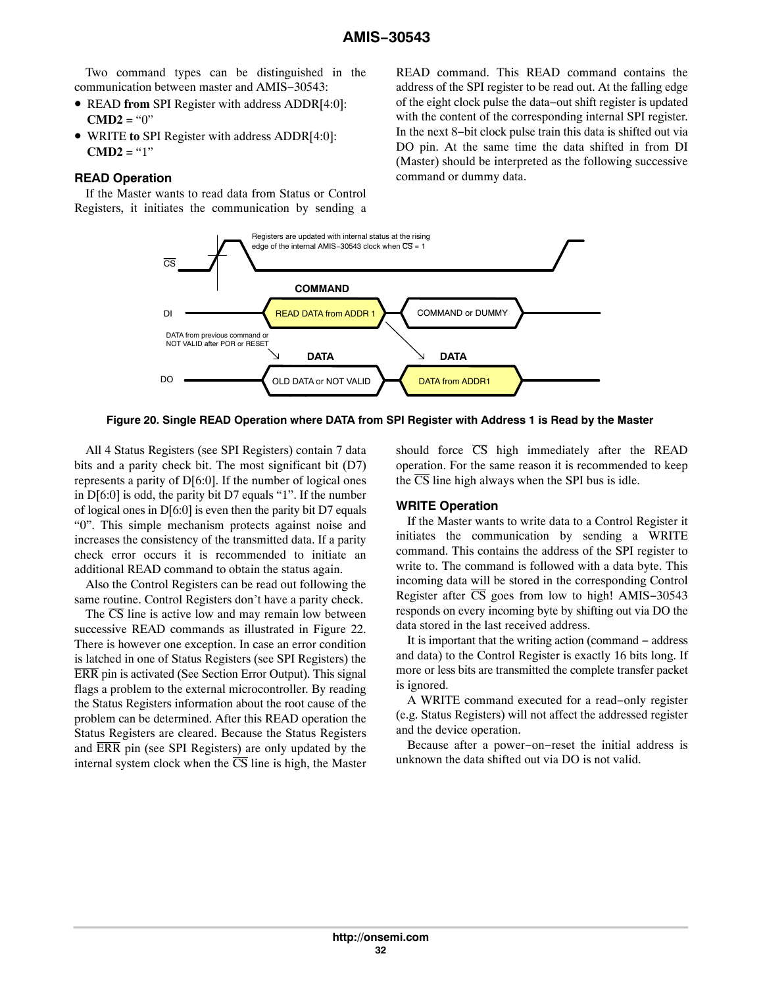Two command types can be distinguished in the communication between master and AMIS−30543:

- READ **from** SPI Register with address ADDR[4:0]: **CMD2** = " $0$ "
- WRITE **to** SPI Register with address ADDR[4:0]: **CMD2** = "1"

## **READ Operation**

If the Master wants to read data from Status or Control Registers, it initiates the communication by sending a

READ command. This READ command contains the address of the SPI register to be read out. At the falling edge of the eight clock pulse the data−out shift register is updated with the content of the corresponding internal SPI register. In the next 8−bit clock pulse train this data is shifted out via DO pin. At the same time the data shifted in from DI (Master) should be interpreted as the following successive command or dummy data.



**Figure 20. Single READ Operation where DATA from SPI Register with Address 1 is Read by the Master**

All 4 Status Registers (see SPI Registers) contain 7 data bits and a parity check bit. The most significant bit (D7) represents a parity of D[6:0]. If the number of logical ones in D[6:0] is odd, the parity bit D7 equals "1". If the number of logical ones in D[6:0] is even then the parity bit D7 equals "0". This simple mechanism protects against noise and increases the consistency of the transmitted data. If a parity check error occurs it is recommended to initiate an additional READ command to obtain the status again.

Also the Control Registers can be read out following the same routine. Control Registers don't have a parity check.

The  $\overline{CS}$  line is active low and may remain low between successive READ commands as illustrated in Figure [22.](#page-32-0) There is however one exception. In case an error condition is latched in one of Status Registers (see SPI Registers) the ERR pin is activated (See Section Error Output). This signal flags a problem to the external microcontroller. By reading the Status Registers information about the root cause of the problem can be determined. After this READ operation the Status Registers are cleared. Because the Status Registers and ERR pin (see SPI Registers) are only updated by the internal system clock when the  $\overline{CS}$  line is high, the Master

should force  $\overline{CS}$  high immediately after the READ operation. For the same reason it is recommended to keep the  $\overline{CS}$  line high always when the SPI bus is idle.

#### **WRITE Operation**

If the Master wants to write data to a Control Register it initiates the communication by sending a WRITE command. This contains the address of the SPI register to write to. The command is followed with a data byte. This incoming data will be stored in the corresponding Control Register after  $\overline{CS}$  goes from low to high! AMIS-30543 responds on every incoming byte by shifting out via DO the data stored in the last received address.

It is important that the writing action (command − address and data) to the Control Register is exactly 16 bits long. If more or less bits are transmitted the complete transfer packet is ignored.

A WRITE command executed for a read−only register (e.g. Status Registers) will not affect the addressed register and the device operation.

Because after a power−on−reset the initial address is unknown the data shifted out via DO is not valid.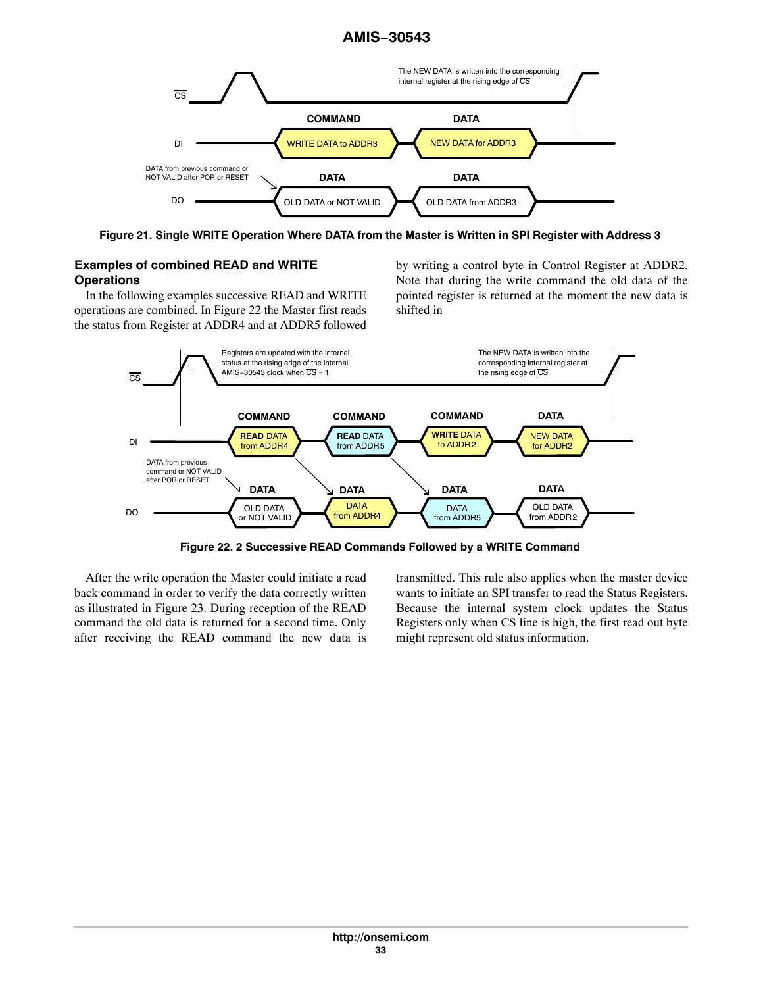<span id="page-32-0"></span>

**Figure 21. Single WRITE Operation Where DATA from the Master is Written in SPI Register with Address 3**

# **Examples of combined READ and WRITE Operations**

In the following examples successive READ and WRITE operations are combined. In Figure 22 the Master first reads the status from Register at ADDR4 and at ADDR5 followed

by writing a control byte in Control Register at ADDR2. Note that during the write command the old data of the pointed register is returned at the moment the new data is shifted in



**Figure 22. 2 Successive READ Commands Followed by a WRITE Command**

After the write operation the Master could initiate a read back command in order to verify the data correctly written as illustrated in Figure [23](#page-33-0). During reception of the READ command the old data is returned for a second time. Only after receiving the READ command the new data is transmitted. This rule also applies when the master device wants to initiate an SPI transfer to read the Status Registers. Because the internal system clock updates the Status Registers only when  $\overline{CS}$  line is high, the first read out byte might represent old status information.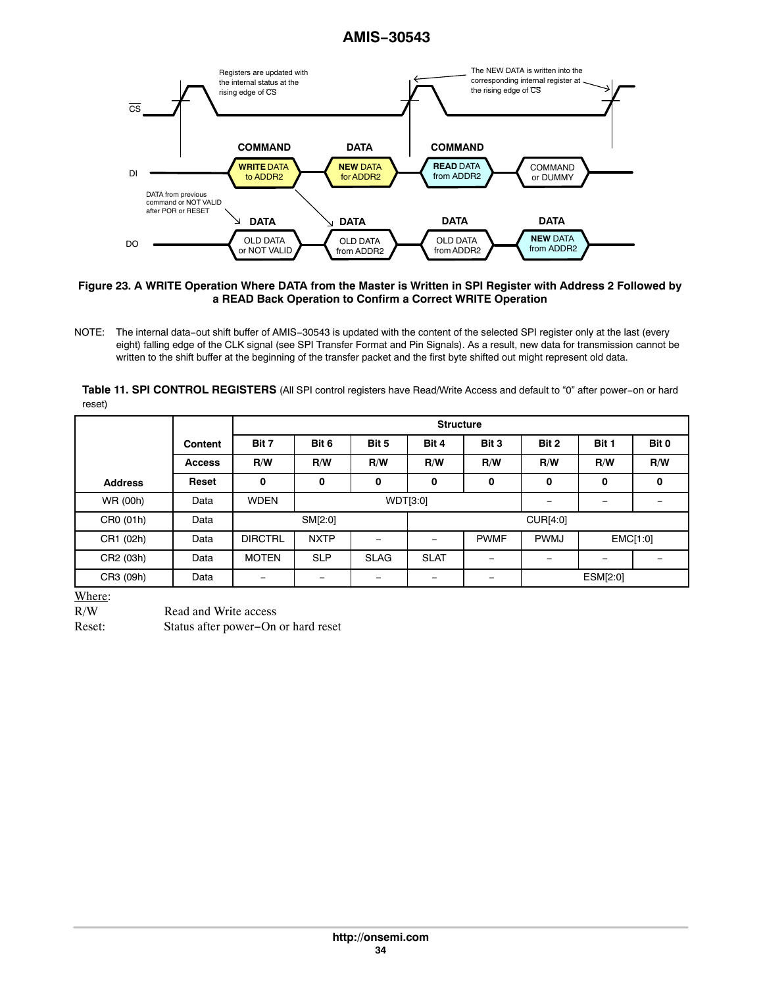<span id="page-33-0"></span>

#### **Figure 23. A WRITE Operation Where DATA from the Master is Written in SPI Register with Address 2 Followed by a READ Back Operation to Confirm a Correct WRITE Operation**

**Table 11. SPI CONTROL REGISTERS** (All SPI control registers have Read/Write Access and default to "0" after power−on or hard reset)

|                |                | <b>Structure</b> |                          |                            |             |       |          |                 |          |
|----------------|----------------|------------------|--------------------------|----------------------------|-------------|-------|----------|-----------------|----------|
|                | <b>Content</b> | Bit 7            | Bit 6                    | Bit 5                      | Bit 4       | Bit 3 | Bit 2    | Bit 1           | Bit 0    |
|                | <b>Access</b>  | R/W              | R/W<br>R/W<br>R/W<br>R/W |                            |             | R/W   | R/W      | R/W             |          |
| <b>Address</b> | Reset          | 0                | 0                        | 0                          | 0           | 0     | 0        | 0               | 0        |
| WR (00h)       | Data           | <b>WDEN</b>      | WDT[3:0]                 |                            |             |       |          |                 |          |
| CR0 (01h)      | Data           |                  | SM[2:0]<br>CUR[4:0]      |                            |             |       |          |                 |          |
| CR1 (02h)      | Data           | <b>DIRCTRL</b>   | <b>NXTP</b>              | <b>PWMF</b><br><b>PWMJ</b> |             |       |          |                 | EMC[1:0] |
| CR2 (03h)      | Data           | <b>MOTEN</b>     | <b>SLP</b>               | <b>SLAG</b>                | <b>SLAT</b> |       |          | $\qquad \qquad$ |          |
| CR3 (09h)      | Data           | -                | -                        | -                          |             |       | ESM[2:0] |                 |          |

Where:

R/W Read and Write access

Reset: Status after power−On or hard reset

NOTE: The internal data−out shift buffer of AMIS−30543 is updated with the content of the selected SPI register only at the last (every eight) falling edge of the CLK signal (see SPI Transfer Format and Pin Signals). As a result, new data for transmission cannot be written to the shift buffer at the beginning of the transfer packet and the first byte shifted out might represent old data.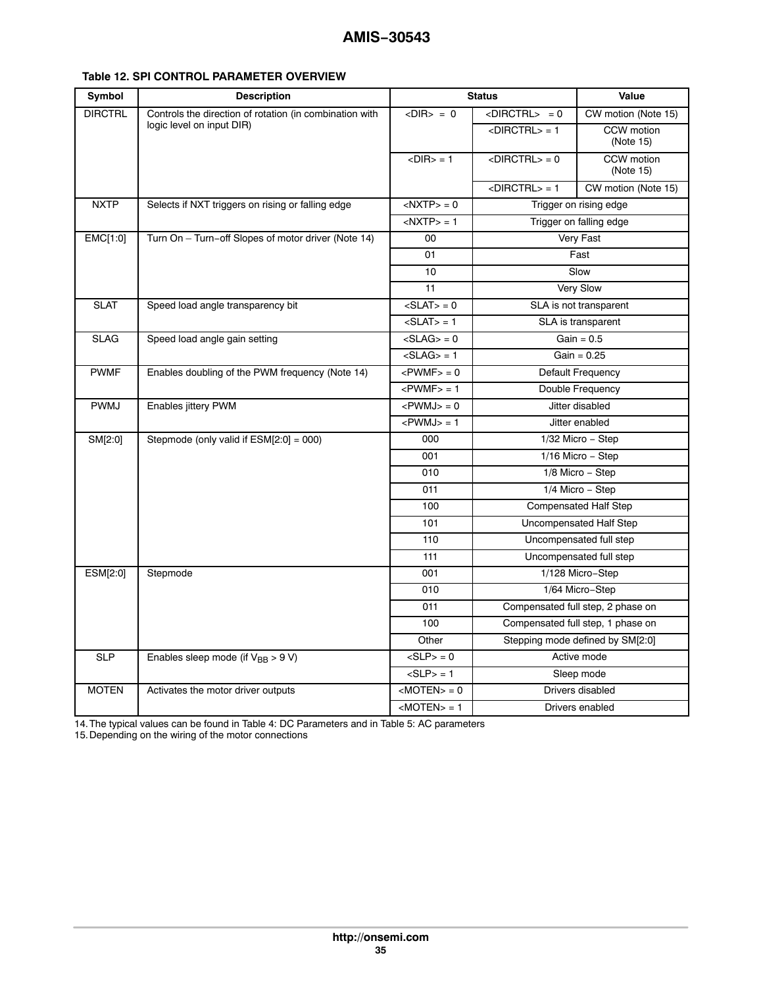| Symbol         | <b>Description</b>                                      | <b>Status</b>                |                                   | Value                            |  |
|----------------|---------------------------------------------------------|------------------------------|-----------------------------------|----------------------------------|--|
| <b>DIRCTRL</b> | Controls the direction of rotation (in combination with | $<$ DIR $>$ = 0              | $\langle$ DIRCTRL $> = 0$         | CW motion (Note 15)              |  |
|                | logic level on input DIR)                               |                              | $\langle$ DIRCTRL $>$ = 1         | CCW motion<br>(Note 15)          |  |
|                |                                                         | $<$ DIR $>$ = 1              | $<$ DIRCTRL $>$ = 0               | CCW motion<br>(Note 15)          |  |
|                |                                                         |                              | $<$ DIRCTRL $>$ = 1               | CW motion (Note 15)              |  |
| <b>NXTP</b>    | Selects if NXT triggers on rising or falling edge       | $<$ NXTP $>$ = 0             |                                   | Trigger on rising edge           |  |
|                |                                                         | $<$ NXTP $>$ = 1             |                                   | Trigger on falling edge          |  |
| EMC[1:0]       | Turn On - Turn-off Slopes of motor driver (Note 14)     | 00                           |                                   | Very Fast                        |  |
|                |                                                         | 01                           |                                   | Fast                             |  |
|                |                                                         | 10                           |                                   | Slow                             |  |
|                |                                                         | 11                           |                                   | Very Slow                        |  |
| <b>SLAT</b>    | Speed load angle transparency bit                       | $\langle$ SLAT $>$ = 0       |                                   | SLA is not transparent           |  |
|                |                                                         | $<$ SLAT $>$ = 1             |                                   | SLA is transparent               |  |
| <b>SLAG</b>    | Speed load angle gain setting                           | $\langle$ SLAG $\rangle$ = 0 |                                   | $\overline{Gain} = 0.5$          |  |
|                |                                                         | $<$ SLAG $>$ = 1             |                                   | $Gain = 0.25$                    |  |
| <b>PWMF</b>    | Enables doubling of the PWM frequency (Note 14)         | $<$ PWMF $>$ = 0             |                                   | Default Frequency                |  |
|                |                                                         | $<$ PWMF $>$ = 1             |                                   | Double Frequency                 |  |
| <b>PWMJ</b>    | Enables jittery PWM                                     | $<$ PWMJ $>$ = 0             |                                   | Jitter disabled                  |  |
|                |                                                         | $<$ PWMJ $>$ = 1             |                                   | Jitter enabled                   |  |
| SM[2:0]        | Stepmode (only valid if ESM[2:0] = 000)                 | 000                          |                                   | 1/32 Micro - Step                |  |
|                |                                                         | 001                          |                                   | 1/16 Micro - Step                |  |
|                |                                                         | 010                          |                                   | 1/8 Micro - Step                 |  |
|                |                                                         | 011                          |                                   | 1/4 Micro - Step                 |  |
|                |                                                         | 100                          |                                   | <b>Compensated Half Step</b>     |  |
|                |                                                         | 101                          |                                   | Uncompensated Half Step          |  |
|                |                                                         | 110                          |                                   | Uncompensated full step          |  |
|                |                                                         | 111                          |                                   | Uncompensated full step          |  |
| ESM[2:0]       | Stepmode                                                | 001                          |                                   | 1/128 Micro-Step                 |  |
|                |                                                         | 010                          |                                   | 1/64 Micro-Step                  |  |
|                |                                                         | 011                          | Compensated full step, 2 phase on |                                  |  |
|                |                                                         | 100                          | Compensated full step, 1 phase on |                                  |  |
|                |                                                         | Other                        |                                   | Stepping mode defined by SM[2:0] |  |
| <b>SLP</b>     | Enables sleep mode (if $V_{BB} > 9 V$ )                 | $<$ SLP $>$ = 0              |                                   | Active mode                      |  |
|                |                                                         | $<$ SLP> = 1                 |                                   | Sleep mode                       |  |
| <b>MOTEN</b>   | Activates the motor driver outputs                      | $ MOTEN\rangle = 0$          |                                   | Drivers disabled                 |  |
|                |                                                         | $ MOTEN>=1$                  |                                   | Drivers enabled                  |  |

# <span id="page-34-0"></span>**Table 12. SPI CONTROL PARAMETER OVERVIEW**

14.The typical values can be found in Table [4](#page-5-0): DC Parameters and in Table [5](#page-7-0): AC parameters

15.Depending on the wiring of the motor connections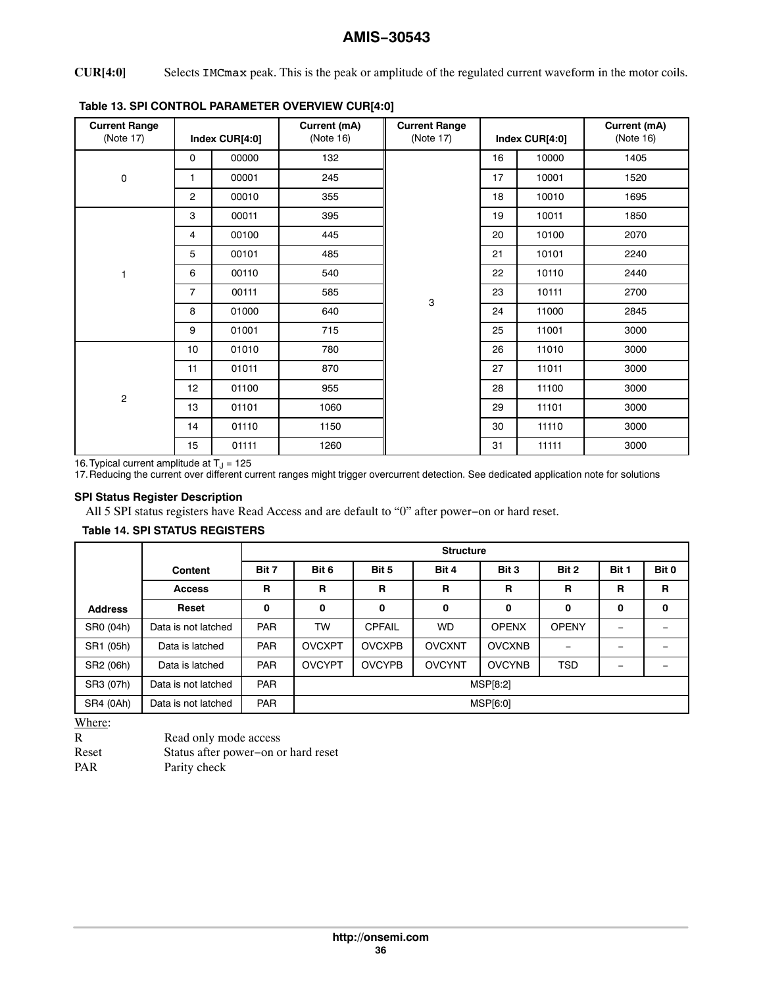## <span id="page-35-0"></span>**CUR[4:0]** Selects IMCmax peak. This is the peak or amplitude of the regulated current waveform in the motor coils.

| <b>Current Range</b><br>(Note 17) | Index CUR[4:0] |       | Current (mA)<br>(Note 16) | <b>Current Range</b><br>(Note 17) |    | Index CUR[4:0] | Current (mA)<br>(Note 16) |
|-----------------------------------|----------------|-------|---------------------------|-----------------------------------|----|----------------|---------------------------|
|                                   | 0              | 00000 | 132                       |                                   | 16 | 10000          | 1405                      |
| 0                                 | 1              | 00001 | 245                       |                                   | 17 | 10001          | 1520                      |
|                                   | $\overline{c}$ | 00010 | 355                       |                                   | 18 | 10010          | 1695                      |
|                                   | 3              | 00011 | 395                       |                                   | 19 | 10011          | 1850                      |
|                                   | 4              | 00100 | 445                       |                                   | 20 | 10100          | 2070                      |
|                                   | 5              | 00101 | 485                       | 3                                 | 21 | 10101          | 2240                      |
| 1                                 | 6              | 00110 | 540                       |                                   | 22 | 10110          | 2440                      |
|                                   | $\overline{7}$ | 00111 | 585                       |                                   | 23 | 10111          | 2700                      |
|                                   | 8              | 01000 | 640                       |                                   | 24 | 11000          | 2845                      |
|                                   | 9              | 01001 | 715                       |                                   | 25 | 11001          | 3000                      |
|                                   | 10             | 01010 | 780                       |                                   | 26 | 11010          | 3000                      |
|                                   | 11             | 01011 | 870                       |                                   | 27 | 11011          | 3000                      |
| $\overline{c}$                    | 12             | 01100 | 955                       |                                   | 28 | 11100          | 3000                      |
|                                   | 13             | 01101 | 1060                      |                                   | 29 | 11101          | 3000                      |
|                                   | 14             | 01110 | 1150                      |                                   | 30 | 11110          | 3000                      |
|                                   | 15             | 01111 | 1260                      |                                   | 31 | 11111          | 3000                      |

# **Table 13. SPI CONTROL PARAMETER OVERVIEW CUR[4:0]**

16. Typical current amplitude at T<sub>J</sub> = 125<br>17. Reducing the current over different current ranges might trigger overcurrent detection. See dedicated application note for solutions

# **SPI Status Register Description**

All 5 SPI status registers have Read Access and are default to "0" after power−on or hard reset.

#### **Table 14. SPI STATUS REGISTERS**

|                |                     |             | <b>Structure</b>                                   |                             |               |               |              |                          |             |  |
|----------------|---------------------|-------------|----------------------------------------------------|-----------------------------|---------------|---------------|--------------|--------------------------|-------------|--|
|                | <b>Content</b>      | Bit 7       | Bit 2<br>Bit 6<br>Bit 5<br>Bit 4<br>Bit 3<br>Bit 1 |                             |               |               |              |                          |             |  |
|                | <b>Access</b>       | $\mathbf R$ | R                                                  | $\mathbf{R}$<br>R<br>R<br>R |               |               |              |                          |             |  |
| <b>Address</b> | Reset               | 0           | 0                                                  | $\mathbf 0$                 | O             | $\mathbf 0$   | 0            | $\mathbf o$              | $\mathbf 0$ |  |
| SR0 (04h)      | Data is not latched | <b>PAR</b>  | TW                                                 | <b>CPFAIL</b>               | <b>WD</b>     | <b>OPENX</b>  | <b>OPENY</b> |                          |             |  |
| SR1 (05h)      | Data is latched     | <b>PAR</b>  | <b>OVCXPT</b>                                      | <b>OVCXPB</b>               | <b>OVCXNT</b> | <b>OVCXNB</b> |              |                          |             |  |
| SR2 (06h)      | Data is latched     | <b>PAR</b>  | <b>OVCYPT</b>                                      | <b>OVCYPB</b>               | <b>OVCYNT</b> | <b>OVCYNB</b> | <b>TSD</b>   | $\overline{\phantom{0}}$ |             |  |
| SR3 (07h)      | Data is not latched | <b>PAR</b>  | MSP[8:2]                                           |                             |               |               |              |                          |             |  |
| SR4 (0Ah)      | Data is not latched | <b>PAR</b>  |                                                    | MSP[6:0]                    |               |               |              |                          |             |  |

Where:

| R          | Read only mode access               |
|------------|-------------------------------------|
| Reset      | Status after power-on or hard reset |
| <b>PAR</b> | Parity check                        |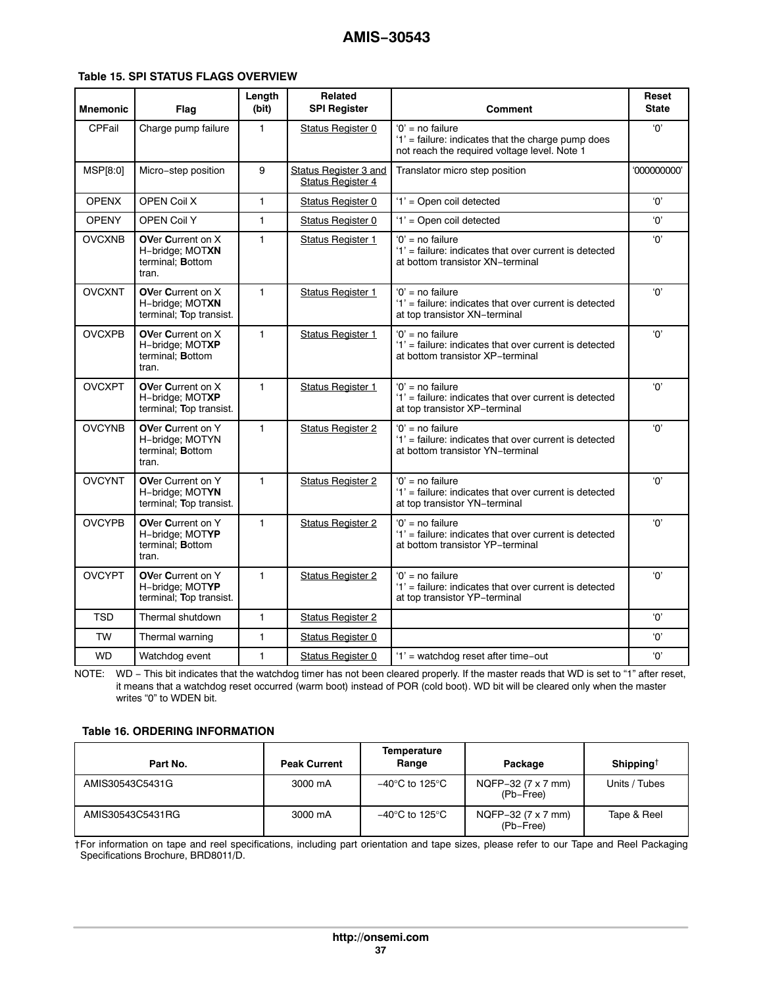#### <span id="page-36-0"></span>**Table 15. SPI STATUS FLAGS OVERVIEW**

| <b>Mnemonic</b> | Flag                                                                     | Length<br>(bit) | <b>Related</b><br><b>SPI Register</b>             | Comment                                                                                                                  | Reset<br><b>State</b> |
|-----------------|--------------------------------------------------------------------------|-----------------|---------------------------------------------------|--------------------------------------------------------------------------------------------------------------------------|-----------------------|
| CPFail          | Charge pump failure                                                      | 1               | <b>Status Register 0</b>                          | $'0'$ = no failure<br>'1' = failure: indicates that the charge pump does<br>not reach the required voltage level. Note 1 | '0'                   |
| MSP[8:0]        | Micro-step position                                                      | 9               | Status Register 3 and<br><b>Status Register 4</b> | Translator micro step position                                                                                           | '000000000'           |
| <b>OPENX</b>    | OPEN Coil X                                                              | $\mathbf{1}$    | Status Register 0                                 | '1' = Open coil detected                                                                                                 | '0'                   |
| <b>OPENY</b>    | <b>OPEN Coil Y</b>                                                       | 1               | Status Register 0                                 | '1' = Open coil detected                                                                                                 | 'Ο'                   |
| <b>OVCXNB</b>   | <b>OVer Current on X</b><br>H-bridge; MOTXN<br>terminal; Bottom<br>tran. | 1               | <b>Status Register 1</b>                          | $'0'$ = no failure<br>'1' = failure: indicates that over current is detected<br>at bottom transistor XN-terminal         | 'Ο'                   |
| <b>OVCXNT</b>   | <b>OVer Current on X</b><br>H-bridge; MOTXN<br>terminal; Top transist.   | 1               | <b>Status Register 1</b>                          | $'0'$ = no failure<br>'1' = failure: indicates that over current is detected<br>at top transistor XN-terminal            | 'О'                   |
| <b>OVCXPB</b>   | OVer Current on X<br>H-bridge; MOTXP<br>terminal; Bottom<br>tran.        | 1               | <b>Status Register 1</b>                          | $'0'$ = no failure<br>'1' = failure: indicates that over current is detected<br>at bottom transistor XP-terminal         | '0'                   |
| <b>OVCXPT</b>   | OVer Current on X<br>H-bridge; MOTXP<br>terminal; Top transist.          | 1               | <b>Status Register 1</b>                          | $'0'$ = no failure<br>'1' = failure: indicates that over current is detected<br>at top transistor XP-terminal            | ʻ0'                   |
| <b>OVCYNB</b>   | OVer Current on Y<br>H-bridge; MOTYN<br>terminal; Bottom<br>tran.        | $\mathbf{1}$    | <b>Status Register 2</b>                          | $'0'$ = no failure<br>'1' = failure: indicates that over current is detected<br>at bottom transistor YN-terminal         | 'Ο'                   |
| <b>OVCYNT</b>   | <b>OVer Current on Y</b><br>H-bridge; MOTYN<br>terminal; Top transist.   | 1               | <b>Status Register 2</b>                          | $'0'$ = no failure<br>'1' = failure: indicates that over current is detected<br>at top transistor YN-terminal            | 'Ο'                   |
| <b>OVCYPB</b>   | OVer Current on Y<br>H-bridge; MOTYP<br>terminal; Bottom<br>tran.        | 1               | <b>Status Register 2</b>                          | $'0'$ = no failure<br>'1' = failure: indicates that over current is detected<br>at bottom transistor YP-terminal         | 'Ο'                   |
| <b>OVCYPT</b>   | OVer Current on Y<br>H-bridge; MOTYP<br>terminal; Top transist.          | $\mathbf{1}$    | <b>Status Register 2</b>                          | $'0'$ = no failure<br>'1' = failure: indicates that over current is detected<br>at top transistor YP-terminal            | ʻ0'                   |
| <b>TSD</b>      | Thermal shutdown                                                         | $\mathbf{1}$    | <b>Status Register 2</b>                          |                                                                                                                          | '0'                   |
| <b>TW</b>       | Thermal warning                                                          | $\mathbf{1}$    | <b>Status Register 0</b>                          |                                                                                                                          | 'Ο'                   |
| <b>WD</b>       | Watchdog event                                                           | 1               | <b>Status Register 0</b>                          | '1' = watchdog reset after time-out                                                                                      | 'Ο'                   |

NOTE: WD - This bit indicates that the watchdog timer has not been cleared properly. If the master reads that WD is set to "1" after reset, it means that a watchdog reset occurred (warm boot) instead of POR (cold boot). WD bit will be cleared only when the master writes "0" to WDEN bit.

#### **Table 16. ORDERING INFORMATION**

| Part No.         | <b>Peak Current</b> | Temperature<br>Range | Package                         | Shipping <sup><math>\dagger</math></sup> |
|------------------|---------------------|----------------------|---------------------------------|------------------------------------------|
| AMIS30543C5431G  | 3000 mA             | –40°C to 125°C       | NQFP-32 (7 x 7 mm)<br>(Pb-Free) | Units / Tubes                            |
| AMIS30543C5431RG | 3000 mA             | –40°C to 125°C       | NQFP-32 (7 x 7 mm)<br>(Pb-Free) | Tape & Reel                              |

†For information on tape and reel specifications, including part orientation and tape sizes, please refer to our Tape and Reel Packaging Specifications Brochure, BRD8011/D.